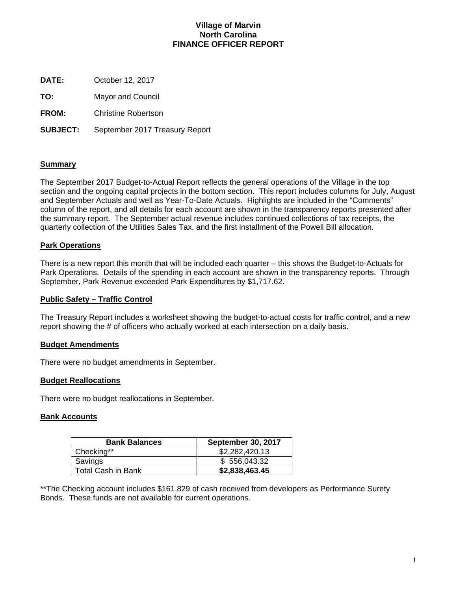## **Village of Marvin North Carolina FINANCE OFFICER REPORT**

**DATE:** October 12, 2017

**TO:** Mayor and Council

**FROM:** Christine Robertson

**SUBJECT:** September 2017 Treasury Report

## **Summary**

The September 2017 Budget-to-Actual Report reflects the general operations of the Village in the top section and the ongoing capital projects in the bottom section. This report includes columns for July, August and September Actuals and well as Year-To-Date Actuals. Highlights are included in the "Comments" column of the report, and all details for each account are shown in the transparency reports presented after the summary report. The September actual revenue includes continued collections of tax receipts, the quarterly collection of the Utilities Sales Tax, and the first installment of the Powell Bill allocation.

## **Park Operations**

There is a new report this month that will be included each quarter – this shows the Budget-to-Actuals for Park Operations. Details of the spending in each account are shown in the transparency reports. Through September, Park Revenue exceeded Park Expenditures by \$1,717.62.

## **Public Safety – Traffic Control**

The Treasury Report includes a worksheet showing the budget-to-actual costs for traffic control, and a new report showing the # of officers who actually worked at each intersection on a daily basis.

## **Budget Amendments**

There were no budget amendments in September.

## **Budget Reallocations**

There were no budget reallocations in September.

## **Bank Accounts**

| <b>Bank Balances</b> | <b>September 30, 2017</b> |
|----------------------|---------------------------|
| Checking**           | \$2,282,420.13            |
| Savings              | \$556,043.32              |
| Total Cash in Bank   | \$2,838,463.45            |

\*\*The Checking account includes \$161,829 of cash received from developers as Performance Surety Bonds. These funds are not available for current operations.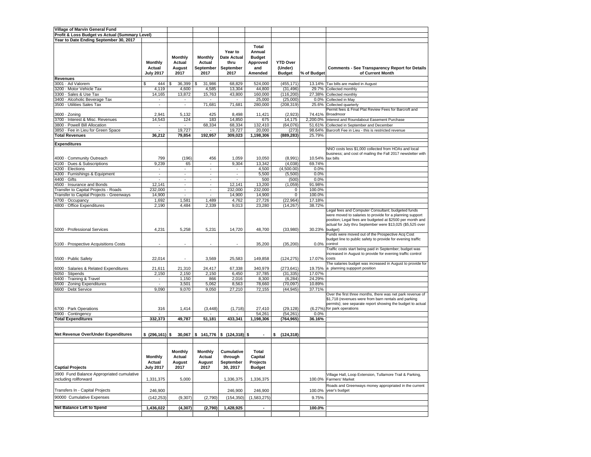| Village of Marvin General Fund                 |                          |                          |                          |                                    |                |                 |             |                                                                                                                                                                                                                                           |
|------------------------------------------------|--------------------------|--------------------------|--------------------------|------------------------------------|----------------|-----------------|-------------|-------------------------------------------------------------------------------------------------------------------------------------------------------------------------------------------------------------------------------------------|
| Profit & Loss Budget vs Actual (Summary Level) |                          |                          |                          |                                    |                |                 |             |                                                                                                                                                                                                                                           |
| Year to Date Ending September 30, 2017         |                          |                          |                          |                                    |                |                 |             |                                                                                                                                                                                                                                           |
|                                                |                          |                          |                          |                                    |                |                 |             |                                                                                                                                                                                                                                           |
|                                                |                          |                          |                          |                                    | Total          |                 |             |                                                                                                                                                                                                                                           |
|                                                |                          |                          |                          | Year to                            | Annual         |                 |             |                                                                                                                                                                                                                                           |
|                                                |                          | Monthly                  | <b>Monthly</b>           | Date Actual                        | <b>Budget</b>  |                 |             |                                                                                                                                                                                                                                           |
|                                                | Monthly                  | Actual                   | Actual                   | thru                               | Approved       | <b>YTD Over</b> |             |                                                                                                                                                                                                                                           |
|                                                | Actual                   | August                   | September                | September                          | and            | (Under)         |             | <b>Comments - See Transparency Report for Details</b>                                                                                                                                                                                     |
|                                                | <b>July 2017</b>         | 2017                     | 2017                     | 2017                               | Amended        | <b>Budget</b>   | % of Budget | of Current Month                                                                                                                                                                                                                          |
| <b>Revenues</b>                                |                          |                          |                          |                                    |                |                 |             |                                                                                                                                                                                                                                           |
|                                                |                          |                          |                          |                                    |                |                 |             |                                                                                                                                                                                                                                           |
| 3001 · Ad Valorem                              | \$<br>444                | $36,399$ \$<br>\$        | 31,986                   | 68,829                             | 524,000        | (455, 171)      |             | 13.14% Tax bills are mailed in August                                                                                                                                                                                                     |
| 3200 · Motor Vehicle Tax                       | 4,119                    | 4,600                    | 4,585                    | 13,304                             | 44,800         | (31, 496)       | 29.7%       | Collected monthly                                                                                                                                                                                                                         |
| 3300 · Sales & Use Tax                         | 14,165                   | 13,872                   | 15,763                   | 43,800                             | 160,000        | (116, 200)      |             | 27.38% Collected monthly                                                                                                                                                                                                                  |
| 3400 · Alcoholic Beverage Tax                  | $\overline{\phantom{a}}$ | $\overline{\phantom{a}}$ | $\overline{\phantom{a}}$ | $\overline{\phantom{a}}$           | 25,000         | (25,000)        | $0.0\%$     | Collected in May                                                                                                                                                                                                                          |
| 3500 · Utilities Sales Tax                     | $\sim$                   | $\overline{\phantom{a}}$ | 71,681                   | 71,681                             | 280,000        | (208, 319)      | 25.6%       | Collected quarterly                                                                                                                                                                                                                       |
|                                                |                          |                          |                          |                                    |                |                 |             | Permit fees & Final Plat Review Fees for Barcroft and                                                                                                                                                                                     |
| 3600 · Zoning                                  | 2,941                    | 5,132                    | 425                      | 8,498                              | 11,421         | (2,923)         | 74.41%      | Broadmoor                                                                                                                                                                                                                                 |
| 3700 - Interest & Misc. Revenues               | 14,543                   | 124                      | 183                      | 14,850                             | 675            | 14,175          | 2,200.0%    | Interest and Roundabout Easement Purchase                                                                                                                                                                                                 |
| 3800 - Powell Bill Allocation                  | $\overline{\phantom{a}}$ | $\blacksquare$           | 68,334                   | 68,334                             | 132,410        | (64,076)        | 51.61%      | Collected in September and December                                                                                                                                                                                                       |
| 3850 - Fee in Lieu for Green Space             | ×.                       | 19,727                   |                          | 19,727                             | 20,000         | (273)           | 98.64%      | Barcroft Fee in Lieu - this is restricted revenue                                                                                                                                                                                         |
| <b>Total Revenues</b>                          | 36,212                   | 79,854                   | 192,957                  | 309,023                            | 1,198,306      | (889, 283)      | 25.79%      |                                                                                                                                                                                                                                           |
|                                                |                          |                          |                          |                                    |                |                 |             |                                                                                                                                                                                                                                           |
| <b>Expenditures</b>                            |                          |                          |                          |                                    |                |                 |             |                                                                                                                                                                                                                                           |
|                                                |                          |                          |                          |                                    |                |                 |             | NNO costs less \$1,000 collected from HOAs and local                                                                                                                                                                                      |
|                                                |                          |                          |                          |                                    |                |                 |             | business; and cost of mailing the Fall 2017 newsletter with                                                                                                                                                                               |
| 4000 · Community Outreach                      | 799                      | (196)                    | 456                      | 1,059                              | 10,050         | (8,991)         | 10.54%      | tax bills                                                                                                                                                                                                                                 |
| 4100 · Dues & Subscriptions                    | 9,239                    | 65                       | ä,                       | 9,304                              | 13,342         | (4,038)         | 69.74%      |                                                                                                                                                                                                                                           |
| 4200 - Elections                               | $\overline{\phantom{a}}$ |                          | ٠                        | $\overline{\phantom{a}}$           | 4,500          | (4,500.00)      | 0.0%        |                                                                                                                                                                                                                                           |
| 4300 · Furnishings & Equipment                 | $\overline{\phantom{a}}$ | $\sim$                   | ٠                        | $\sim$                             | 5,500          | (5,500)         | 0.0%        |                                                                                                                                                                                                                                           |
| 4400 · Gifts                                   | ×                        | ÷                        | ä,                       | ×.                                 | 500            | (500)           | 0.0%        |                                                                                                                                                                                                                                           |
| 4500 · Insurance and Bonds                     | 12,141                   | $\overline{\phantom{a}}$ | ÷                        | 12,141                             | 13,200         | (1,059)         | 91.98%      |                                                                                                                                                                                                                                           |
|                                                |                          |                          |                          |                                    |                |                 |             |                                                                                                                                                                                                                                           |
| <b>Transfer to Capital Projects - Roads</b>    | 232,000                  | $\blacksquare$           | ٠                        | 232,000                            | 232,000        | 0               | 100.0%      |                                                                                                                                                                                                                                           |
| Transfer to Capital Projects - Greenways       | 14,900                   |                          |                          | 14,900                             | 14,900         | $\mathbf 0$     | 100.0%      |                                                                                                                                                                                                                                           |
| 4700 · Occupancy                               | 1,692                    | 1,581                    | 1,489                    | 4,762                              | 27,726         | (22, 964)       | 17.18%      |                                                                                                                                                                                                                                           |
| 4800 - Office Expenditures                     | 2,190                    | 4,484                    | 2,339                    | 9,013                              | 23,280         | (14, 267)       | 38.72%      |                                                                                                                                                                                                                                           |
|                                                |                          |                          |                          |                                    |                |                 |             | Legal fees and Computer Consultant; budgeted funds<br>were moved to salaries to provide for a planning support<br>position; Legal fees are budgeted at \$2500 per month and<br>actual for July thru September were \$13,025 (\$5,525 over |
| 5000 · Professional Services                   | 4,231                    | 5,258                    | 5,231                    | 14,720                             | 48,700         | (33,980)        | 30.23%      | budget)<br>Funds were moved out of the Prospective Acq Cost<br>budget line to public safety to provide for evening traffic                                                                                                                |
| 5100 · Prospective Acquisitions Costs          |                          |                          |                          |                                    | 35,200         | (35, 200)       | 0.0%        | control<br>Traffic costs start being paid in September; budget was                                                                                                                                                                        |
| 5500 · Public Safety                           | 22,014                   | $\sim$                   | 3,569                    | 25,583                             | 149,858        | (124, 275)      | 17.07%      | ncreased in August to provide for evening traffic control<br>costs                                                                                                                                                                        |
| 6000 · Salaries & Related Expenditures         | 21,611                   | 21,310                   | 24,417                   | 67,338                             | 340,979        | (273, 641)      | 19.75%      | The salaries budget was increased in August to provide for<br>a planning suppport position                                                                                                                                                |
| 6050 · Stipends                                | 2,150                    | 2,150                    | 2,150                    | 6,450                              | 37,785         | (31, 335)       | 17.07%      |                                                                                                                                                                                                                                           |
| 6400 · Training & Travel                       | $\overline{\phantom{a}}$ | 1,150                    | 866                      | 2,016                              | 8,300          | (6, 284)        | 24.29%      |                                                                                                                                                                                                                                           |
| 6500 · Zoning Expenditures                     | ×.                       | 3,501                    | 5,062                    | 8,563                              | 78,660         | (70,097)        | 10.89%      |                                                                                                                                                                                                                                           |
| 6600 · Debt Service                            | 9,090                    | 9,070                    | 9,050                    | 27,210                             | 72,155         | (44, 945)       | 37.71%      |                                                                                                                                                                                                                                           |
|                                                |                          |                          |                          |                                    |                |                 |             | Over the first three months, there was net park revenue of<br>\$1,718 (revenues were from barn rentals and parking<br>permits); see separate report showing the budget to actual                                                          |
| 6700 · Park Operations                         | 316                      | 1,414                    | (3, 448)                 | (1,718)                            | 27,410         | (29, 128)       |             | (6.27%) for park operations                                                                                                                                                                                                               |
| 6900 · Contingency                             |                          |                          |                          |                                    | 54,261         | (54, 261)       | 0.0%        |                                                                                                                                                                                                                                           |
| <b>Total Expenditures</b>                      | 332,373                  | 49,787                   | 51,181                   | 433,341                            | 1,198,306      | (764, 965)      | 36.16%      |                                                                                                                                                                                                                                           |
|                                                |                          |                          |                          |                                    |                |                 |             |                                                                                                                                                                                                                                           |
| Net Revenue Over/Under Expenditures            | $$ (296, 161)$ \$        | 30,067                   |                          | $$141,776 \;   \; $(124,318) \; $$ |                | \$(124, 318)    |             |                                                                                                                                                                                                                                           |
|                                                |                          | Monthly                  | <b>Monthly</b>           | Cumulative                         | Total          |                 |             |                                                                                                                                                                                                                                           |
|                                                | <b>Monthly</b>           | Actual                   | Actual                   | through                            | Capital        |                 |             |                                                                                                                                                                                                                                           |
|                                                | Actual                   | August                   | August                   | September                          | Projects       |                 |             |                                                                                                                                                                                                                                           |
| <b>Captial Projects</b>                        | <b>July 2017</b>         | 2017                     | 2017                     | 30, 2017                           | <b>Budget</b>  |                 |             |                                                                                                                                                                                                                                           |
| 3900 Fund Balance Appropriated cumulative      |                          |                          |                          |                                    |                |                 |             | Village Hall, Loop Extension, Tullamore Trail & Parking,                                                                                                                                                                                  |
| ncluding rollforward                           | 1,331,375                | 5,000                    |                          | 1,336,375                          | 1,336,375      |                 | 100.0%      | <b>Farmers' Market</b>                                                                                                                                                                                                                    |
|                                                |                          |                          |                          |                                    |                |                 |             |                                                                                                                                                                                                                                           |
| Transfers In - Capital Projects                |                          |                          |                          | 246,900                            |                |                 |             | Roads and Greenways money appropriated in the current<br>vear's budget                                                                                                                                                                    |
|                                                | 246,900                  |                          |                          |                                    | 246,900        |                 | 100.0%      |                                                                                                                                                                                                                                           |
| 90000 Cumulative Expenses                      | (142, 253)               | (9,307)                  | (2,790)                  | (154, 350)                         | (1,583,275)    |                 | 9.75%       |                                                                                                                                                                                                                                           |
|                                                |                          |                          |                          |                                    |                |                 |             |                                                                                                                                                                                                                                           |
| Net Balance Left to Spend                      | 1,436,022                | (4, 307)                 | (2,790)                  | 1,428,925                          | $\blacksquare$ |                 | 100.0%      |                                                                                                                                                                                                                                           |
|                                                |                          |                          |                          |                                    |                |                 |             |                                                                                                                                                                                                                                           |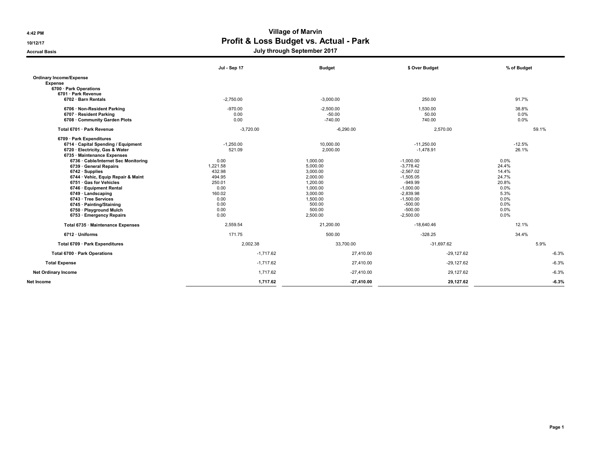# 4:42 PM Village of Marvin 10/12/17 10/12/17

Accrual Basis **Accrual Basis** Accrual Basis **July through September 2017** 

|                                      | Jul - Sep 17 | <b>Budget</b> | \$ Over Budget | % of Budget |
|--------------------------------------|--------------|---------------|----------------|-------------|
| <b>Ordinary Income/Expense</b>       |              |               |                |             |
| <b>Expense</b>                       |              |               |                |             |
| 6700 · Park Operations               |              |               |                |             |
| 6701 · Park Revenue                  |              |               |                |             |
| 6702 · Barn Rentals                  | $-2,750.00$  | $-3,000.00$   | 250.00         | 91.7%       |
| 6706 · Non-Resident Parking          | $-970.00$    | $-2.500.00$   | 1.530.00       | 38.8%       |
| 6707 · Resident Parking              | 0.00         | $-50.00$      | 50.00          | 0.0%        |
| 6708 Community Garden Plots          | 0.00         | $-740.00$     | 740.00         | 0.0%        |
| Total 6701 · Park Revenue            | $-3,720.00$  | $-6,290.00$   | 2,570.00       | 59.1%       |
| 6709 · Park Expenditures             |              |               |                |             |
| 6714 · Capital Spending / Equipment  | $-1,250.00$  | 10,000.00     | $-11,250.00$   | $-12.5%$    |
| 6720 · Electricity, Gas & Water      | 521.09       | 2,000.00      | $-1,478.91$    | 26.1%       |
| 6735 · Maintenance Expenses          |              |               |                |             |
| 6736 · Cable/Internet Sec Monitoring | 0.00         | 1,000.00      | $-1,000.00$    | 0.0%        |
| 6739 General Repairs                 | 1,221.58     | 5.000.00      | $-3.778.42$    | 24.4%       |
| $6742 \cdot$ Supplies                | 432.98       | 3,000.00      | $-2,567.02$    | 14.4%       |
| 6744 · Vehic, Equip Repair & Maint   | 494.95       | 2,000.00      | $-1,505.05$    | 24.7%       |
| 6751 · Gas for Vehicles              | 250.01       | 1,200.00      | $-949.99$      | 20.8%       |
| 6746 · Equipment Rental              | 0.00         | 1,000.00      | $-1,000.00$    | 0.0%        |
| $6749 \cdot$ Landscaping             | 160.02       | 3,000.00      | $-2,839.98$    | 5.3%        |
| 6743 · Tree Services                 | 0.00         | 1,500.00      | $-1,500.00$    | 0.0%        |
| 6745 · Painting/Staining             | 0.00         | 500.00        | $-500.00$      | 0.0%        |
| 6750 · Playground Mulch              | 0.00         | 500.00        | $-500.00$      | 0.0%        |
| 6753 · Emergency Repairs             | 0.00         | 2,500.00      | $-2,500.00$    | 0.0%        |
| Total 6735 · Maintenance Expenses    | 2,559.54     | 21,200.00     | $-18,640.46$   | 12.1%       |
| 6712 · Uniforms                      | 171.75       | 500.00        | $-328.25$      | 34.4%       |
| Total 6709 · Park Expenditures       | 2,002.38     | 33,700.00     | $-31,697.62$   | 5.9%        |
| Total 6700 · Park Operations         | $-1,717.62$  | 27,410.00     | $-29,127.62$   | $-6.3%$     |
| <b>Total Expense</b>                 | $-1.717.62$  | 27,410.00     | $-29,127.62$   | $-6.3%$     |
| <b>Net Ordinary Income</b>           | 1,717.62     | $-27,410.00$  | 29,127.62      | $-6.3%$     |
| Net Income                           | 1,717.62     | 27.410.00     | 29,127.62      | $-6.3%$     |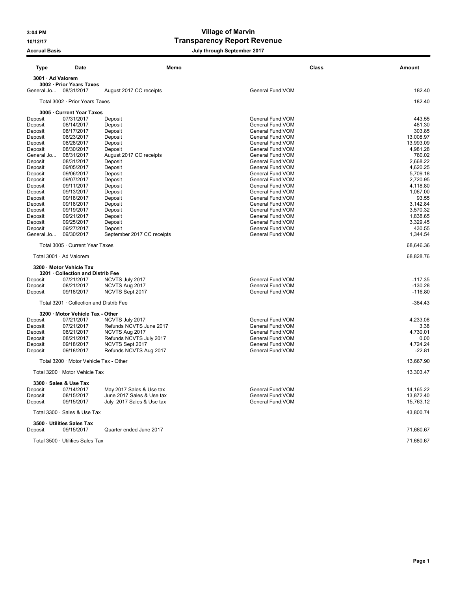## 3:04 PM Village of Marvin 10/12/17 Transparency Report Revenue

## Accrual Basis **Accrual Basis Accrual Basis July through September 2017**

| <b>Type</b>           | <b>Date</b>                             | Memo                                       | <b>Class</b>                           | <b>Amount</b>          |
|-----------------------|-----------------------------------------|--------------------------------------------|----------------------------------------|------------------------|
| 3001 · Ad Valorem     |                                         |                                            |                                        |                        |
|                       | 3002 · Prior Years Taxes                |                                            |                                        |                        |
| General Jo 08/31/2017 |                                         | August 2017 CC receipts                    | General Fund: VOM                      | 182.40                 |
|                       | Total 3002 · Prior Years Taxes          |                                            |                                        | 182.40                 |
|                       | 3005 · Current Year Taxes               |                                            |                                        |                        |
| Deposit               | 07/31/2017                              | Deposit                                    | General Fund:VOM                       | 443.55                 |
| Deposit               | 08/14/2017                              | Deposit                                    | General Fund: VOM                      | 481.30                 |
| Deposit               | 08/17/2017                              | Deposit                                    | General Fund: VOM                      | 303.85                 |
| Deposit<br>Deposit    | 08/23/2017<br>08/28/2017                | Deposit<br>Deposit                         | General Fund: VOM<br>General Fund: VOM | 13,008.97<br>13,993.09 |
| Deposit               | 08/30/2017                              | Deposit                                    | General Fund: VOM                      | 4,981.28               |
| General Jo            | 08/31/2017                              | August 2017 CC receipts                    | General Fund: VOM                      | 780.02                 |
| Deposit               | 08/31/2017                              | Deposit                                    | General Fund: VOM                      | 2,668.22               |
| Deposit               | 09/05/2017                              | Deposit                                    | General Fund: VOM                      | 4,620.25               |
| Deposit               | 09/06/2017                              | Deposit                                    | General Fund: VOM                      | 5,709.18               |
| Deposit               | 09/07/2017                              | Deposit                                    | General Fund: VOM                      | 2.720.95               |
| Deposit<br>Deposit    | 09/11/2017<br>09/13/2017                | Deposit<br>Deposit                         | General Fund: VOM<br>General Fund: VOM | 4,118.80<br>1,067.00   |
| Deposit               | 09/18/2017                              | Deposit                                    | General Fund:VOM                       | 93.55                  |
| Deposit               | 09/18/2017                              | Deposit                                    | General Fund: VOM                      | 3.142.84               |
| Deposit               | 09/19/2017                              | Deposit                                    | General Fund:VOM                       | 3,570.32               |
| Deposit               | 09/21/2017                              | Deposit                                    | General Fund: VOM                      | 1,838.65               |
| Deposit               | 09/25/2017                              | Deposit                                    | General Fund: VOM                      | 3,329.45               |
| Deposit               | 09/27/2017                              | Deposit                                    | General Fund: VOM                      | 430.55                 |
| General Jo            | 09/30/2017                              | September 2017 CC receipts                 | General Fund: VOM                      | 1,344.54               |
|                       | Total 3005 · Current Year Taxes         |                                            |                                        | 68,646.36              |
|                       | Total 3001 · Ad Valorem                 |                                            |                                        | 68,828.76              |
|                       | 3200 · Motor Vehicle Tax                |                                            |                                        |                        |
|                       | 3201 · Collection and Distrib Fee       |                                            |                                        |                        |
| Deposit               | 07/21/2017                              | NCVTS July 2017                            | General Fund: VOM<br>General Fund: VOM | $-117.35$<br>$-130.28$ |
| Deposit<br>Deposit    | 08/21/2017<br>09/18/2017                | NCVTS Aug 2017<br>NCVTS Sept 2017          | General Fund: VOM                      | $-116.80$              |
|                       |                                         |                                            |                                        |                        |
|                       | Total 3201 · Collection and Distrib Fee |                                            |                                        | $-364.43$              |
|                       | 3200 · Motor Vehicle Tax - Other        |                                            | General Fund: VOM                      |                        |
| Deposit<br>Deposit    | 07/21/2017<br>07/21/2017                | NCVTS July 2017<br>Refunds NCVTS June 2017 | General Fund: VOM                      | 4,233.08<br>3.38       |
| Deposit               | 08/21/2017                              | NCVTS Aug 2017                             | General Fund: VOM                      | 4.730.01               |
| Deposit               | 08/21/2017                              | Refunds NCVTS July 2017                    | General Fund: VOM                      | 0.00                   |
| Deposit               | 09/18/2017                              | NCVTS Sept 2017                            | General Fund: VOM                      | 4,724.24               |
| Deposit               | 09/18/2017                              | Refunds NCVTS Aug 2017                     | General Fund: VOM                      | $-22.81$               |
|                       | Total 3200 · Motor Vehicle Tax - Other  |                                            |                                        | 13,667.90              |
|                       | Total 3200 · Motor Vehicle Tax          |                                            |                                        | 13,303.47              |
|                       | 3300 · Sales & Use Tax                  |                                            |                                        |                        |
| Deposit               | 07/14/2017                              | May 2017 Sales & Use tax                   | General Fund: VOM                      | 14,165.22              |
| Deposit               | 08/15/2017                              | June 2017 Sales & Use tax                  | General Fund: VOM                      | 13,872.40              |
| Deposit               | 09/15/2017                              | July 2017 Sales & Use tax                  | General Fund: VOM                      | 15,763.12              |
|                       | Total 3300 · Sales & Use Tax            |                                            |                                        | 43,800.74              |
|                       | 3500 · Utilities Sales Tax              |                                            |                                        |                        |
| Deposit               | 09/15/2017                              | Quarter ended June 2017                    |                                        | 71,680.67              |
|                       | Total 3500 · Utilities Sales Tax        |                                            |                                        | 71,680.67              |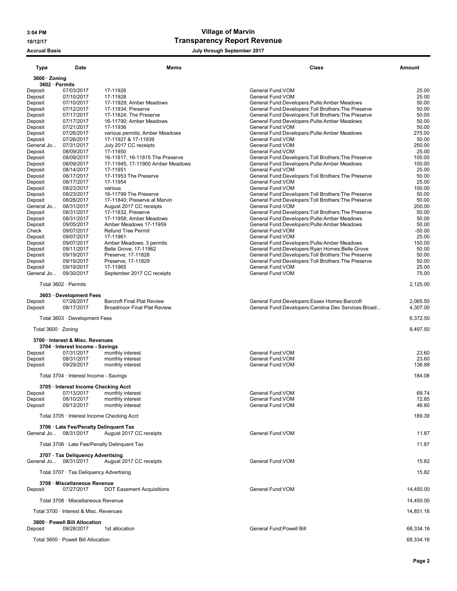## 3:04 PM Village of Marvin 10/12/17 Transparency Report Revenue

Accrual Basis **Accrual Basis Accrual Basis July through September 2017** 

| <b>Type</b>                     | Date                                                                 | Memo                                                                | <b>Class</b>                                                                                                | <b>Amount</b>    |
|---------------------------------|----------------------------------------------------------------------|---------------------------------------------------------------------|-------------------------------------------------------------------------------------------------------------|------------------|
| 3600 · Zoning<br>3602 · Permits |                                                                      |                                                                     |                                                                                                             |                  |
| Deposit                         | 07/03/2017                                                           | 17-11926                                                            | General Fund: VOM                                                                                           | 25.00            |
| Deposit                         | 07/10/2017                                                           | 17-11928                                                            | General Fund: VOM                                                                                           | 25.00            |
| Deposit                         | 07/10/2017<br>07/12/2017                                             | 17-11929; Amber Meadows<br>17-11934; Preserve                       | General Fund:Developers:Pulte:Amber Meadows                                                                 | 50.00<br>50.00   |
| Deposit<br>Deposit              | 07/17/2017                                                           | 17-11824; The Preserve                                              | General Fund: Developers: Toll Brothers: The Preserve<br>General Fund:Developers:Toll Brothers:The Preserve | 50.00            |
| Deposit                         | 07/17/2017                                                           | 16-11790; Amber Meadows                                             | General Fund: Developers: Pulte: Amber Meadows                                                              | 50.00            |
| Deposit                         | 07/21/2017                                                           | 17-11936                                                            | General Fund: VOM                                                                                           | 50.00            |
| Deposit                         | 07/26/2017                                                           | various permits; Amber Meadows                                      | General Fund:Developers:Pulte:Amber Meadows                                                                 | 275.00           |
| Deposit                         | 07/26/2017                                                           | 17-11927 & 17-11939                                                 | General Fund: VOM                                                                                           | 50.00            |
| General Jo                      | 07/31/2017                                                           | July 2017 CC receipts                                               | General Fund: VOM                                                                                           | 250.00           |
| Deposit                         | 08/09/2017                                                           | 17-11950                                                            | General Fund: VOM                                                                                           | 25.00            |
| Deposit<br>Deposit              | 08/09/2017<br>08/09/2017                                             | 16-11817, 16-11815 The Preserve<br>17-11945, 17-11900 Amber Meadows | General Fund: Developers: Toll Brothers: The Preserve<br>General Fund:Developers:Pulte:Amber Meadows        | 100.00<br>100.00 |
| Deposit                         | 08/14/2017                                                           | 17-11951                                                            | General Fund: VOM                                                                                           | 25.00            |
| Deposit                         | 08/17/2017                                                           | 17-11953 The Preserve                                               | General Fund: Developers: Toll Brothers: The Preserve                                                       | 50.00            |
| Deposit                         | 08/17/2017                                                           | 17-11954                                                            | General Fund: VOM                                                                                           | 25.00            |
| Deposit                         | 08/23/2017                                                           | various                                                             | General Fund: VOM                                                                                           | 100.00           |
| Deposit                         | 08/23/2017                                                           | 16-11799 The Preserve                                               | General Fund: Developers: Toll Brothers: The Preserve                                                       | 50.00            |
| Deposit                         | 08/28/2017                                                           | 17-11840; Preserve at Marvin                                        | General Fund:Developers:Toll Brothers:The Preserve                                                          | 50.00            |
| General Jo                      | 08/31/2017                                                           | August 2017 CC receipts                                             | General Fund: VOM                                                                                           | 200.00           |
| Deposit<br>Deposit              | 08/31/2017<br>08/31/2017                                             | 17-11832, Preserve<br>17-11958: Amber Meadows                       | General Fund: Developers: Toll Brothers: The Preserve<br>General Fund:Developers:Pulte:Amber Meadows        | 50.00<br>50.00   |
| Deposit                         | 09/05/2017                                                           | Amber Meadows 17-11959                                              | General Fund:Developers:Pulte:Amber Meadows                                                                 | 50.00            |
| Check                           | 09/07/2017                                                           | <b>Refund Tree Permit</b>                                           | General Fund: VOM                                                                                           | $-50.00$         |
| Deposit                         | 09/07/2017                                                           | 17-11961                                                            | General Fund: VOM                                                                                           | 25.00            |
| Deposit                         | 09/07/2017                                                           | Amber Meadows; 3 permits                                            | General Fund:Developers:Pulte:Amber Meadows                                                                 | 150.00           |
| Deposit                         | 09/11/2017                                                           | Belle Grove: 17-11962                                               | General Fund: Developers: Ryan Homes: Belle Grove                                                           | 50.00            |
| Deposit                         | 09/19/2017                                                           | Preserve; 17-11828                                                  | General Fund: Developers: Toll Brothers: The Preserve                                                       | 50.00            |
| Deposit                         | 09/19/2017                                                           | Preserve: 17-11829                                                  | General Fund: Developers: Toll Brothers: The Preserve                                                       | 50.00            |
| Deposit<br>General Jo           | 09/19/2017<br>09/30/2017                                             | 17-11965<br>September 2017 CC receipts                              | General Fund: VOM<br>General Fund: VOM                                                                      | 25.00<br>75.00   |
|                                 |                                                                      |                                                                     |                                                                                                             |                  |
|                                 | Total 3602 · Permits<br>3603 · Development Fees                      |                                                                     |                                                                                                             | 2,125.00         |
| Deposit                         | 07/26/2017                                                           | <b>Barcroft Final Plat Review</b>                                   | General Fund:Developers:Essex Homes:Barcroft                                                                | 2,065.50         |
| Deposit                         | 08/17/2017                                                           | <b>Broadmoor Final Plat Review</b>                                  | General Fund:Developers:Carolina Dev Services:Broad                                                         | 4,307.00         |
|                                 | Total 3603 · Development Fees                                        |                                                                     |                                                                                                             | 6,372.50         |
| Total $3600 \cdot$ Zoning       |                                                                      |                                                                     |                                                                                                             | 8,497.50         |
|                                 | 3700 · Interest & Misc. Revenues<br>3704 · Interest Income - Savings |                                                                     |                                                                                                             |                  |
| Deposit                         | 07/31/2017                                                           | monthly interest                                                    | General Fund: VOM                                                                                           | 23.60            |
| Deposit                         | 08/31/2017                                                           | monthly interest                                                    | General Fund: VOM                                                                                           | 23.60            |
| Deposit                         | 09/29/2017                                                           | monthly interest                                                    | General Fund: VOM                                                                                           | 136.88           |
|                                 | Total 3704 · Interest Income - Savings                               |                                                                     |                                                                                                             | 184.08           |
|                                 | 3705 · Interest Income Checking Acct                                 |                                                                     |                                                                                                             |                  |
| Deposit                         | 07/13/2017                                                           | monthly interest                                                    | General Fund: VOM                                                                                           | 69.74            |
| Deposit                         | 08/10/2017                                                           | monthly interest                                                    | General Fund: VOM                                                                                           | 72.85            |
| Deposit                         | 09/13/2017                                                           | monthly interest                                                    | General Fund: VOM                                                                                           | 46.80            |
|                                 | Total 3705 · Interest Income Checking Acct                           |                                                                     |                                                                                                             | 189.39           |
|                                 | 3706 · Late Fee/Penalty Delinquent Tax                               |                                                                     |                                                                                                             |                  |
| General Jo 08/31/2017           |                                                                      | August 2017 CC receipts                                             | General Fund: VOM                                                                                           | 11.87            |
|                                 |                                                                      | Total 3706 · Late Fee/Penalty Delinquent Tax                        |                                                                                                             | 11.87            |
|                                 | 3707 · Tax Deliquency Advertising                                    |                                                                     |                                                                                                             |                  |
| General Jo 08/31/2017           |                                                                      | August 2017 CC receipts                                             | General Fund: VOM                                                                                           | 15.82            |
|                                 | Total 3707 · Tax Deliquency Advertising                              |                                                                     |                                                                                                             | 15.82            |
| Deposit                         | 3708 · Miscellaneous Revenue<br>07/27/2017                           | <b>DOT Easement Acquisitions</b>                                    | General Fund: VOM                                                                                           | 14,450.00        |
|                                 | Total 3708 · Miscellaneous Revenue                                   |                                                                     |                                                                                                             | 14,450.00        |
|                                 | Total 3700 · Interest & Misc. Revenues                               |                                                                     |                                                                                                             | 14,851.16        |
|                                 | 3800 · Powell Bill Allocation                                        |                                                                     |                                                                                                             |                  |
| Deposit                         | 09/28/2017                                                           | 1st allocation                                                      | General Fund: Powell Bill                                                                                   | 68,334.16        |
|                                 | Total 3800 · Powell Bill Allocation                                  |                                                                     |                                                                                                             | 68,334.16        |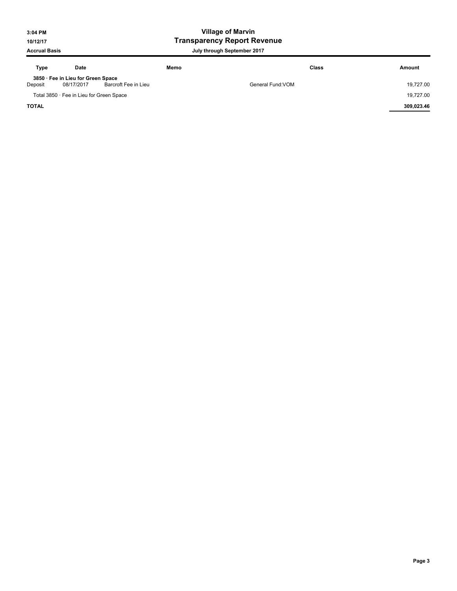## 3:04 PM Village of Marvin 10/12/17 Transparency Report Revenue

| Type         | Date                                             | Memo                 | <b>Class</b>      | Amount     |
|--------------|--------------------------------------------------|----------------------|-------------------|------------|
| Deposit      | 3850 · Fee in Lieu for Green Space<br>08/17/2017 | Barcroft Fee in Lieu | General Fund: VOM | 19.727.00  |
|              | Total 3850 · Fee in Lieu for Green Space         |                      |                   | 19,727.00  |
| <b>TOTAL</b> |                                                  |                      |                   | 309.023.46 |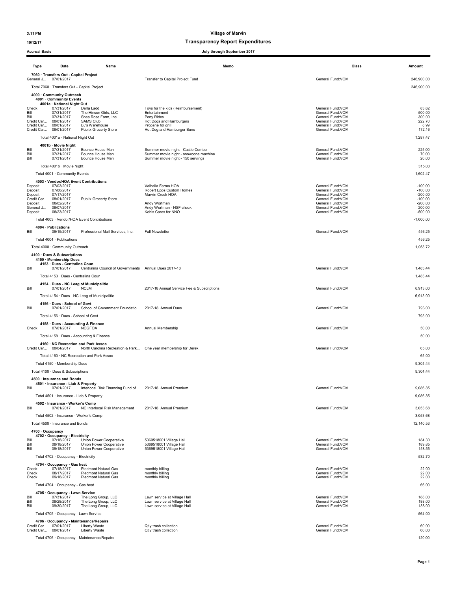### 10/12/17 Transparency Report Expenditures

| uuu                                            |                                                                      |                                                                | unough opptemper zo r                                                      |                                        |                        |
|------------------------------------------------|----------------------------------------------------------------------|----------------------------------------------------------------|----------------------------------------------------------------------------|----------------------------------------|------------------------|
| Type                                           | Date                                                                 | Name                                                           | Memo                                                                       | Class                                  | Amount                 |
| General J 07/01/2017                           | 7060 · Transfers Out - Capital Project                               |                                                                | Transfer to Capital Project Fund                                           | General Fund: VOM                      | 246,900.00             |
|                                                | Total 7060 · Transfers Out - Capital Project                         |                                                                |                                                                            |                                        | 246,900.00             |
|                                                | 4000 · Community Outreach<br>4001 · Community Events                 |                                                                |                                                                            |                                        |                        |
| Check                                          | 4001a · National Night Out<br>07/31/2017                             | Darla Ladd                                                     | Toys for the kids (Reimbursement)                                          | General Fund: VOM                      | 83.62                  |
| Bill                                           | 07/31/2017                                                           | The Hinson Girls, LLC                                          | Entertainment                                                              | General Fund: VOM                      | 500.00                 |
| Bill<br>Credit Car                             | 07/31/2017<br>08/01/2017                                             | Shea Rose Farm, Inc.<br><b>SAMS Club</b>                       | Pony Rides<br>Hot Dogs and Hamburgers                                      | General Fund: VOM<br>General Fund: VOM | 300.00<br>222.70       |
| Credit Car 08/01/2017<br>Credit Car 08/01/2017 |                                                                      | BJ's Warehouse<br>Publix Grocerty Store                        | Propane for grill<br>Hot Dog and Hamburger Buns                            | General Fund:VOM<br>General Fund:VOM   | 8.99<br>172.16         |
|                                                | Total 4001a · National Night Out                                     |                                                                |                                                                            |                                        | 1,287.47               |
|                                                | 4001b · Movie Night                                                  |                                                                |                                                                            |                                        |                        |
| Bill<br>Bill                                   | 07/31/2017<br>07/31/2017                                             | Bounce House Man<br>Bounce House Man                           | Summer movie night - Castle Combo<br>Summer movie night - snowcone machine | General Fund: VOM<br>General Fund: VOM | 225.00<br>70.00        |
| Bill                                           | 07/31/2017                                                           | Bounce House Man                                               | Summer movie night - 150 servings                                          | General Fund: VOM                      | 20.00                  |
|                                                | Total 4001b · Movie Night                                            |                                                                |                                                                            |                                        | 315.00                 |
|                                                | Total 4001 · Community Events                                        |                                                                |                                                                            |                                        | 1,602.47               |
| Deposit                                        | 4003 · Vendor/HOA Event Contributions<br>07/03/2017                  |                                                                | Valhalla Farms HOA                                                         | General Fund: VOM                      | $-100.00$              |
| Deposit<br>Deposit                             | 07/06/2017<br>07/17/2017                                             |                                                                | Robert Epps Custom Homes<br>Marvin Creek HOA                               | General Fund: VOM<br>General Fund:VOM  | $-100.00$<br>$-200.00$ |
| Credit Car<br>Deposit                          | 08/01/2017<br>08/02/2017                                             | Publix Grocerty Store                                          | Andy Wortman                                                               | General Fund: VOM<br>General Fund:VOM  | $-100.00$<br>$-200.00$ |
| General J<br>Deposit                           | 08/07/2017<br>08/23/2017                                             |                                                                | Andy Wortman - NSF check<br>Kohls Cares for NNO                            | General Fund:VOM<br>General Fund: VOM  | 200.00<br>$-500.00$    |
|                                                |                                                                      | Total 4003 · Vendor/HOA Event Contributions                    |                                                                            |                                        | $-1,000.00$            |
|                                                | 4004 · Publications                                                  |                                                                |                                                                            |                                        |                        |
| Bill                                           | 09/15/2017                                                           | Professional Mail Services, Inc.                               | <b>Fall Newsletter</b>                                                     | General Fund: VOM                      | 456.25                 |
|                                                | Total 4004 · Publications                                            |                                                                |                                                                            |                                        | 456.25                 |
|                                                | Total 4000 · Community Outreach                                      |                                                                |                                                                            |                                        | 1,058.72               |
|                                                | 4100 · Dues & Subscriptions<br>4150 · Membership Dues                |                                                                |                                                                            |                                        |                        |
|                                                | 4153 · Dues - Centralina Coun<br>07/01/2017                          | Centralina Council of Governments Annual Dues 2017-18          |                                                                            |                                        |                        |
| Bill                                           |                                                                      |                                                                |                                                                            | General Fund: VOM                      | 1,483.44               |
|                                                | Total 4153 · Dues - Centralina Coun                                  | 4154 · Dues - NC Leag of Municipalitie                         |                                                                            |                                        | 1,483.44               |
| Bill                                           | 07/01/2017                                                           | <b>NCLM</b>                                                    | 2017-18 Annual Service Fee & Subscriptions                                 | General Fund: VOM                      | 6,913.00               |
|                                                |                                                                      | Total 4154 · Dues - NC Leag of Municipalitie                   |                                                                            |                                        | 6,913.00               |
|                                                | 4156 · Dues - School of Govt                                         |                                                                |                                                                            |                                        |                        |
| Bill                                           | 07/01/2017                                                           | School of Government Foundatio                                 | 2017-18 Annual Dues                                                        | General Fund:VOM                       | 793.00                 |
|                                                | Total 4156 · Dues - School of Govt                                   |                                                                |                                                                            |                                        | 793.00                 |
| Check                                          | 4158 · Dues - Accounting & Finance<br>07/01/2017                     | <b>NCGFOA</b>                                                  | Annual Membership                                                          | General Fund: VOM                      | 50.00                  |
|                                                |                                                                      | Total 4158 · Dues - Accounting & Finance                       |                                                                            |                                        | 50.00                  |
| Credit Car 08/04/2017                          | 4160 NC Recreation and Park Assoc                                    | North Carolina Recreation & Park One year membership for Derek |                                                                            | General Fund:VOM                       | 65.00                  |
|                                                |                                                                      | Total 4160 · NC Recreation and Park Assoc                      |                                                                            |                                        | 65.00                  |
|                                                | Total 4150 · Membership Dues                                         |                                                                |                                                                            |                                        | 9,304.44               |
|                                                | Total 4100 · Dues & Subscriptions                                    |                                                                |                                                                            |                                        | 9,304.44               |
|                                                | 4500 · Insurance and Bonds                                           |                                                                |                                                                            |                                        |                        |
| BШ                                             | 4501 · Insurance - Liab & Property<br>0//01/201/                     | Interlocal Risk Financing Fund of  2017-18 Annual Premium      |                                                                            | General Fund: VOM                      | 9,086.85               |
|                                                | Total 4501 · Insurance - Liab & Property                             |                                                                |                                                                            |                                        | 9,086.85               |
|                                                | 4502 · Insurance - Worker's Comp                                     |                                                                |                                                                            |                                        |                        |
| Bill                                           | 07/01/2017                                                           | NC Interlocal Risk Management                                  | 2017-18 Annual Premium                                                     | General Fund: VOM                      | 3,053.68               |
|                                                | Total 4502 · Insurance - Worker's Comp                               |                                                                |                                                                            |                                        | 3,053.68               |
|                                                | Total 4500 · Insurance and Bonds                                     |                                                                |                                                                            |                                        | 12,140.53              |
| 4700 · Occupancy                               | 4702 · Occupancy - Electricity                                       |                                                                |                                                                            |                                        |                        |
| Bill<br>Bill                                   | 07/18/2017<br>08/18/2017                                             | Union Power Cooperative<br>Union Power Cooperative             | 5369518001 Village Hall<br>5369518001 Village Hall                         | General Fund: VOM<br>General Fund: VOM | 184.30<br>189.85       |
| Bill                                           | 09/18/2017                                                           | Union Power Cooperative                                        | 5369518001 Village Hall                                                    | General Fund:VOM                       | 158.55                 |
|                                                | Total 4702 · Occupancy - Electricity                                 |                                                                |                                                                            |                                        | 532.70                 |
| Check                                          | 4704 · Occupancy - Gas heat<br>07/18/2017                            | Piedmont Natural Gas                                           | monthly billing                                                            | General Fund: VOM                      | 22.00                  |
| Check                                          | 08/17/2017<br>09/18/2017                                             | Piedmont Natural Gas                                           | monthly billing                                                            | General Fund: VOM                      | 22.00                  |
| Check                                          |                                                                      | Piedmont Natural Gas                                           | monthly billing                                                            | General Fund: VOM                      | 22.00                  |
|                                                | Total 4704 · Occupancy - Gas heat<br>4705 · Occupancy - Lawn Service |                                                                |                                                                            |                                        | 66.00                  |
| Bill                                           | 07/31/2017                                                           | The Long Group, LLC                                            | Lawn service at Village Hall                                               | General Fund: VOM                      | 188.00                 |
| Bill<br>Bill                                   | 08/28/2017<br>09/30/2017                                             | The Long Group, LLC<br>The Long Group, LLC                     | Lawn service at Village Hall<br>Lawn service at Village Hall               | General Fund:VOM<br>General Fund: VOM  | 188.00<br>188.00       |
|                                                | Total 4705 · Occupancy - Lawn Service                                |                                                                |                                                                            |                                        | 564.00                 |
|                                                |                                                                      | 4706 · Occupancy - Maintenance/Repairs                         |                                                                            |                                        |                        |
| Credit Car 08/01/2017                          | Credit Car 07/01/2017                                                | Liberty Waste<br>Liberty Waste                                 | Qtly trash collection<br>Qtly trash collection                             | General Fund: VOM<br>General Fund: VOM | 60.00<br>60.00         |
|                                                |                                                                      | Total 4706 · Occupancy - Maintenance/Repairs                   |                                                                            |                                        | 120.00                 |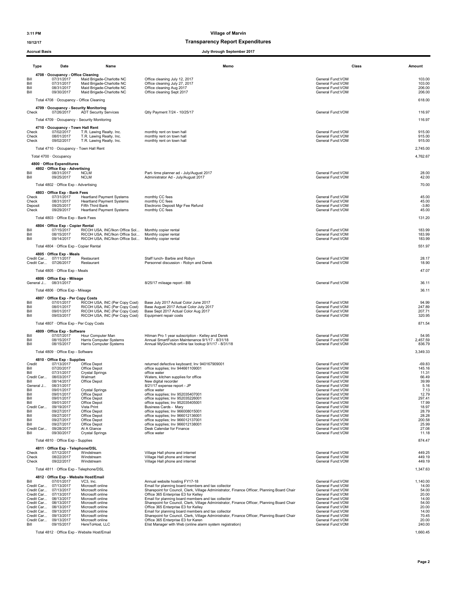### 10/12/17 Transparency Report Expenditures

|                                                                                                        | Type                                                                                                                       | Date                                                                                                                                                                                                                                                                     | Name                                                                                                                                                                                                                                                                         | Memo                                                                                                                                                                                                                                                                                                                                                                                                                                                                                                                                                                                                                                                                           |                                                                                                                                                                                                                                                                                                                                                                | Class<br>Amount                                                                                                                                           |
|--------------------------------------------------------------------------------------------------------|----------------------------------------------------------------------------------------------------------------------------|--------------------------------------------------------------------------------------------------------------------------------------------------------------------------------------------------------------------------------------------------------------------------|------------------------------------------------------------------------------------------------------------------------------------------------------------------------------------------------------------------------------------------------------------------------------|--------------------------------------------------------------------------------------------------------------------------------------------------------------------------------------------------------------------------------------------------------------------------------------------------------------------------------------------------------------------------------------------------------------------------------------------------------------------------------------------------------------------------------------------------------------------------------------------------------------------------------------------------------------------------------|----------------------------------------------------------------------------------------------------------------------------------------------------------------------------------------------------------------------------------------------------------------------------------------------------------------------------------------------------------------|-----------------------------------------------------------------------------------------------------------------------------------------------------------|
| Bill<br>Bill<br>Bill<br>Bill                                                                           |                                                                                                                            | 4708 · Occupancy - Office Cleaning<br>07/31/2017<br>07/31/2017<br>08/31/2017<br>09/30/2017                                                                                                                                                                               | Maid Brigade-Charlotte NC<br>Maid Brigade-Charlotte NC<br>Maid Brigade-Charlotte NC<br>Maid Brigade-Charlotte NC                                                                                                                                                             | Office cleaning July 12, 2017<br>Office cleaning July 27, 2017<br>Office cleaning Aug 2017<br>Office cleaning Sept 2017                                                                                                                                                                                                                                                                                                                                                                                                                                                                                                                                                        | General Fund: VOM<br>General Fund: VOM<br>General Fund: VOM<br>General Fund: VOM                                                                                                                                                                                                                                                                               | 103.00<br>103.00<br>206.00<br>206.00                                                                                                                      |
| Check                                                                                                  |                                                                                                                            | Total 4708 · Occupancy - Office Cleaning<br>4709 · Occupancy - Security Monitoring<br>07/26/2017                                                                                                                                                                         | <b>ADT Security Services</b><br>Total 4709 · Occupancy - Security Monitoring                                                                                                                                                                                                 | Qtly Payment 7/24 - 10/25/17                                                                                                                                                                                                                                                                                                                                                                                                                                                                                                                                                                                                                                                   | General Fund:VOM                                                                                                                                                                                                                                                                                                                                               | 618.00<br>116.97<br>116.97                                                                                                                                |
| Check<br>Check<br>Check                                                                                |                                                                                                                            | 4710 · Occupancy - Town Hall Rent<br>07/02/2017<br>08/01/2017<br>09/02/2017                                                                                                                                                                                              | T.R. Lawing Realty. Inc.<br>T.R. Lawing Realty. Inc.<br>T.R. Lawing Realty. Inc.                                                                                                                                                                                             | monthly rent on town hall<br>monthly rent on town hall<br>monthly rent on town hall                                                                                                                                                                                                                                                                                                                                                                                                                                                                                                                                                                                            | General Fund: VOM<br>General Fund: VOM<br>General Fund: VOM                                                                                                                                                                                                                                                                                                    | 915.00<br>915.00<br>915.00                                                                                                                                |
|                                                                                                        |                                                                                                                            | Total 4710 · Occupancy - Town Hall Rent                                                                                                                                                                                                                                  |                                                                                                                                                                                                                                                                              |                                                                                                                                                                                                                                                                                                                                                                                                                                                                                                                                                                                                                                                                                |                                                                                                                                                                                                                                                                                                                                                                | 2,745.00                                                                                                                                                  |
|                                                                                                        |                                                                                                                            | Total 4700 · Occupancy<br>4800 · Office Expenditures                                                                                                                                                                                                                     |                                                                                                                                                                                                                                                                              |                                                                                                                                                                                                                                                                                                                                                                                                                                                                                                                                                                                                                                                                                |                                                                                                                                                                                                                                                                                                                                                                | 4,762.67                                                                                                                                                  |
| Bill<br>Bill                                                                                           |                                                                                                                            | 4802 Office Exp - Advertising<br>08/31/2017<br>09/25/2017                                                                                                                                                                                                                | <b>NCLM</b><br><b>NCLM</b>                                                                                                                                                                                                                                                   | Part- time planner ad - July/August 2017<br>Administrator Ad - July/August 2017                                                                                                                                                                                                                                                                                                                                                                                                                                                                                                                                                                                                | General Fund: VOM<br>General Fund: VOM                                                                                                                                                                                                                                                                                                                         | 28.00<br>42.00                                                                                                                                            |
|                                                                                                        |                                                                                                                            | Total 4802 · Office Exp - Advertising                                                                                                                                                                                                                                    |                                                                                                                                                                                                                                                                              |                                                                                                                                                                                                                                                                                                                                                                                                                                                                                                                                                                                                                                                                                |                                                                                                                                                                                                                                                                                                                                                                | 70.00                                                                                                                                                     |
| Check<br>Check<br>Deposit<br>Check                                                                     |                                                                                                                            | 4803 · Office Exp - Bank Fees<br>07/31/2017<br>08/31/2017<br>09/25/2017<br>09/29/2017                                                                                                                                                                                    | <b>Heartland Payment Systems</b><br><b>Heartland Payment Systems</b><br>Fifth Third Bank<br><b>Heartland Payment Systems</b>                                                                                                                                                 | monthly CC fees<br>monthly CC fees<br>Electronic Deposit Mgr Fee Refund<br>monthly CC fees                                                                                                                                                                                                                                                                                                                                                                                                                                                                                                                                                                                     | General Fund: VOM<br>General Fund: VOM<br>General Fund: VOM<br>General Fund: VOM                                                                                                                                                                                                                                                                               | 45.00<br>45.00<br>$-3.80$<br>45.00                                                                                                                        |
|                                                                                                        |                                                                                                                            | Total 4803 · Office Exp - Bank Fees                                                                                                                                                                                                                                      |                                                                                                                                                                                                                                                                              |                                                                                                                                                                                                                                                                                                                                                                                                                                                                                                                                                                                                                                                                                |                                                                                                                                                                                                                                                                                                                                                                | 131.20                                                                                                                                                    |
| Bill<br>Bill<br>Bill                                                                                   |                                                                                                                            | 4804 · Office Exp - Copier Rental<br>07/15/2017<br>08/15/2017<br>09/14/2017                                                                                                                                                                                              | RICOH USA, INC/Ikon Office Sol<br>RICOH USA, INC/Ikon Office Sol<br>RICOH USA, INC/Ikon Office Sol                                                                                                                                                                           | Monthly copier rental<br>Monthly copier rental<br>Monthly copier rental                                                                                                                                                                                                                                                                                                                                                                                                                                                                                                                                                                                                        | General Fund: VOM<br>General Fund: VOM<br>General Fund:VOM                                                                                                                                                                                                                                                                                                     | 183.99<br>183.99<br>183.99                                                                                                                                |
|                                                                                                        |                                                                                                                            | Total 4804 · Office Exp - Copier Rental                                                                                                                                                                                                                                  |                                                                                                                                                                                                                                                                              |                                                                                                                                                                                                                                                                                                                                                                                                                                                                                                                                                                                                                                                                                |                                                                                                                                                                                                                                                                                                                                                                | 551.97                                                                                                                                                    |
|                                                                                                        |                                                                                                                            | 4805 · Office Exp - Meals<br>Credit Car 07/11/2017<br>Credit Car 07/26/2017                                                                                                                                                                                              | Restaurant<br>Restaurant                                                                                                                                                                                                                                                     | Staff lunch- Barbie and Robyn<br>Personnel discussion - Robyn and Derek                                                                                                                                                                                                                                                                                                                                                                                                                                                                                                                                                                                                        | General Fund:VOM<br>General Fund: VOM                                                                                                                                                                                                                                                                                                                          | 28.17<br>18.90                                                                                                                                            |
|                                                                                                        |                                                                                                                            | Total 4805 · Office Exp - Meals<br>4806 · Office Exp - Mileage                                                                                                                                                                                                           |                                                                                                                                                                                                                                                                              |                                                                                                                                                                                                                                                                                                                                                                                                                                                                                                                                                                                                                                                                                |                                                                                                                                                                                                                                                                                                                                                                | 47.07                                                                                                                                                     |
|                                                                                                        |                                                                                                                            | General J 08/31/2017<br>Total 4806 · Office Exp - Mileage                                                                                                                                                                                                                |                                                                                                                                                                                                                                                                              | 8/25/17 mileage report - BB                                                                                                                                                                                                                                                                                                                                                                                                                                                                                                                                                                                                                                                    | General Fund: VOM                                                                                                                                                                                                                                                                                                                                              | 36.11<br>36.11                                                                                                                                            |
| Bill<br>Bill<br>Bill<br>Bill                                                                           |                                                                                                                            | 4807 · Office Exp - Per Copy Costs<br>07/01/2017<br>08/01/2017<br>09/01/2017<br>09/03/2017                                                                                                                                                                               | RICOH USA, INC (Per Copy Cost)<br>RICOH USA, INC (Per Copy Cost)<br>RICOH USA, INC (Per Copy Cost)<br>RICOH USA, INC (Per Copy Cost)                                                                                                                                         | Base July 2017 Actual Color June 2017<br>Base August 2017 Actual Color July 2017<br>Base Sept 2017 Actual Color Aug 2017<br>Equipment repair costs                                                                                                                                                                                                                                                                                                                                                                                                                                                                                                                             | General Fund:VOM<br>General Fund: VOM<br>General Fund:VOM<br>General Fund: VOM                                                                                                                                                                                                                                                                                 | 94.99<br>247.89<br>207.71<br>320.95                                                                                                                       |
|                                                                                                        |                                                                                                                            | Total 4807 · Office Exp - Per Copy Costs                                                                                                                                                                                                                                 |                                                                                                                                                                                                                                                                              |                                                                                                                                                                                                                                                                                                                                                                                                                                                                                                                                                                                                                                                                                |                                                                                                                                                                                                                                                                                                                                                                | 871.54                                                                                                                                                    |
| Bill<br>Bill<br>Bill                                                                                   |                                                                                                                            | 4809 · Office Exp - Software<br>07/07/2017<br>08/15/2017<br>08/15/2017                                                                                                                                                                                                   | Hour Computer Man<br>Harris Computer Systems<br>Harris Computer Systems                                                                                                                                                                                                      | Hitman Pro 1 year subscription - Kelley and Derek<br>Annual SmartFusion Maintenance 9/1/17 - 8/31/18<br>Annual MyGovHub online tax lookup 9/1/17 - 8/31/18                                                                                                                                                                                                                                                                                                                                                                                                                                                                                                                     | General Fund: VOM<br>General Fund: VOM<br>General Fund: VOM                                                                                                                                                                                                                                                                                                    | 54.95<br>2,457.59<br>836.79                                                                                                                               |
|                                                                                                        |                                                                                                                            | Total 4809 · Office Exp - Software                                                                                                                                                                                                                                       |                                                                                                                                                                                                                                                                              |                                                                                                                                                                                                                                                                                                                                                                                                                                                                                                                                                                                                                                                                                |                                                                                                                                                                                                                                                                                                                                                                | 3,349.33                                                                                                                                                  |
| Credit<br>Bill<br>Bill<br>Bill<br>Bill<br>Bill<br>Bill<br>Bill<br>Bill<br>Bill<br>Bill<br>Bill<br>Bill | Credit Car<br>General J<br>Credit Car<br>Credit Car                                                                        | 4810 Office Exp - Supplies<br>07/13/2017<br>07/20/2017<br>07/31/2017<br>08/03/2017<br>08/14/2017<br>08/31/2017<br>09/01/2017<br>09/01/2017<br>09/01/2017<br>09/01/2017<br>09/19/2017<br>09/27/2017<br>09/27/2017<br>09/27/2017<br>09/27/2017<br>09/28/2017<br>09/30/2017 | Office Depot<br>Office Depot<br>Crystal Springs<br>Walmart<br>Office Depot<br><b>Crystal Springs</b><br>Office Depot<br>Office Depot<br>Office Depot<br>Vista Print<br>Office Depot<br>Office Depot<br>Office Depot<br>Office Depot<br>At A Glance<br><b>Crystal Springs</b> | returned defective keyboard; Inv 940167909001<br>office supplies; Inv 944661109001<br>office water<br>Waters, kitchen supplies for office<br>New digital recorder<br>8/21/17 expense report - JP<br>office water<br>office supplies; Inv 952035407001<br>office supplies; Inv 952035226001<br>office supplies; Inv 952035405001<br>Business Cards - Marv<br>office supplies; Inv 966008015001<br>office supplies; Inv 966012136001<br>office supplies; Inv 966012137001<br>office supplies; Inv 966012138001<br>Desk Calendar for Finance<br>office water                                                                                                                      | General Fund: VOM<br>General Fund: VOM<br>General Fund:VOM<br>General Fund: VOM<br>General Fund:VOM<br>General Fund: VOM<br>General Fund: VOM<br>General Fund: VOM<br>General Fund: VOM<br>General Fund: VOM<br>General Fund: VOM<br>General Fund: VOM<br>General Fund: VOM<br>General Fund: VOM<br>General Fund: VOM<br>General Fund: VOM<br>General Fund:VOM | $-69.83$<br>145.16<br>11.31<br>66.49<br>39.99<br>5.16<br>7.13<br>12.79<br>297.41<br>17.99<br>18.97<br>28.79<br>28.28<br>200.58<br>25.99<br>27.08<br>11.18 |
|                                                                                                        |                                                                                                                            | Total 4810 · Office Exp - Supplies                                                                                                                                                                                                                                       |                                                                                                                                                                                                                                                                              |                                                                                                                                                                                                                                                                                                                                                                                                                                                                                                                                                                                                                                                                                |                                                                                                                                                                                                                                                                                                                                                                | 874.47                                                                                                                                                    |
| Check<br>Check<br>Check                                                                                |                                                                                                                            | 4811 · Office Exp - Telephone/DSL<br>07/12/2017<br>08/22/2017<br>09/22/2017                                                                                                                                                                                              | Windstream<br>Windstream<br>Windstream                                                                                                                                                                                                                                       | Village Hall phone and internet<br>Village Hall phone and internet<br>Village Hall phone and internet                                                                                                                                                                                                                                                                                                                                                                                                                                                                                                                                                                          | General Fund: VOM<br>General Fund: VOM<br>General Fund: VOM                                                                                                                                                                                                                                                                                                    | 449.25<br>449.19<br>449.19                                                                                                                                |
|                                                                                                        |                                                                                                                            | Total 4811 · Office Exp - Telephone/DSL                                                                                                                                                                                                                                  |                                                                                                                                                                                                                                                                              |                                                                                                                                                                                                                                                                                                                                                                                                                                                                                                                                                                                                                                                                                |                                                                                                                                                                                                                                                                                                                                                                | 1,347.63                                                                                                                                                  |
| Bill<br>Bill                                                                                           | Credit Car<br>Credit Car<br>Credit Car<br>Credit Car<br>Credit Car<br>Credit Car<br>Credit Car<br>Credit Car<br>Credit Car | 4812 · Office Exp - Website Host/Email<br>07/01/2017<br>07/13/2017<br>07/13/2017<br>07/13/2017<br>08/13/2017<br>08/13/2017<br>08/13/2017<br>09/13/2017<br>09/13/2017<br>09/13/2017<br>09/15/2017                                                                         | VC3, Inc.<br>Microsoft online<br>Microsoft online<br>Microsoft online<br>Microsoft online<br>Microsoft online<br>Microsoft online<br>Microsoft online<br>Microsoft online<br>Microsoft online<br>HereToHost, LLC                                                             | Annual website hosting FY17-18<br>Email for planning board members and tax collector<br>Sharepoint for Council, Clerk, Village Administrator, Finance Officer, Planning Board Chair<br>Office 365 Enterprise E3 for Kelley<br>Email for planning board members and tax collector<br>Sharepoint for Council, Clerk, Village Administrator, Finance Officer, Planning Board Chair<br>Office 365 Enterprise E3 for Kelley<br>Email for planning board members and tax collector<br>Sharepoint for Council, Clerk, Village Administrator, Finance Officer, Planning Board Chair<br>Office 365 Enterprise E3 for Karen<br>Elist Manager with Web (online alarm system registration) | General Fund: VOM<br>General Fund: VOM<br>General Fund:VOM<br>General Fund: VOM<br>General Fund: VOM<br>General Fund: VOM<br>General Fund: VOM<br>General Fund:VOM<br>General Fund:VOM<br>General Fund: VOM<br>General Fund: VOM                                                                                                                               | 1,140.00<br>14.00<br>54.00<br>20.00<br>14.00<br>54.00<br>20.00<br>14.00<br>70.45<br>20.00<br>240.00                                                       |
|                                                                                                        |                                                                                                                            |                                                                                                                                                                                                                                                                          | Total 4812 · Office Exp - Website Host/Email                                                                                                                                                                                                                                 |                                                                                                                                                                                                                                                                                                                                                                                                                                                                                                                                                                                                                                                                                |                                                                                                                                                                                                                                                                                                                                                                | 1,660.45                                                                                                                                                  |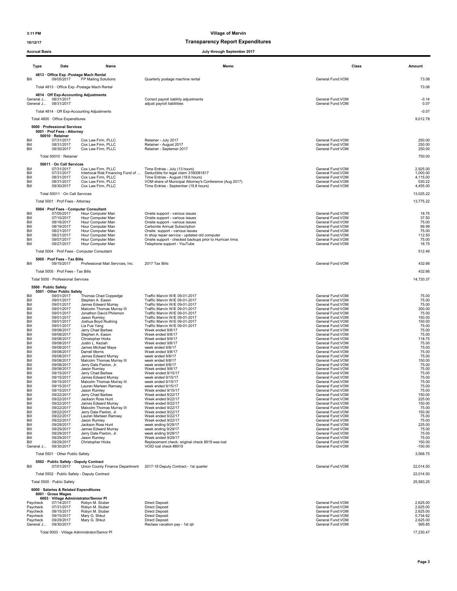### 10/12/17 Transparency Report Expenditures

| Memo<br>Class<br><b>Type</b><br>Date<br>Name<br>Amount<br>4813 Office Exp - Postage Mach Rental<br>09/05/2017<br>FP Mailing Solutions<br>General Fund: VOM<br>73.08<br>Bill<br>Quarterly postage machine rental<br>73.08<br>Total 4813 · Office Exp - Postage Mach Rental<br>4814 Off Exp-Accounting Adjustments<br>General J 08/31/2017<br>Correct payroll liabliity adjustments<br>General Fund: VOM<br>$-0.14$<br>General J 08/31/2017<br>General Fund:VOM<br>adjust payroll liablilities<br>0.07<br>$-0.07$<br>Total 4814 · Off Exp-Accounting Adjustments<br>Total 4800 · Office Expenditures<br>9,012.78<br>5000 · Professional Services<br>5001 · Prof Fees - Attorney<br>50010 · Retainer<br>Bill<br>07/31/2017<br>Cox Law Firm, PLLC<br>Retainer - July 2017<br>General Fund:VOM<br>250.00<br>Cox Law Firm, PLLC<br>Retainer - August 2017<br>General Fund: VOM<br>250.00<br>Bill<br>08/31/2017<br>Bill<br>09/30/2017<br>Cox Law Firm, PLLC<br>Retainer - Septemer 2017<br>General Fund: VOM<br>250.00<br>Total 50010 · Retainer<br>750.00<br>50011 · On Call Services<br>Bill<br>07/31/2017<br>Cox Law Firm, PLLC<br>Time Entries - July (13 hours)<br>General Fund: VOM<br>2,925.00<br>Interlocal Risk Financing Fund of<br>Deductible for legal claim 3160081817<br>General Fund: VOM<br>Bill<br>07/31/2017<br>1,000.00<br>Cox Law Firm, PLLC<br>Time Entries - August (18.6 hours)<br>General Fund: VOM<br>Bill<br>08/31/2017<br>4,115.00<br>Bill<br>08/31/2017<br>Cox Law Firm, PLLC<br>VOM share of Municipal Attorney's Conference (Aug 2017)<br>General Fund:VOM<br>530.22<br>Bill<br>09/30/2017<br>Cox Law Firm, PLLC<br>Time Entries - September (19.8 hours)<br>General Fund: VOM<br>4,455.00<br>Total 50011 · On Call Services<br>13,025.22<br>Total 5001 · Prof Fees - Attorney<br>13.775.22<br>5004 · Prof Fees - Computer Consultant<br>07/05/2017<br>Hour Computer Man<br>Onsite support - various issues<br>General Fund:VOM<br>18.75<br>Bill<br>Hour Computer Man<br>Bill<br>07/10/2017<br>Onsite support - various issues<br>General Fund: VOM<br>37.50<br>Bill<br>08/16/2017<br>General Fund: VOM<br>Hour Computer Man<br>Onsite support - various issues<br>75.00<br>General Fund: VOM<br>Bill<br>08/19/2017<br>Hour Computer Man<br>Carbonite Annual Subscription<br>99.99<br>General Fund: VOM<br>Bill<br>08/21/2017<br>Hour Computer Man<br>Onsite support - various issues<br>75.00<br>General Fund:VOM<br>Bill<br>08/21/2017<br>Hour Computer Man<br>In shop repair service - updated old computer<br>112.50<br>Bill<br>09/07/2017<br>Hour Computer Man<br>Onsite support - checked backups prior to Hurrican Irma<br>General Fund: VOM<br>75.00<br>Bill<br>09/27/2017<br>Hour Computer Man<br>Telephone support - YouTube<br>General Fund: VOM<br>18.75<br>Total 5004 · Prof Fees - Computer Consultant<br>512.49<br>5005 · Prof Fees - Tax Bills<br>Bill<br>2017 Tax Bills<br>General Fund:VOM<br>432.66<br>09/15/2017<br>Professional Mail Services, Inc.<br>Total 5005 · Prof Fees - Tax Bills<br>432.66<br>Total 5000 · Professional Services<br>14,720.37<br>5500 · Public Safety<br>5501 · Other Public Safety<br>Bill<br>09/01/2017<br>Thomas Chad Coppedge<br>Traffic Marvin W/E 09-01-2017<br>General Fund: VOM<br>75.00<br>Traffic Marvin W/E 09-01-2017<br>General Fund: VOM<br>Bill<br>09/01/2017<br>Stephen A. Eason<br>75.00<br>Bill<br>09/01/2017<br>James Edward Murray<br>Traffic Marvin W/E 09-01-2017<br>General Fund:VOM<br>75.00<br>General Fund: VOM<br>Bill<br>09/01/2017<br>Malcolm Thomas Murray III<br>Traffic Marvin W/E 09-01-2017<br>300.00<br>09/01/2017<br>Jonathon David Philemon<br>Traffic Marvin W/E 09-01-2017<br>General Fund:VOM<br>Bill<br>75.00<br>General Fund:VOM<br>09/01/2017<br>Traffic Marvin W/E 09-01-2017<br>Bill<br>Jason Rumley<br>150.00<br>Traffic Marvin W/E 09-01-2017<br>Bill<br>09/01/2017<br>Joshua Boyd Rushing<br>General Fund: VOM<br>150.00<br>Bill<br>09/01/2017<br>Lia Fue Yang<br>Traffic Marvin W/E 09-01-2017<br>General Fund: VOM<br>75.00<br>09/08/2017<br>Jerry Chad Barbee<br>Week ended 9/8/17<br>General Fund: VOM<br>75.00<br>Bill<br>Bill<br>09/08/2017<br>Stephen A. Eason<br>Week ended 9/8/17<br>General Fund: VOM<br>75.00<br>Christopher Hicks<br>Week ended 9/8/17<br>General Fund: VOM<br>Bill<br>09/08/2017<br>118.75<br>Bill<br>09/08/2017<br>Justin L. Keziah<br>Week ended 9/8/17<br>General Fund: VOM<br>75.00<br>General Fund:VOM<br>Bill<br>09/08/2017<br>James Michael Maye<br>week ended 9/8/17<br>75.00<br>Bill<br>09/08/2017<br>Darrell Morris<br>Week ended 9/8/17<br>General Fund: VOM<br>75.00<br>09/08/2017<br>James Edward Murray<br>week ended 9/8/17<br>General Fund: VOM<br>Bill<br>75.00<br>Bill<br>09/08/2017<br>Malcolm Thomas Murray III<br>week ended 9/8/17<br>General Fund:VOM<br>150.00<br>Jerry Dale Paxton, Jr.<br>General Fund:VOM<br>Bill<br>09/08/2017<br>week ended 9/8/17<br>75.00<br>Jason Rumley<br>Bill<br>09/08/2017<br>Week ended 9/8/17<br>General Fund: VOM<br>75.00<br>09/15/2017<br>Jerry Chad Barbee<br>Week ended 9/15/17<br>General Fund: VOM<br>75.00<br>Bill<br>Bill<br>09/15/2017<br>James Edward Murray<br>week ended 9/15/17<br>General Fund: VOM<br>75.00<br>Rill<br>09/15/2017<br>Malcolm Thomas Murray III<br>week ended 9/15/17<br>General Fund:VOM<br>75.00<br>Bill<br>week ended 9/15/17<br>09/15/2017<br>Lauren Marleen Ramsey<br>General Fund: VOM<br>75.00<br>Bill<br>09/15/2017<br>Jason Rumley<br>Week ended 9/15/17<br>General Fund: VOM<br>75.00<br>09/22/2017<br>Jerry Chad Barbee<br>Week ended 9/22/17<br>General Fund: VOM<br>Bill<br>150.00<br>Jackson Ross Hunt<br>General Fund:VOM<br>09/22/2017<br>Week ended 9/22/17<br>225.00<br>Bill<br>Bill<br>09/22/2017<br>James Edward Murray<br>Week ended 9/22/17<br>General Fund: VOM<br>150.00<br>Bill<br>09/22/2017<br>Malcolm Thomas Murray III<br>Week ended 9/22/17<br>General Fund: VOM<br>75.00<br>09/22/2017<br>Jerry Dale Paxton, Jr.<br>Week ended 9/22/17<br>General Fund: VOM<br>150.00<br>Bill<br>Lauren Marleen Ramsey<br>General Fund: VOM<br>Bill<br>09/22/2017<br>Week ended 9/22/17<br>75.00<br>Jason Rumley<br>Week ended 9/22/17<br>General Fund: VOM<br>75.00<br>Bill<br>09/22/2017<br>225.00<br>Jackson Ross Hunt<br>week ending 9/29/17<br>General Fund: VOM<br>Bill<br>09/29/2017<br>James Edward Murray<br>week ending 9/29/17<br>General Fund:VOM<br>Bill<br>09/29/2017<br>75.00<br>Jerry Dale Paxton, Jr.<br>General Fund: VOM<br>Bill<br>09/29/2017<br>week ending 9/29/17<br>75.00<br>09/29/2017<br>Jason Rumley<br>Week ended 9/29/17<br>General Fund:VOM<br>75.00<br>Bill<br>09/29/2017<br><b>Christopher Hicks</b><br>Replacement check; original check 8919 was lost<br>General Fund: VOM<br>150.00<br>Bill<br>VOID lost check #8919<br>General Fund: VOM<br>General J<br>09/30/2017<br>$-150.00$<br>Total 5501 · Other Public Safety<br>3,568.75<br>5502 · Public Safety - Deputy Contract<br>Bill<br>2017-18 Deputy Contract - 1st quarter<br>General Fund:VOM<br>07/01/2017<br>Union County Finance Department<br>22,014.50<br>22,014.50<br>Total 5502 · Public Safety - Deputy Contract<br>Total 5500 · Public Safety<br>25,583.25<br>6000 · Salaries & Related Expenditures<br>6001 · Gross Wages<br>6003 · Village Administrator/Senior Pl<br>07/14/2017<br>Robyn M. Stuber<br><b>Direct Deposit</b><br>General Fund:VOM<br>2,625.00<br>Paycheck<br>Robyn M. Stuber<br>Paycheck<br>07/31/2017<br><b>Direct Deposit</b><br>General Fund:VOM<br>2,625.00<br>Paycheck<br>08/15/2017<br>Robyn M. Stuber<br><b>Direct Deposit</b><br>General Fund:VOM<br>2,625.00<br>Paycheck<br>09/15/2017<br>Mary G. Shkut<br><b>Direct Deposit</b><br>General Fund: VOM<br>5,734.62<br>Mary G. Shkut<br><b>Direct Deposit</b><br>General Fund: VOM<br>2,625.00<br>Paycheck<br>09/29/2017<br>09/30/2017<br>General Fund:VOM<br>995.85<br>General J<br>Reclass vacation pay - 1st qtr | <b>Accrual Basis</b> |  | July through September 2017 |  |
|--------------------------------------------------------------------------------------------------------------------------------------------------------------------------------------------------------------------------------------------------------------------------------------------------------------------------------------------------------------------------------------------------------------------------------------------------------------------------------------------------------------------------------------------------------------------------------------------------------------------------------------------------------------------------------------------------------------------------------------------------------------------------------------------------------------------------------------------------------------------------------------------------------------------------------------------------------------------------------------------------------------------------------------------------------------------------------------------------------------------------------------------------------------------------------------------------------------------------------------------------------------------------------------------------------------------------------------------------------------------------------------------------------------------------------------------------------------------------------------------------------------------------------------------------------------------------------------------------------------------------------------------------------------------------------------------------------------------------------------------------------------------------------------------------------------------------------------------------------------------------------------------------------------------------------------------------------------------------------------------------------------------------------------------------------------------------------------------------------------------------------------------------------------------------------------------------------------------------------------------------------------------------------------------------------------------------------------------------------------------------------------------------------------------------------------------------------------------------------------------------------------------------------------------------------------------------------------------------------------------------------------------------------------------------------------------------------------------------------------------------------------------------------------------------------------------------------------------------------------------------------------------------------------------------------------------------------------------------------------------------------------------------------------------------------------------------------------------------------------------------------------------------------------------------------------------------------------------------------------------------------------------------------------------------------------------------------------------------------------------------------------------------------------------------------------------------------------------------------------------------------------------------------------------------------------------------------------------------------------------------------------------------------------------------------------------------------------------------------------------------------------------------------------------------------------------------------------------------------------------------------------------------------------------------------------------------------------------------------------------------------------------------------------------------------------------------------------------------------------------------------------------------------------------------------------------------------------------------------------------------------------------------------------------------------------------------------------------------------------------------------------------------------------------------------------------------------------------------------------------------------------------------------------------------------------------------------------------------------------------------------------------------------------------------------------------------------------------------------------------------------------------------------------------------------------------------------------------------------------------------------------------------------------------------------------------------------------------------------------------------------------------------------------------------------------------------------------------------------------------------------------------------------------------------------------------------------------------------------------------------------------------------------------------------------------------------------------------------------------------------------------------------------------------------------------------------------------------------------------------------------------------------------------------------------------------------------------------------------------------------------------------------------------------------------------------------------------------------------------------------------------------------------------------------------------------------------------------------------------------------------------------------------------------------------------------------------------------------------------------------------------------------------------------------------------------------------------------------------------------------------------------------------------------------------------------------------------------------------------------------------------------------------------------------------------------------------------------------------------------------------------------------------------------------------------------------------------------------------------------------------------------------------------------------------------------------------------------------------------------------------------------------------------------------------------------------------------------------------------------------------------------------------------------------------------------------------------------------------------------------------------------------------------------------------------------------------------------------------------------------------------------------------------------------------------------------------------------------------------------------------------------------------------------------------------------------------------------------------------------------------------------------------------------------------------------------------------------------------------------------------------------------------------------------------------------------------------------------------------------------------------------------------------------------------------------------------------------------------------------------------------------------------------------------------------------------------------------------------------------------------------------------------------------------------------------------------------------------------------------------------------------------------------------------------------------------|----------------------|--|-----------------------------|--|
|                                                                                                                                                                                                                                                                                                                                                                                                                                                                                                                                                                                                                                                                                                                                                                                                                                                                                                                                                                                                                                                                                                                                                                                                                                                                                                                                                                                                                                                                                                                                                                                                                                                                                                                                                                                                                                                                                                                                                                                                                                                                                                                                                                                                                                                                                                                                                                                                                                                                                                                                                                                                                                                                                                                                                                                                                                                                                                                                                                                                                                                                                                                                                                                                                                                                                                                                                                                                                                                                                                                                                                                                                                                                                                                                                                                                                                                                                                                                                                                                                                                                                                                                                                                                                                                                                                                                                                                                                                                                                                                                                                                                                                                                                                                                                                                                                                                                                                                                                                                                                                                                                                                                                                                                                                                                                                                                                                                                                                                                                                                                                                                                                                                                                                                                                                                                                                                                                                                                                                                                                                                                                                                                                                                                                                                                                                                                                                                                                                                                                                                                                                                                                                                                                                                                                                                                                                                                                                                                                                                                                                                                                                                                                                                                                                                                                                                                                                                                                                                                                                                                                                                                                                                                                                                                                                                                                                                                                                                                                  |                      |  |                             |  |
|                                                                                                                                                                                                                                                                                                                                                                                                                                                                                                                                                                                                                                                                                                                                                                                                                                                                                                                                                                                                                                                                                                                                                                                                                                                                                                                                                                                                                                                                                                                                                                                                                                                                                                                                                                                                                                                                                                                                                                                                                                                                                                                                                                                                                                                                                                                                                                                                                                                                                                                                                                                                                                                                                                                                                                                                                                                                                                                                                                                                                                                                                                                                                                                                                                                                                                                                                                                                                                                                                                                                                                                                                                                                                                                                                                                                                                                                                                                                                                                                                                                                                                                                                                                                                                                                                                                                                                                                                                                                                                                                                                                                                                                                                                                                                                                                                                                                                                                                                                                                                                                                                                                                                                                                                                                                                                                                                                                                                                                                                                                                                                                                                                                                                                                                                                                                                                                                                                                                                                                                                                                                                                                                                                                                                                                                                                                                                                                                                                                                                                                                                                                                                                                                                                                                                                                                                                                                                                                                                                                                                                                                                                                                                                                                                                                                                                                                                                                                                                                                                                                                                                                                                                                                                                                                                                                                                                                                                                                                                  |                      |  |                             |  |
|                                                                                                                                                                                                                                                                                                                                                                                                                                                                                                                                                                                                                                                                                                                                                                                                                                                                                                                                                                                                                                                                                                                                                                                                                                                                                                                                                                                                                                                                                                                                                                                                                                                                                                                                                                                                                                                                                                                                                                                                                                                                                                                                                                                                                                                                                                                                                                                                                                                                                                                                                                                                                                                                                                                                                                                                                                                                                                                                                                                                                                                                                                                                                                                                                                                                                                                                                                                                                                                                                                                                                                                                                                                                                                                                                                                                                                                                                                                                                                                                                                                                                                                                                                                                                                                                                                                                                                                                                                                                                                                                                                                                                                                                                                                                                                                                                                                                                                                                                                                                                                                                                                                                                                                                                                                                                                                                                                                                                                                                                                                                                                                                                                                                                                                                                                                                                                                                                                                                                                                                                                                                                                                                                                                                                                                                                                                                                                                                                                                                                                                                                                                                                                                                                                                                                                                                                                                                                                                                                                                                                                                                                                                                                                                                                                                                                                                                                                                                                                                                                                                                                                                                                                                                                                                                                                                                                                                                                                                                                  |                      |  |                             |  |
|                                                                                                                                                                                                                                                                                                                                                                                                                                                                                                                                                                                                                                                                                                                                                                                                                                                                                                                                                                                                                                                                                                                                                                                                                                                                                                                                                                                                                                                                                                                                                                                                                                                                                                                                                                                                                                                                                                                                                                                                                                                                                                                                                                                                                                                                                                                                                                                                                                                                                                                                                                                                                                                                                                                                                                                                                                                                                                                                                                                                                                                                                                                                                                                                                                                                                                                                                                                                                                                                                                                                                                                                                                                                                                                                                                                                                                                                                                                                                                                                                                                                                                                                                                                                                                                                                                                                                                                                                                                                                                                                                                                                                                                                                                                                                                                                                                                                                                                                                                                                                                                                                                                                                                                                                                                                                                                                                                                                                                                                                                                                                                                                                                                                                                                                                                                                                                                                                                                                                                                                                                                                                                                                                                                                                                                                                                                                                                                                                                                                                                                                                                                                                                                                                                                                                                                                                                                                                                                                                                                                                                                                                                                                                                                                                                                                                                                                                                                                                                                                                                                                                                                                                                                                                                                                                                                                                                                                                                                                                  |                      |  |                             |  |
|                                                                                                                                                                                                                                                                                                                                                                                                                                                                                                                                                                                                                                                                                                                                                                                                                                                                                                                                                                                                                                                                                                                                                                                                                                                                                                                                                                                                                                                                                                                                                                                                                                                                                                                                                                                                                                                                                                                                                                                                                                                                                                                                                                                                                                                                                                                                                                                                                                                                                                                                                                                                                                                                                                                                                                                                                                                                                                                                                                                                                                                                                                                                                                                                                                                                                                                                                                                                                                                                                                                                                                                                                                                                                                                                                                                                                                                                                                                                                                                                                                                                                                                                                                                                                                                                                                                                                                                                                                                                                                                                                                                                                                                                                                                                                                                                                                                                                                                                                                                                                                                                                                                                                                                                                                                                                                                                                                                                                                                                                                                                                                                                                                                                                                                                                                                                                                                                                                                                                                                                                                                                                                                                                                                                                                                                                                                                                                                                                                                                                                                                                                                                                                                                                                                                                                                                                                                                                                                                                                                                                                                                                                                                                                                                                                                                                                                                                                                                                                                                                                                                                                                                                                                                                                                                                                                                                                                                                                                                                  |                      |  |                             |  |
|                                                                                                                                                                                                                                                                                                                                                                                                                                                                                                                                                                                                                                                                                                                                                                                                                                                                                                                                                                                                                                                                                                                                                                                                                                                                                                                                                                                                                                                                                                                                                                                                                                                                                                                                                                                                                                                                                                                                                                                                                                                                                                                                                                                                                                                                                                                                                                                                                                                                                                                                                                                                                                                                                                                                                                                                                                                                                                                                                                                                                                                                                                                                                                                                                                                                                                                                                                                                                                                                                                                                                                                                                                                                                                                                                                                                                                                                                                                                                                                                                                                                                                                                                                                                                                                                                                                                                                                                                                                                                                                                                                                                                                                                                                                                                                                                                                                                                                                                                                                                                                                                                                                                                                                                                                                                                                                                                                                                                                                                                                                                                                                                                                                                                                                                                                                                                                                                                                                                                                                                                                                                                                                                                                                                                                                                                                                                                                                                                                                                                                                                                                                                                                                                                                                                                                                                                                                                                                                                                                                                                                                                                                                                                                                                                                                                                                                                                                                                                                                                                                                                                                                                                                                                                                                                                                                                                                                                                                                                                  |                      |  |                             |  |
|                                                                                                                                                                                                                                                                                                                                                                                                                                                                                                                                                                                                                                                                                                                                                                                                                                                                                                                                                                                                                                                                                                                                                                                                                                                                                                                                                                                                                                                                                                                                                                                                                                                                                                                                                                                                                                                                                                                                                                                                                                                                                                                                                                                                                                                                                                                                                                                                                                                                                                                                                                                                                                                                                                                                                                                                                                                                                                                                                                                                                                                                                                                                                                                                                                                                                                                                                                                                                                                                                                                                                                                                                                                                                                                                                                                                                                                                                                                                                                                                                                                                                                                                                                                                                                                                                                                                                                                                                                                                                                                                                                                                                                                                                                                                                                                                                                                                                                                                                                                                                                                                                                                                                                                                                                                                                                                                                                                                                                                                                                                                                                                                                                                                                                                                                                                                                                                                                                                                                                                                                                                                                                                                                                                                                                                                                                                                                                                                                                                                                                                                                                                                                                                                                                                                                                                                                                                                                                                                                                                                                                                                                                                                                                                                                                                                                                                                                                                                                                                                                                                                                                                                                                                                                                                                                                                                                                                                                                                                                  |                      |  |                             |  |
|                                                                                                                                                                                                                                                                                                                                                                                                                                                                                                                                                                                                                                                                                                                                                                                                                                                                                                                                                                                                                                                                                                                                                                                                                                                                                                                                                                                                                                                                                                                                                                                                                                                                                                                                                                                                                                                                                                                                                                                                                                                                                                                                                                                                                                                                                                                                                                                                                                                                                                                                                                                                                                                                                                                                                                                                                                                                                                                                                                                                                                                                                                                                                                                                                                                                                                                                                                                                                                                                                                                                                                                                                                                                                                                                                                                                                                                                                                                                                                                                                                                                                                                                                                                                                                                                                                                                                                                                                                                                                                                                                                                                                                                                                                                                                                                                                                                                                                                                                                                                                                                                                                                                                                                                                                                                                                                                                                                                                                                                                                                                                                                                                                                                                                                                                                                                                                                                                                                                                                                                                                                                                                                                                                                                                                                                                                                                                                                                                                                                                                                                                                                                                                                                                                                                                                                                                                                                                                                                                                                                                                                                                                                                                                                                                                                                                                                                                                                                                                                                                                                                                                                                                                                                                                                                                                                                                                                                                                                                                  |                      |  |                             |  |
|                                                                                                                                                                                                                                                                                                                                                                                                                                                                                                                                                                                                                                                                                                                                                                                                                                                                                                                                                                                                                                                                                                                                                                                                                                                                                                                                                                                                                                                                                                                                                                                                                                                                                                                                                                                                                                                                                                                                                                                                                                                                                                                                                                                                                                                                                                                                                                                                                                                                                                                                                                                                                                                                                                                                                                                                                                                                                                                                                                                                                                                                                                                                                                                                                                                                                                                                                                                                                                                                                                                                                                                                                                                                                                                                                                                                                                                                                                                                                                                                                                                                                                                                                                                                                                                                                                                                                                                                                                                                                                                                                                                                                                                                                                                                                                                                                                                                                                                                                                                                                                                                                                                                                                                                                                                                                                                                                                                                                                                                                                                                                                                                                                                                                                                                                                                                                                                                                                                                                                                                                                                                                                                                                                                                                                                                                                                                                                                                                                                                                                                                                                                                                                                                                                                                                                                                                                                                                                                                                                                                                                                                                                                                                                                                                                                                                                                                                                                                                                                                                                                                                                                                                                                                                                                                                                                                                                                                                                                                                  |                      |  |                             |  |
|                                                                                                                                                                                                                                                                                                                                                                                                                                                                                                                                                                                                                                                                                                                                                                                                                                                                                                                                                                                                                                                                                                                                                                                                                                                                                                                                                                                                                                                                                                                                                                                                                                                                                                                                                                                                                                                                                                                                                                                                                                                                                                                                                                                                                                                                                                                                                                                                                                                                                                                                                                                                                                                                                                                                                                                                                                                                                                                                                                                                                                                                                                                                                                                                                                                                                                                                                                                                                                                                                                                                                                                                                                                                                                                                                                                                                                                                                                                                                                                                                                                                                                                                                                                                                                                                                                                                                                                                                                                                                                                                                                                                                                                                                                                                                                                                                                                                                                                                                                                                                                                                                                                                                                                                                                                                                                                                                                                                                                                                                                                                                                                                                                                                                                                                                                                                                                                                                                                                                                                                                                                                                                                                                                                                                                                                                                                                                                                                                                                                                                                                                                                                                                                                                                                                                                                                                                                                                                                                                                                                                                                                                                                                                                                                                                                                                                                                                                                                                                                                                                                                                                                                                                                                                                                                                                                                                                                                                                                                                  |                      |  |                             |  |
|                                                                                                                                                                                                                                                                                                                                                                                                                                                                                                                                                                                                                                                                                                                                                                                                                                                                                                                                                                                                                                                                                                                                                                                                                                                                                                                                                                                                                                                                                                                                                                                                                                                                                                                                                                                                                                                                                                                                                                                                                                                                                                                                                                                                                                                                                                                                                                                                                                                                                                                                                                                                                                                                                                                                                                                                                                                                                                                                                                                                                                                                                                                                                                                                                                                                                                                                                                                                                                                                                                                                                                                                                                                                                                                                                                                                                                                                                                                                                                                                                                                                                                                                                                                                                                                                                                                                                                                                                                                                                                                                                                                                                                                                                                                                                                                                                                                                                                                                                                                                                                                                                                                                                                                                                                                                                                                                                                                                                                                                                                                                                                                                                                                                                                                                                                                                                                                                                                                                                                                                                                                                                                                                                                                                                                                                                                                                                                                                                                                                                                                                                                                                                                                                                                                                                                                                                                                                                                                                                                                                                                                                                                                                                                                                                                                                                                                                                                                                                                                                                                                                                                                                                                                                                                                                                                                                                                                                                                                                                  |                      |  |                             |  |
|                                                                                                                                                                                                                                                                                                                                                                                                                                                                                                                                                                                                                                                                                                                                                                                                                                                                                                                                                                                                                                                                                                                                                                                                                                                                                                                                                                                                                                                                                                                                                                                                                                                                                                                                                                                                                                                                                                                                                                                                                                                                                                                                                                                                                                                                                                                                                                                                                                                                                                                                                                                                                                                                                                                                                                                                                                                                                                                                                                                                                                                                                                                                                                                                                                                                                                                                                                                                                                                                                                                                                                                                                                                                                                                                                                                                                                                                                                                                                                                                                                                                                                                                                                                                                                                                                                                                                                                                                                                                                                                                                                                                                                                                                                                                                                                                                                                                                                                                                                                                                                                                                                                                                                                                                                                                                                                                                                                                                                                                                                                                                                                                                                                                                                                                                                                                                                                                                                                                                                                                                                                                                                                                                                                                                                                                                                                                                                                                                                                                                                                                                                                                                                                                                                                                                                                                                                                                                                                                                                                                                                                                                                                                                                                                                                                                                                                                                                                                                                                                                                                                                                                                                                                                                                                                                                                                                                                                                                                                                  |                      |  |                             |  |
|                                                                                                                                                                                                                                                                                                                                                                                                                                                                                                                                                                                                                                                                                                                                                                                                                                                                                                                                                                                                                                                                                                                                                                                                                                                                                                                                                                                                                                                                                                                                                                                                                                                                                                                                                                                                                                                                                                                                                                                                                                                                                                                                                                                                                                                                                                                                                                                                                                                                                                                                                                                                                                                                                                                                                                                                                                                                                                                                                                                                                                                                                                                                                                                                                                                                                                                                                                                                                                                                                                                                                                                                                                                                                                                                                                                                                                                                                                                                                                                                                                                                                                                                                                                                                                                                                                                                                                                                                                                                                                                                                                                                                                                                                                                                                                                                                                                                                                                                                                                                                                                                                                                                                                                                                                                                                                                                                                                                                                                                                                                                                                                                                                                                                                                                                                                                                                                                                                                                                                                                                                                                                                                                                                                                                                                                                                                                                                                                                                                                                                                                                                                                                                                                                                                                                                                                                                                                                                                                                                                                                                                                                                                                                                                                                                                                                                                                                                                                                                                                                                                                                                                                                                                                                                                                                                                                                                                                                                                                                  |                      |  |                             |  |
|                                                                                                                                                                                                                                                                                                                                                                                                                                                                                                                                                                                                                                                                                                                                                                                                                                                                                                                                                                                                                                                                                                                                                                                                                                                                                                                                                                                                                                                                                                                                                                                                                                                                                                                                                                                                                                                                                                                                                                                                                                                                                                                                                                                                                                                                                                                                                                                                                                                                                                                                                                                                                                                                                                                                                                                                                                                                                                                                                                                                                                                                                                                                                                                                                                                                                                                                                                                                                                                                                                                                                                                                                                                                                                                                                                                                                                                                                                                                                                                                                                                                                                                                                                                                                                                                                                                                                                                                                                                                                                                                                                                                                                                                                                                                                                                                                                                                                                                                                                                                                                                                                                                                                                                                                                                                                                                                                                                                                                                                                                                                                                                                                                                                                                                                                                                                                                                                                                                                                                                                                                                                                                                                                                                                                                                                                                                                                                                                                                                                                                                                                                                                                                                                                                                                                                                                                                                                                                                                                                                                                                                                                                                                                                                                                                                                                                                                                                                                                                                                                                                                                                                                                                                                                                                                                                                                                                                                                                                                                  |                      |  |                             |  |
|                                                                                                                                                                                                                                                                                                                                                                                                                                                                                                                                                                                                                                                                                                                                                                                                                                                                                                                                                                                                                                                                                                                                                                                                                                                                                                                                                                                                                                                                                                                                                                                                                                                                                                                                                                                                                                                                                                                                                                                                                                                                                                                                                                                                                                                                                                                                                                                                                                                                                                                                                                                                                                                                                                                                                                                                                                                                                                                                                                                                                                                                                                                                                                                                                                                                                                                                                                                                                                                                                                                                                                                                                                                                                                                                                                                                                                                                                                                                                                                                                                                                                                                                                                                                                                                                                                                                                                                                                                                                                                                                                                                                                                                                                                                                                                                                                                                                                                                                                                                                                                                                                                                                                                                                                                                                                                                                                                                                                                                                                                                                                                                                                                                                                                                                                                                                                                                                                                                                                                                                                                                                                                                                                                                                                                                                                                                                                                                                                                                                                                                                                                                                                                                                                                                                                                                                                                                                                                                                                                                                                                                                                                                                                                                                                                                                                                                                                                                                                                                                                                                                                                                                                                                                                                                                                                                                                                                                                                                                                  |                      |  |                             |  |
|                                                                                                                                                                                                                                                                                                                                                                                                                                                                                                                                                                                                                                                                                                                                                                                                                                                                                                                                                                                                                                                                                                                                                                                                                                                                                                                                                                                                                                                                                                                                                                                                                                                                                                                                                                                                                                                                                                                                                                                                                                                                                                                                                                                                                                                                                                                                                                                                                                                                                                                                                                                                                                                                                                                                                                                                                                                                                                                                                                                                                                                                                                                                                                                                                                                                                                                                                                                                                                                                                                                                                                                                                                                                                                                                                                                                                                                                                                                                                                                                                                                                                                                                                                                                                                                                                                                                                                                                                                                                                                                                                                                                                                                                                                                                                                                                                                                                                                                                                                                                                                                                                                                                                                                                                                                                                                                                                                                                                                                                                                                                                                                                                                                                                                                                                                                                                                                                                                                                                                                                                                                                                                                                                                                                                                                                                                                                                                                                                                                                                                                                                                                                                                                                                                                                                                                                                                                                                                                                                                                                                                                                                                                                                                                                                                                                                                                                                                                                                                                                                                                                                                                                                                                                                                                                                                                                                                                                                                                                                  |                      |  |                             |  |
|                                                                                                                                                                                                                                                                                                                                                                                                                                                                                                                                                                                                                                                                                                                                                                                                                                                                                                                                                                                                                                                                                                                                                                                                                                                                                                                                                                                                                                                                                                                                                                                                                                                                                                                                                                                                                                                                                                                                                                                                                                                                                                                                                                                                                                                                                                                                                                                                                                                                                                                                                                                                                                                                                                                                                                                                                                                                                                                                                                                                                                                                                                                                                                                                                                                                                                                                                                                                                                                                                                                                                                                                                                                                                                                                                                                                                                                                                                                                                                                                                                                                                                                                                                                                                                                                                                                                                                                                                                                                                                                                                                                                                                                                                                                                                                                                                                                                                                                                                                                                                                                                                                                                                                                                                                                                                                                                                                                                                                                                                                                                                                                                                                                                                                                                                                                                                                                                                                                                                                                                                                                                                                                                                                                                                                                                                                                                                                                                                                                                                                                                                                                                                                                                                                                                                                                                                                                                                                                                                                                                                                                                                                                                                                                                                                                                                                                                                                                                                                                                                                                                                                                                                                                                                                                                                                                                                                                                                                                                                  |                      |  |                             |  |
|                                                                                                                                                                                                                                                                                                                                                                                                                                                                                                                                                                                                                                                                                                                                                                                                                                                                                                                                                                                                                                                                                                                                                                                                                                                                                                                                                                                                                                                                                                                                                                                                                                                                                                                                                                                                                                                                                                                                                                                                                                                                                                                                                                                                                                                                                                                                                                                                                                                                                                                                                                                                                                                                                                                                                                                                                                                                                                                                                                                                                                                                                                                                                                                                                                                                                                                                                                                                                                                                                                                                                                                                                                                                                                                                                                                                                                                                                                                                                                                                                                                                                                                                                                                                                                                                                                                                                                                                                                                                                                                                                                                                                                                                                                                                                                                                                                                                                                                                                                                                                                                                                                                                                                                                                                                                                                                                                                                                                                                                                                                                                                                                                                                                                                                                                                                                                                                                                                                                                                                                                                                                                                                                                                                                                                                                                                                                                                                                                                                                                                                                                                                                                                                                                                                                                                                                                                                                                                                                                                                                                                                                                                                                                                                                                                                                                                                                                                                                                                                                                                                                                                                                                                                                                                                                                                                                                                                                                                                                                  |                      |  |                             |  |
|                                                                                                                                                                                                                                                                                                                                                                                                                                                                                                                                                                                                                                                                                                                                                                                                                                                                                                                                                                                                                                                                                                                                                                                                                                                                                                                                                                                                                                                                                                                                                                                                                                                                                                                                                                                                                                                                                                                                                                                                                                                                                                                                                                                                                                                                                                                                                                                                                                                                                                                                                                                                                                                                                                                                                                                                                                                                                                                                                                                                                                                                                                                                                                                                                                                                                                                                                                                                                                                                                                                                                                                                                                                                                                                                                                                                                                                                                                                                                                                                                                                                                                                                                                                                                                                                                                                                                                                                                                                                                                                                                                                                                                                                                                                                                                                                                                                                                                                                                                                                                                                                                                                                                                                                                                                                                                                                                                                                                                                                                                                                                                                                                                                                                                                                                                                                                                                                                                                                                                                                                                                                                                                                                                                                                                                                                                                                                                                                                                                                                                                                                                                                                                                                                                                                                                                                                                                                                                                                                                                                                                                                                                                                                                                                                                                                                                                                                                                                                                                                                                                                                                                                                                                                                                                                                                                                                                                                                                                                                  |                      |  |                             |  |
|                                                                                                                                                                                                                                                                                                                                                                                                                                                                                                                                                                                                                                                                                                                                                                                                                                                                                                                                                                                                                                                                                                                                                                                                                                                                                                                                                                                                                                                                                                                                                                                                                                                                                                                                                                                                                                                                                                                                                                                                                                                                                                                                                                                                                                                                                                                                                                                                                                                                                                                                                                                                                                                                                                                                                                                                                                                                                                                                                                                                                                                                                                                                                                                                                                                                                                                                                                                                                                                                                                                                                                                                                                                                                                                                                                                                                                                                                                                                                                                                                                                                                                                                                                                                                                                                                                                                                                                                                                                                                                                                                                                                                                                                                                                                                                                                                                                                                                                                                                                                                                                                                                                                                                                                                                                                                                                                                                                                                                                                                                                                                                                                                                                                                                                                                                                                                                                                                                                                                                                                                                                                                                                                                                                                                                                                                                                                                                                                                                                                                                                                                                                                                                                                                                                                                                                                                                                                                                                                                                                                                                                                                                                                                                                                                                                                                                                                                                                                                                                                                                                                                                                                                                                                                                                                                                                                                                                                                                                                                  |                      |  |                             |  |
|                                                                                                                                                                                                                                                                                                                                                                                                                                                                                                                                                                                                                                                                                                                                                                                                                                                                                                                                                                                                                                                                                                                                                                                                                                                                                                                                                                                                                                                                                                                                                                                                                                                                                                                                                                                                                                                                                                                                                                                                                                                                                                                                                                                                                                                                                                                                                                                                                                                                                                                                                                                                                                                                                                                                                                                                                                                                                                                                                                                                                                                                                                                                                                                                                                                                                                                                                                                                                                                                                                                                                                                                                                                                                                                                                                                                                                                                                                                                                                                                                                                                                                                                                                                                                                                                                                                                                                                                                                                                                                                                                                                                                                                                                                                                                                                                                                                                                                                                                                                                                                                                                                                                                                                                                                                                                                                                                                                                                                                                                                                                                                                                                                                                                                                                                                                                                                                                                                                                                                                                                                                                                                                                                                                                                                                                                                                                                                                                                                                                                                                                                                                                                                                                                                                                                                                                                                                                                                                                                                                                                                                                                                                                                                                                                                                                                                                                                                                                                                                                                                                                                                                                                                                                                                                                                                                                                                                                                                                                                  |                      |  |                             |  |
|                                                                                                                                                                                                                                                                                                                                                                                                                                                                                                                                                                                                                                                                                                                                                                                                                                                                                                                                                                                                                                                                                                                                                                                                                                                                                                                                                                                                                                                                                                                                                                                                                                                                                                                                                                                                                                                                                                                                                                                                                                                                                                                                                                                                                                                                                                                                                                                                                                                                                                                                                                                                                                                                                                                                                                                                                                                                                                                                                                                                                                                                                                                                                                                                                                                                                                                                                                                                                                                                                                                                                                                                                                                                                                                                                                                                                                                                                                                                                                                                                                                                                                                                                                                                                                                                                                                                                                                                                                                                                                                                                                                                                                                                                                                                                                                                                                                                                                                                                                                                                                                                                                                                                                                                                                                                                                                                                                                                                                                                                                                                                                                                                                                                                                                                                                                                                                                                                                                                                                                                                                                                                                                                                                                                                                                                                                                                                                                                                                                                                                                                                                                                                                                                                                                                                                                                                                                                                                                                                                                                                                                                                                                                                                                                                                                                                                                                                                                                                                                                                                                                                                                                                                                                                                                                                                                                                                                                                                                                                  |                      |  |                             |  |
|                                                                                                                                                                                                                                                                                                                                                                                                                                                                                                                                                                                                                                                                                                                                                                                                                                                                                                                                                                                                                                                                                                                                                                                                                                                                                                                                                                                                                                                                                                                                                                                                                                                                                                                                                                                                                                                                                                                                                                                                                                                                                                                                                                                                                                                                                                                                                                                                                                                                                                                                                                                                                                                                                                                                                                                                                                                                                                                                                                                                                                                                                                                                                                                                                                                                                                                                                                                                                                                                                                                                                                                                                                                                                                                                                                                                                                                                                                                                                                                                                                                                                                                                                                                                                                                                                                                                                                                                                                                                                                                                                                                                                                                                                                                                                                                                                                                                                                                                                                                                                                                                                                                                                                                                                                                                                                                                                                                                                                                                                                                                                                                                                                                                                                                                                                                                                                                                                                                                                                                                                                                                                                                                                                                                                                                                                                                                                                                                                                                                                                                                                                                                                                                                                                                                                                                                                                                                                                                                                                                                                                                                                                                                                                                                                                                                                                                                                                                                                                                                                                                                                                                                                                                                                                                                                                                                                                                                                                                                                  |                      |  |                             |  |
|                                                                                                                                                                                                                                                                                                                                                                                                                                                                                                                                                                                                                                                                                                                                                                                                                                                                                                                                                                                                                                                                                                                                                                                                                                                                                                                                                                                                                                                                                                                                                                                                                                                                                                                                                                                                                                                                                                                                                                                                                                                                                                                                                                                                                                                                                                                                                                                                                                                                                                                                                                                                                                                                                                                                                                                                                                                                                                                                                                                                                                                                                                                                                                                                                                                                                                                                                                                                                                                                                                                                                                                                                                                                                                                                                                                                                                                                                                                                                                                                                                                                                                                                                                                                                                                                                                                                                                                                                                                                                                                                                                                                                                                                                                                                                                                                                                                                                                                                                                                                                                                                                                                                                                                                                                                                                                                                                                                                                                                                                                                                                                                                                                                                                                                                                                                                                                                                                                                                                                                                                                                                                                                                                                                                                                                                                                                                                                                                                                                                                                                                                                                                                                                                                                                                                                                                                                                                                                                                                                                                                                                                                                                                                                                                                                                                                                                                                                                                                                                                                                                                                                                                                                                                                                                                                                                                                                                                                                                                                  |                      |  |                             |  |
|                                                                                                                                                                                                                                                                                                                                                                                                                                                                                                                                                                                                                                                                                                                                                                                                                                                                                                                                                                                                                                                                                                                                                                                                                                                                                                                                                                                                                                                                                                                                                                                                                                                                                                                                                                                                                                                                                                                                                                                                                                                                                                                                                                                                                                                                                                                                                                                                                                                                                                                                                                                                                                                                                                                                                                                                                                                                                                                                                                                                                                                                                                                                                                                                                                                                                                                                                                                                                                                                                                                                                                                                                                                                                                                                                                                                                                                                                                                                                                                                                                                                                                                                                                                                                                                                                                                                                                                                                                                                                                                                                                                                                                                                                                                                                                                                                                                                                                                                                                                                                                                                                                                                                                                                                                                                                                                                                                                                                                                                                                                                                                                                                                                                                                                                                                                                                                                                                                                                                                                                                                                                                                                                                                                                                                                                                                                                                                                                                                                                                                                                                                                                                                                                                                                                                                                                                                                                                                                                                                                                                                                                                                                                                                                                                                                                                                                                                                                                                                                                                                                                                                                                                                                                                                                                                                                                                                                                                                                                                  |                      |  |                             |  |
|                                                                                                                                                                                                                                                                                                                                                                                                                                                                                                                                                                                                                                                                                                                                                                                                                                                                                                                                                                                                                                                                                                                                                                                                                                                                                                                                                                                                                                                                                                                                                                                                                                                                                                                                                                                                                                                                                                                                                                                                                                                                                                                                                                                                                                                                                                                                                                                                                                                                                                                                                                                                                                                                                                                                                                                                                                                                                                                                                                                                                                                                                                                                                                                                                                                                                                                                                                                                                                                                                                                                                                                                                                                                                                                                                                                                                                                                                                                                                                                                                                                                                                                                                                                                                                                                                                                                                                                                                                                                                                                                                                                                                                                                                                                                                                                                                                                                                                                                                                                                                                                                                                                                                                                                                                                                                                                                                                                                                                                                                                                                                                                                                                                                                                                                                                                                                                                                                                                                                                                                                                                                                                                                                                                                                                                                                                                                                                                                                                                                                                                                                                                                                                                                                                                                                                                                                                                                                                                                                                                                                                                                                                                                                                                                                                                                                                                                                                                                                                                                                                                                                                                                                                                                                                                                                                                                                                                                                                                                                  |                      |  |                             |  |
|                                                                                                                                                                                                                                                                                                                                                                                                                                                                                                                                                                                                                                                                                                                                                                                                                                                                                                                                                                                                                                                                                                                                                                                                                                                                                                                                                                                                                                                                                                                                                                                                                                                                                                                                                                                                                                                                                                                                                                                                                                                                                                                                                                                                                                                                                                                                                                                                                                                                                                                                                                                                                                                                                                                                                                                                                                                                                                                                                                                                                                                                                                                                                                                                                                                                                                                                                                                                                                                                                                                                                                                                                                                                                                                                                                                                                                                                                                                                                                                                                                                                                                                                                                                                                                                                                                                                                                                                                                                                                                                                                                                                                                                                                                                                                                                                                                                                                                                                                                                                                                                                                                                                                                                                                                                                                                                                                                                                                                                                                                                                                                                                                                                                                                                                                                                                                                                                                                                                                                                                                                                                                                                                                                                                                                                                                                                                                                                                                                                                                                                                                                                                                                                                                                                                                                                                                                                                                                                                                                                                                                                                                                                                                                                                                                                                                                                                                                                                                                                                                                                                                                                                                                                                                                                                                                                                                                                                                                                                                  |                      |  |                             |  |
|                                                                                                                                                                                                                                                                                                                                                                                                                                                                                                                                                                                                                                                                                                                                                                                                                                                                                                                                                                                                                                                                                                                                                                                                                                                                                                                                                                                                                                                                                                                                                                                                                                                                                                                                                                                                                                                                                                                                                                                                                                                                                                                                                                                                                                                                                                                                                                                                                                                                                                                                                                                                                                                                                                                                                                                                                                                                                                                                                                                                                                                                                                                                                                                                                                                                                                                                                                                                                                                                                                                                                                                                                                                                                                                                                                                                                                                                                                                                                                                                                                                                                                                                                                                                                                                                                                                                                                                                                                                                                                                                                                                                                                                                                                                                                                                                                                                                                                                                                                                                                                                                                                                                                                                                                                                                                                                                                                                                                                                                                                                                                                                                                                                                                                                                                                                                                                                                                                                                                                                                                                                                                                                                                                                                                                                                                                                                                                                                                                                                                                                                                                                                                                                                                                                                                                                                                                                                                                                                                                                                                                                                                                                                                                                                                                                                                                                                                                                                                                                                                                                                                                                                                                                                                                                                                                                                                                                                                                                                                  |                      |  |                             |  |
|                                                                                                                                                                                                                                                                                                                                                                                                                                                                                                                                                                                                                                                                                                                                                                                                                                                                                                                                                                                                                                                                                                                                                                                                                                                                                                                                                                                                                                                                                                                                                                                                                                                                                                                                                                                                                                                                                                                                                                                                                                                                                                                                                                                                                                                                                                                                                                                                                                                                                                                                                                                                                                                                                                                                                                                                                                                                                                                                                                                                                                                                                                                                                                                                                                                                                                                                                                                                                                                                                                                                                                                                                                                                                                                                                                                                                                                                                                                                                                                                                                                                                                                                                                                                                                                                                                                                                                                                                                                                                                                                                                                                                                                                                                                                                                                                                                                                                                                                                                                                                                                                                                                                                                                                                                                                                                                                                                                                                                                                                                                                                                                                                                                                                                                                                                                                                                                                                                                                                                                                                                                                                                                                                                                                                                                                                                                                                                                                                                                                                                                                                                                                                                                                                                                                                                                                                                                                                                                                                                                                                                                                                                                                                                                                                                                                                                                                                                                                                                                                                                                                                                                                                                                                                                                                                                                                                                                                                                                                                  |                      |  |                             |  |
|                                                                                                                                                                                                                                                                                                                                                                                                                                                                                                                                                                                                                                                                                                                                                                                                                                                                                                                                                                                                                                                                                                                                                                                                                                                                                                                                                                                                                                                                                                                                                                                                                                                                                                                                                                                                                                                                                                                                                                                                                                                                                                                                                                                                                                                                                                                                                                                                                                                                                                                                                                                                                                                                                                                                                                                                                                                                                                                                                                                                                                                                                                                                                                                                                                                                                                                                                                                                                                                                                                                                                                                                                                                                                                                                                                                                                                                                                                                                                                                                                                                                                                                                                                                                                                                                                                                                                                                                                                                                                                                                                                                                                                                                                                                                                                                                                                                                                                                                                                                                                                                                                                                                                                                                                                                                                                                                                                                                                                                                                                                                                                                                                                                                                                                                                                                                                                                                                                                                                                                                                                                                                                                                                                                                                                                                                                                                                                                                                                                                                                                                                                                                                                                                                                                                                                                                                                                                                                                                                                                                                                                                                                                                                                                                                                                                                                                                                                                                                                                                                                                                                                                                                                                                                                                                                                                                                                                                                                                                                  |                      |  |                             |  |
|                                                                                                                                                                                                                                                                                                                                                                                                                                                                                                                                                                                                                                                                                                                                                                                                                                                                                                                                                                                                                                                                                                                                                                                                                                                                                                                                                                                                                                                                                                                                                                                                                                                                                                                                                                                                                                                                                                                                                                                                                                                                                                                                                                                                                                                                                                                                                                                                                                                                                                                                                                                                                                                                                                                                                                                                                                                                                                                                                                                                                                                                                                                                                                                                                                                                                                                                                                                                                                                                                                                                                                                                                                                                                                                                                                                                                                                                                                                                                                                                                                                                                                                                                                                                                                                                                                                                                                                                                                                                                                                                                                                                                                                                                                                                                                                                                                                                                                                                                                                                                                                                                                                                                                                                                                                                                                                                                                                                                                                                                                                                                                                                                                                                                                                                                                                                                                                                                                                                                                                                                                                                                                                                                                                                                                                                                                                                                                                                                                                                                                                                                                                                                                                                                                                                                                                                                                                                                                                                                                                                                                                                                                                                                                                                                                                                                                                                                                                                                                                                                                                                                                                                                                                                                                                                                                                                                                                                                                                                                  |                      |  |                             |  |
|                                                                                                                                                                                                                                                                                                                                                                                                                                                                                                                                                                                                                                                                                                                                                                                                                                                                                                                                                                                                                                                                                                                                                                                                                                                                                                                                                                                                                                                                                                                                                                                                                                                                                                                                                                                                                                                                                                                                                                                                                                                                                                                                                                                                                                                                                                                                                                                                                                                                                                                                                                                                                                                                                                                                                                                                                                                                                                                                                                                                                                                                                                                                                                                                                                                                                                                                                                                                                                                                                                                                                                                                                                                                                                                                                                                                                                                                                                                                                                                                                                                                                                                                                                                                                                                                                                                                                                                                                                                                                                                                                                                                                                                                                                                                                                                                                                                                                                                                                                                                                                                                                                                                                                                                                                                                                                                                                                                                                                                                                                                                                                                                                                                                                                                                                                                                                                                                                                                                                                                                                                                                                                                                                                                                                                                                                                                                                                                                                                                                                                                                                                                                                                                                                                                                                                                                                                                                                                                                                                                                                                                                                                                                                                                                                                                                                                                                                                                                                                                                                                                                                                                                                                                                                                                                                                                                                                                                                                                                                  |                      |  |                             |  |
|                                                                                                                                                                                                                                                                                                                                                                                                                                                                                                                                                                                                                                                                                                                                                                                                                                                                                                                                                                                                                                                                                                                                                                                                                                                                                                                                                                                                                                                                                                                                                                                                                                                                                                                                                                                                                                                                                                                                                                                                                                                                                                                                                                                                                                                                                                                                                                                                                                                                                                                                                                                                                                                                                                                                                                                                                                                                                                                                                                                                                                                                                                                                                                                                                                                                                                                                                                                                                                                                                                                                                                                                                                                                                                                                                                                                                                                                                                                                                                                                                                                                                                                                                                                                                                                                                                                                                                                                                                                                                                                                                                                                                                                                                                                                                                                                                                                                                                                                                                                                                                                                                                                                                                                                                                                                                                                                                                                                                                                                                                                                                                                                                                                                                                                                                                                                                                                                                                                                                                                                                                                                                                                                                                                                                                                                                                                                                                                                                                                                                                                                                                                                                                                                                                                                                                                                                                                                                                                                                                                                                                                                                                                                                                                                                                                                                                                                                                                                                                                                                                                                                                                                                                                                                                                                                                                                                                                                                                                                                  |                      |  |                             |  |
|                                                                                                                                                                                                                                                                                                                                                                                                                                                                                                                                                                                                                                                                                                                                                                                                                                                                                                                                                                                                                                                                                                                                                                                                                                                                                                                                                                                                                                                                                                                                                                                                                                                                                                                                                                                                                                                                                                                                                                                                                                                                                                                                                                                                                                                                                                                                                                                                                                                                                                                                                                                                                                                                                                                                                                                                                                                                                                                                                                                                                                                                                                                                                                                                                                                                                                                                                                                                                                                                                                                                                                                                                                                                                                                                                                                                                                                                                                                                                                                                                                                                                                                                                                                                                                                                                                                                                                                                                                                                                                                                                                                                                                                                                                                                                                                                                                                                                                                                                                                                                                                                                                                                                                                                                                                                                                                                                                                                                                                                                                                                                                                                                                                                                                                                                                                                                                                                                                                                                                                                                                                                                                                                                                                                                                                                                                                                                                                                                                                                                                                                                                                                                                                                                                                                                                                                                                                                                                                                                                                                                                                                                                                                                                                                                                                                                                                                                                                                                                                                                                                                                                                                                                                                                                                                                                                                                                                                                                                                                  |                      |  |                             |  |
|                                                                                                                                                                                                                                                                                                                                                                                                                                                                                                                                                                                                                                                                                                                                                                                                                                                                                                                                                                                                                                                                                                                                                                                                                                                                                                                                                                                                                                                                                                                                                                                                                                                                                                                                                                                                                                                                                                                                                                                                                                                                                                                                                                                                                                                                                                                                                                                                                                                                                                                                                                                                                                                                                                                                                                                                                                                                                                                                                                                                                                                                                                                                                                                                                                                                                                                                                                                                                                                                                                                                                                                                                                                                                                                                                                                                                                                                                                                                                                                                                                                                                                                                                                                                                                                                                                                                                                                                                                                                                                                                                                                                                                                                                                                                                                                                                                                                                                                                                                                                                                                                                                                                                                                                                                                                                                                                                                                                                                                                                                                                                                                                                                                                                                                                                                                                                                                                                                                                                                                                                                                                                                                                                                                                                                                                                                                                                                                                                                                                                                                                                                                                                                                                                                                                                                                                                                                                                                                                                                                                                                                                                                                                                                                                                                                                                                                                                                                                                                                                                                                                                                                                                                                                                                                                                                                                                                                                                                                                                  |                      |  |                             |  |
|                                                                                                                                                                                                                                                                                                                                                                                                                                                                                                                                                                                                                                                                                                                                                                                                                                                                                                                                                                                                                                                                                                                                                                                                                                                                                                                                                                                                                                                                                                                                                                                                                                                                                                                                                                                                                                                                                                                                                                                                                                                                                                                                                                                                                                                                                                                                                                                                                                                                                                                                                                                                                                                                                                                                                                                                                                                                                                                                                                                                                                                                                                                                                                                                                                                                                                                                                                                                                                                                                                                                                                                                                                                                                                                                                                                                                                                                                                                                                                                                                                                                                                                                                                                                                                                                                                                                                                                                                                                                                                                                                                                                                                                                                                                                                                                                                                                                                                                                                                                                                                                                                                                                                                                                                                                                                                                                                                                                                                                                                                                                                                                                                                                                                                                                                                                                                                                                                                                                                                                                                                                                                                                                                                                                                                                                                                                                                                                                                                                                                                                                                                                                                                                                                                                                                                                                                                                                                                                                                                                                                                                                                                                                                                                                                                                                                                                                                                                                                                                                                                                                                                                                                                                                                                                                                                                                                                                                                                                                                  |                      |  |                             |  |
|                                                                                                                                                                                                                                                                                                                                                                                                                                                                                                                                                                                                                                                                                                                                                                                                                                                                                                                                                                                                                                                                                                                                                                                                                                                                                                                                                                                                                                                                                                                                                                                                                                                                                                                                                                                                                                                                                                                                                                                                                                                                                                                                                                                                                                                                                                                                                                                                                                                                                                                                                                                                                                                                                                                                                                                                                                                                                                                                                                                                                                                                                                                                                                                                                                                                                                                                                                                                                                                                                                                                                                                                                                                                                                                                                                                                                                                                                                                                                                                                                                                                                                                                                                                                                                                                                                                                                                                                                                                                                                                                                                                                                                                                                                                                                                                                                                                                                                                                                                                                                                                                                                                                                                                                                                                                                                                                                                                                                                                                                                                                                                                                                                                                                                                                                                                                                                                                                                                                                                                                                                                                                                                                                                                                                                                                                                                                                                                                                                                                                                                                                                                                                                                                                                                                                                                                                                                                                                                                                                                                                                                                                                                                                                                                                                                                                                                                                                                                                                                                                                                                                                                                                                                                                                                                                                                                                                                                                                                                                  |                      |  |                             |  |
|                                                                                                                                                                                                                                                                                                                                                                                                                                                                                                                                                                                                                                                                                                                                                                                                                                                                                                                                                                                                                                                                                                                                                                                                                                                                                                                                                                                                                                                                                                                                                                                                                                                                                                                                                                                                                                                                                                                                                                                                                                                                                                                                                                                                                                                                                                                                                                                                                                                                                                                                                                                                                                                                                                                                                                                                                                                                                                                                                                                                                                                                                                                                                                                                                                                                                                                                                                                                                                                                                                                                                                                                                                                                                                                                                                                                                                                                                                                                                                                                                                                                                                                                                                                                                                                                                                                                                                                                                                                                                                                                                                                                                                                                                                                                                                                                                                                                                                                                                                                                                                                                                                                                                                                                                                                                                                                                                                                                                                                                                                                                                                                                                                                                                                                                                                                                                                                                                                                                                                                                                                                                                                                                                                                                                                                                                                                                                                                                                                                                                                                                                                                                                                                                                                                                                                                                                                                                                                                                                                                                                                                                                                                                                                                                                                                                                                                                                                                                                                                                                                                                                                                                                                                                                                                                                                                                                                                                                                                                                  |                      |  |                             |  |
|                                                                                                                                                                                                                                                                                                                                                                                                                                                                                                                                                                                                                                                                                                                                                                                                                                                                                                                                                                                                                                                                                                                                                                                                                                                                                                                                                                                                                                                                                                                                                                                                                                                                                                                                                                                                                                                                                                                                                                                                                                                                                                                                                                                                                                                                                                                                                                                                                                                                                                                                                                                                                                                                                                                                                                                                                                                                                                                                                                                                                                                                                                                                                                                                                                                                                                                                                                                                                                                                                                                                                                                                                                                                                                                                                                                                                                                                                                                                                                                                                                                                                                                                                                                                                                                                                                                                                                                                                                                                                                                                                                                                                                                                                                                                                                                                                                                                                                                                                                                                                                                                                                                                                                                                                                                                                                                                                                                                                                                                                                                                                                                                                                                                                                                                                                                                                                                                                                                                                                                                                                                                                                                                                                                                                                                                                                                                                                                                                                                                                                                                                                                                                                                                                                                                                                                                                                                                                                                                                                                                                                                                                                                                                                                                                                                                                                                                                                                                                                                                                                                                                                                                                                                                                                                                                                                                                                                                                                                                                  |                      |  |                             |  |
|                                                                                                                                                                                                                                                                                                                                                                                                                                                                                                                                                                                                                                                                                                                                                                                                                                                                                                                                                                                                                                                                                                                                                                                                                                                                                                                                                                                                                                                                                                                                                                                                                                                                                                                                                                                                                                                                                                                                                                                                                                                                                                                                                                                                                                                                                                                                                                                                                                                                                                                                                                                                                                                                                                                                                                                                                                                                                                                                                                                                                                                                                                                                                                                                                                                                                                                                                                                                                                                                                                                                                                                                                                                                                                                                                                                                                                                                                                                                                                                                                                                                                                                                                                                                                                                                                                                                                                                                                                                                                                                                                                                                                                                                                                                                                                                                                                                                                                                                                                                                                                                                                                                                                                                                                                                                                                                                                                                                                                                                                                                                                                                                                                                                                                                                                                                                                                                                                                                                                                                                                                                                                                                                                                                                                                                                                                                                                                                                                                                                                                                                                                                                                                                                                                                                                                                                                                                                                                                                                                                                                                                                                                                                                                                                                                                                                                                                                                                                                                                                                                                                                                                                                                                                                                                                                                                                                                                                                                                                                  |                      |  |                             |  |
|                                                                                                                                                                                                                                                                                                                                                                                                                                                                                                                                                                                                                                                                                                                                                                                                                                                                                                                                                                                                                                                                                                                                                                                                                                                                                                                                                                                                                                                                                                                                                                                                                                                                                                                                                                                                                                                                                                                                                                                                                                                                                                                                                                                                                                                                                                                                                                                                                                                                                                                                                                                                                                                                                                                                                                                                                                                                                                                                                                                                                                                                                                                                                                                                                                                                                                                                                                                                                                                                                                                                                                                                                                                                                                                                                                                                                                                                                                                                                                                                                                                                                                                                                                                                                                                                                                                                                                                                                                                                                                                                                                                                                                                                                                                                                                                                                                                                                                                                                                                                                                                                                                                                                                                                                                                                                                                                                                                                                                                                                                                                                                                                                                                                                                                                                                                                                                                                                                                                                                                                                                                                                                                                                                                                                                                                                                                                                                                                                                                                                                                                                                                                                                                                                                                                                                                                                                                                                                                                                                                                                                                                                                                                                                                                                                                                                                                                                                                                                                                                                                                                                                                                                                                                                                                                                                                                                                                                                                                                                  |                      |  |                             |  |
|                                                                                                                                                                                                                                                                                                                                                                                                                                                                                                                                                                                                                                                                                                                                                                                                                                                                                                                                                                                                                                                                                                                                                                                                                                                                                                                                                                                                                                                                                                                                                                                                                                                                                                                                                                                                                                                                                                                                                                                                                                                                                                                                                                                                                                                                                                                                                                                                                                                                                                                                                                                                                                                                                                                                                                                                                                                                                                                                                                                                                                                                                                                                                                                                                                                                                                                                                                                                                                                                                                                                                                                                                                                                                                                                                                                                                                                                                                                                                                                                                                                                                                                                                                                                                                                                                                                                                                                                                                                                                                                                                                                                                                                                                                                                                                                                                                                                                                                                                                                                                                                                                                                                                                                                                                                                                                                                                                                                                                                                                                                                                                                                                                                                                                                                                                                                                                                                                                                                                                                                                                                                                                                                                                                                                                                                                                                                                                                                                                                                                                                                                                                                                                                                                                                                                                                                                                                                                                                                                                                                                                                                                                                                                                                                                                                                                                                                                                                                                                                                                                                                                                                                                                                                                                                                                                                                                                                                                                                                                  |                      |  |                             |  |
|                                                                                                                                                                                                                                                                                                                                                                                                                                                                                                                                                                                                                                                                                                                                                                                                                                                                                                                                                                                                                                                                                                                                                                                                                                                                                                                                                                                                                                                                                                                                                                                                                                                                                                                                                                                                                                                                                                                                                                                                                                                                                                                                                                                                                                                                                                                                                                                                                                                                                                                                                                                                                                                                                                                                                                                                                                                                                                                                                                                                                                                                                                                                                                                                                                                                                                                                                                                                                                                                                                                                                                                                                                                                                                                                                                                                                                                                                                                                                                                                                                                                                                                                                                                                                                                                                                                                                                                                                                                                                                                                                                                                                                                                                                                                                                                                                                                                                                                                                                                                                                                                                                                                                                                                                                                                                                                                                                                                                                                                                                                                                                                                                                                                                                                                                                                                                                                                                                                                                                                                                                                                                                                                                                                                                                                                                                                                                                                                                                                                                                                                                                                                                                                                                                                                                                                                                                                                                                                                                                                                                                                                                                                                                                                                                                                                                                                                                                                                                                                                                                                                                                                                                                                                                                                                                                                                                                                                                                                                                  |                      |  |                             |  |
|                                                                                                                                                                                                                                                                                                                                                                                                                                                                                                                                                                                                                                                                                                                                                                                                                                                                                                                                                                                                                                                                                                                                                                                                                                                                                                                                                                                                                                                                                                                                                                                                                                                                                                                                                                                                                                                                                                                                                                                                                                                                                                                                                                                                                                                                                                                                                                                                                                                                                                                                                                                                                                                                                                                                                                                                                                                                                                                                                                                                                                                                                                                                                                                                                                                                                                                                                                                                                                                                                                                                                                                                                                                                                                                                                                                                                                                                                                                                                                                                                                                                                                                                                                                                                                                                                                                                                                                                                                                                                                                                                                                                                                                                                                                                                                                                                                                                                                                                                                                                                                                                                                                                                                                                                                                                                                                                                                                                                                                                                                                                                                                                                                                                                                                                                                                                                                                                                                                                                                                                                                                                                                                                                                                                                                                                                                                                                                                                                                                                                                                                                                                                                                                                                                                                                                                                                                                                                                                                                                                                                                                                                                                                                                                                                                                                                                                                                                                                                                                                                                                                                                                                                                                                                                                                                                                                                                                                                                                                                  |                      |  |                             |  |
|                                                                                                                                                                                                                                                                                                                                                                                                                                                                                                                                                                                                                                                                                                                                                                                                                                                                                                                                                                                                                                                                                                                                                                                                                                                                                                                                                                                                                                                                                                                                                                                                                                                                                                                                                                                                                                                                                                                                                                                                                                                                                                                                                                                                                                                                                                                                                                                                                                                                                                                                                                                                                                                                                                                                                                                                                                                                                                                                                                                                                                                                                                                                                                                                                                                                                                                                                                                                                                                                                                                                                                                                                                                                                                                                                                                                                                                                                                                                                                                                                                                                                                                                                                                                                                                                                                                                                                                                                                                                                                                                                                                                                                                                                                                                                                                                                                                                                                                                                                                                                                                                                                                                                                                                                                                                                                                                                                                                                                                                                                                                                                                                                                                                                                                                                                                                                                                                                                                                                                                                                                                                                                                                                                                                                                                                                                                                                                                                                                                                                                                                                                                                                                                                                                                                                                                                                                                                                                                                                                                                                                                                                                                                                                                                                                                                                                                                                                                                                                                                                                                                                                                                                                                                                                                                                                                                                                                                                                                                                  |                      |  |                             |  |
|                                                                                                                                                                                                                                                                                                                                                                                                                                                                                                                                                                                                                                                                                                                                                                                                                                                                                                                                                                                                                                                                                                                                                                                                                                                                                                                                                                                                                                                                                                                                                                                                                                                                                                                                                                                                                                                                                                                                                                                                                                                                                                                                                                                                                                                                                                                                                                                                                                                                                                                                                                                                                                                                                                                                                                                                                                                                                                                                                                                                                                                                                                                                                                                                                                                                                                                                                                                                                                                                                                                                                                                                                                                                                                                                                                                                                                                                                                                                                                                                                                                                                                                                                                                                                                                                                                                                                                                                                                                                                                                                                                                                                                                                                                                                                                                                                                                                                                                                                                                                                                                                                                                                                                                                                                                                                                                                                                                                                                                                                                                                                                                                                                                                                                                                                                                                                                                                                                                                                                                                                                                                                                                                                                                                                                                                                                                                                                                                                                                                                                                                                                                                                                                                                                                                                                                                                                                                                                                                                                                                                                                                                                                                                                                                                                                                                                                                                                                                                                                                                                                                                                                                                                                                                                                                                                                                                                                                                                                                                  |                      |  |                             |  |
|                                                                                                                                                                                                                                                                                                                                                                                                                                                                                                                                                                                                                                                                                                                                                                                                                                                                                                                                                                                                                                                                                                                                                                                                                                                                                                                                                                                                                                                                                                                                                                                                                                                                                                                                                                                                                                                                                                                                                                                                                                                                                                                                                                                                                                                                                                                                                                                                                                                                                                                                                                                                                                                                                                                                                                                                                                                                                                                                                                                                                                                                                                                                                                                                                                                                                                                                                                                                                                                                                                                                                                                                                                                                                                                                                                                                                                                                                                                                                                                                                                                                                                                                                                                                                                                                                                                                                                                                                                                                                                                                                                                                                                                                                                                                                                                                                                                                                                                                                                                                                                                                                                                                                                                                                                                                                                                                                                                                                                                                                                                                                                                                                                                                                                                                                                                                                                                                                                                                                                                                                                                                                                                                                                                                                                                                                                                                                                                                                                                                                                                                                                                                                                                                                                                                                                                                                                                                                                                                                                                                                                                                                                                                                                                                                                                                                                                                                                                                                                                                                                                                                                                                                                                                                                                                                                                                                                                                                                                                                  |                      |  |                             |  |
|                                                                                                                                                                                                                                                                                                                                                                                                                                                                                                                                                                                                                                                                                                                                                                                                                                                                                                                                                                                                                                                                                                                                                                                                                                                                                                                                                                                                                                                                                                                                                                                                                                                                                                                                                                                                                                                                                                                                                                                                                                                                                                                                                                                                                                                                                                                                                                                                                                                                                                                                                                                                                                                                                                                                                                                                                                                                                                                                                                                                                                                                                                                                                                                                                                                                                                                                                                                                                                                                                                                                                                                                                                                                                                                                                                                                                                                                                                                                                                                                                                                                                                                                                                                                                                                                                                                                                                                                                                                                                                                                                                                                                                                                                                                                                                                                                                                                                                                                                                                                                                                                                                                                                                                                                                                                                                                                                                                                                                                                                                                                                                                                                                                                                                                                                                                                                                                                                                                                                                                                                                                                                                                                                                                                                                                                                                                                                                                                                                                                                                                                                                                                                                                                                                                                                                                                                                                                                                                                                                                                                                                                                                                                                                                                                                                                                                                                                                                                                                                                                                                                                                                                                                                                                                                                                                                                                                                                                                                                                  |                      |  |                             |  |
|                                                                                                                                                                                                                                                                                                                                                                                                                                                                                                                                                                                                                                                                                                                                                                                                                                                                                                                                                                                                                                                                                                                                                                                                                                                                                                                                                                                                                                                                                                                                                                                                                                                                                                                                                                                                                                                                                                                                                                                                                                                                                                                                                                                                                                                                                                                                                                                                                                                                                                                                                                                                                                                                                                                                                                                                                                                                                                                                                                                                                                                                                                                                                                                                                                                                                                                                                                                                                                                                                                                                                                                                                                                                                                                                                                                                                                                                                                                                                                                                                                                                                                                                                                                                                                                                                                                                                                                                                                                                                                                                                                                                                                                                                                                                                                                                                                                                                                                                                                                                                                                                                                                                                                                                                                                                                                                                                                                                                                                                                                                                                                                                                                                                                                                                                                                                                                                                                                                                                                                                                                                                                                                                                                                                                                                                                                                                                                                                                                                                                                                                                                                                                                                                                                                                                                                                                                                                                                                                                                                                                                                                                                                                                                                                                                                                                                                                                                                                                                                                                                                                                                                                                                                                                                                                                                                                                                                                                                                                                  |                      |  |                             |  |
|                                                                                                                                                                                                                                                                                                                                                                                                                                                                                                                                                                                                                                                                                                                                                                                                                                                                                                                                                                                                                                                                                                                                                                                                                                                                                                                                                                                                                                                                                                                                                                                                                                                                                                                                                                                                                                                                                                                                                                                                                                                                                                                                                                                                                                                                                                                                                                                                                                                                                                                                                                                                                                                                                                                                                                                                                                                                                                                                                                                                                                                                                                                                                                                                                                                                                                                                                                                                                                                                                                                                                                                                                                                                                                                                                                                                                                                                                                                                                                                                                                                                                                                                                                                                                                                                                                                                                                                                                                                                                                                                                                                                                                                                                                                                                                                                                                                                                                                                                                                                                                                                                                                                                                                                                                                                                                                                                                                                                                                                                                                                                                                                                                                                                                                                                                                                                                                                                                                                                                                                                                                                                                                                                                                                                                                                                                                                                                                                                                                                                                                                                                                                                                                                                                                                                                                                                                                                                                                                                                                                                                                                                                                                                                                                                                                                                                                                                                                                                                                                                                                                                                                                                                                                                                                                                                                                                                                                                                                                                  |                      |  |                             |  |
|                                                                                                                                                                                                                                                                                                                                                                                                                                                                                                                                                                                                                                                                                                                                                                                                                                                                                                                                                                                                                                                                                                                                                                                                                                                                                                                                                                                                                                                                                                                                                                                                                                                                                                                                                                                                                                                                                                                                                                                                                                                                                                                                                                                                                                                                                                                                                                                                                                                                                                                                                                                                                                                                                                                                                                                                                                                                                                                                                                                                                                                                                                                                                                                                                                                                                                                                                                                                                                                                                                                                                                                                                                                                                                                                                                                                                                                                                                                                                                                                                                                                                                                                                                                                                                                                                                                                                                                                                                                                                                                                                                                                                                                                                                                                                                                                                                                                                                                                                                                                                                                                                                                                                                                                                                                                                                                                                                                                                                                                                                                                                                                                                                                                                                                                                                                                                                                                                                                                                                                                                                                                                                                                                                                                                                                                                                                                                                                                                                                                                                                                                                                                                                                                                                                                                                                                                                                                                                                                                                                                                                                                                                                                                                                                                                                                                                                                                                                                                                                                                                                                                                                                                                                                                                                                                                                                                                                                                                                                                  |                      |  |                             |  |
|                                                                                                                                                                                                                                                                                                                                                                                                                                                                                                                                                                                                                                                                                                                                                                                                                                                                                                                                                                                                                                                                                                                                                                                                                                                                                                                                                                                                                                                                                                                                                                                                                                                                                                                                                                                                                                                                                                                                                                                                                                                                                                                                                                                                                                                                                                                                                                                                                                                                                                                                                                                                                                                                                                                                                                                                                                                                                                                                                                                                                                                                                                                                                                                                                                                                                                                                                                                                                                                                                                                                                                                                                                                                                                                                                                                                                                                                                                                                                                                                                                                                                                                                                                                                                                                                                                                                                                                                                                                                                                                                                                                                                                                                                                                                                                                                                                                                                                                                                                                                                                                                                                                                                                                                                                                                                                                                                                                                                                                                                                                                                                                                                                                                                                                                                                                                                                                                                                                                                                                                                                                                                                                                                                                                                                                                                                                                                                                                                                                                                                                                                                                                                                                                                                                                                                                                                                                                                                                                                                                                                                                                                                                                                                                                                                                                                                                                                                                                                                                                                                                                                                                                                                                                                                                                                                                                                                                                                                                                                  |                      |  |                             |  |
|                                                                                                                                                                                                                                                                                                                                                                                                                                                                                                                                                                                                                                                                                                                                                                                                                                                                                                                                                                                                                                                                                                                                                                                                                                                                                                                                                                                                                                                                                                                                                                                                                                                                                                                                                                                                                                                                                                                                                                                                                                                                                                                                                                                                                                                                                                                                                                                                                                                                                                                                                                                                                                                                                                                                                                                                                                                                                                                                                                                                                                                                                                                                                                                                                                                                                                                                                                                                                                                                                                                                                                                                                                                                                                                                                                                                                                                                                                                                                                                                                                                                                                                                                                                                                                                                                                                                                                                                                                                                                                                                                                                                                                                                                                                                                                                                                                                                                                                                                                                                                                                                                                                                                                                                                                                                                                                                                                                                                                                                                                                                                                                                                                                                                                                                                                                                                                                                                                                                                                                                                                                                                                                                                                                                                                                                                                                                                                                                                                                                                                                                                                                                                                                                                                                                                                                                                                                                                                                                                                                                                                                                                                                                                                                                                                                                                                                                                                                                                                                                                                                                                                                                                                                                                                                                                                                                                                                                                                                                                  |                      |  |                             |  |
|                                                                                                                                                                                                                                                                                                                                                                                                                                                                                                                                                                                                                                                                                                                                                                                                                                                                                                                                                                                                                                                                                                                                                                                                                                                                                                                                                                                                                                                                                                                                                                                                                                                                                                                                                                                                                                                                                                                                                                                                                                                                                                                                                                                                                                                                                                                                                                                                                                                                                                                                                                                                                                                                                                                                                                                                                                                                                                                                                                                                                                                                                                                                                                                                                                                                                                                                                                                                                                                                                                                                                                                                                                                                                                                                                                                                                                                                                                                                                                                                                                                                                                                                                                                                                                                                                                                                                                                                                                                                                                                                                                                                                                                                                                                                                                                                                                                                                                                                                                                                                                                                                                                                                                                                                                                                                                                                                                                                                                                                                                                                                                                                                                                                                                                                                                                                                                                                                                                                                                                                                                                                                                                                                                                                                                                                                                                                                                                                                                                                                                                                                                                                                                                                                                                                                                                                                                                                                                                                                                                                                                                                                                                                                                                                                                                                                                                                                                                                                                                                                                                                                                                                                                                                                                                                                                                                                                                                                                                                                  |                      |  |                             |  |
|                                                                                                                                                                                                                                                                                                                                                                                                                                                                                                                                                                                                                                                                                                                                                                                                                                                                                                                                                                                                                                                                                                                                                                                                                                                                                                                                                                                                                                                                                                                                                                                                                                                                                                                                                                                                                                                                                                                                                                                                                                                                                                                                                                                                                                                                                                                                                                                                                                                                                                                                                                                                                                                                                                                                                                                                                                                                                                                                                                                                                                                                                                                                                                                                                                                                                                                                                                                                                                                                                                                                                                                                                                                                                                                                                                                                                                                                                                                                                                                                                                                                                                                                                                                                                                                                                                                                                                                                                                                                                                                                                                                                                                                                                                                                                                                                                                                                                                                                                                                                                                                                                                                                                                                                                                                                                                                                                                                                                                                                                                                                                                                                                                                                                                                                                                                                                                                                                                                                                                                                                                                                                                                                                                                                                                                                                                                                                                                                                                                                                                                                                                                                                                                                                                                                                                                                                                                                                                                                                                                                                                                                                                                                                                                                                                                                                                                                                                                                                                                                                                                                                                                                                                                                                                                                                                                                                                                                                                                                                  |                      |  |                             |  |
|                                                                                                                                                                                                                                                                                                                                                                                                                                                                                                                                                                                                                                                                                                                                                                                                                                                                                                                                                                                                                                                                                                                                                                                                                                                                                                                                                                                                                                                                                                                                                                                                                                                                                                                                                                                                                                                                                                                                                                                                                                                                                                                                                                                                                                                                                                                                                                                                                                                                                                                                                                                                                                                                                                                                                                                                                                                                                                                                                                                                                                                                                                                                                                                                                                                                                                                                                                                                                                                                                                                                                                                                                                                                                                                                                                                                                                                                                                                                                                                                                                                                                                                                                                                                                                                                                                                                                                                                                                                                                                                                                                                                                                                                                                                                                                                                                                                                                                                                                                                                                                                                                                                                                                                                                                                                                                                                                                                                                                                                                                                                                                                                                                                                                                                                                                                                                                                                                                                                                                                                                                                                                                                                                                                                                                                                                                                                                                                                                                                                                                                                                                                                                                                                                                                                                                                                                                                                                                                                                                                                                                                                                                                                                                                                                                                                                                                                                                                                                                                                                                                                                                                                                                                                                                                                                                                                                                                                                                                                                  |                      |  |                             |  |

Total 6003 · Village Administrator/Senior Pl 17,230.47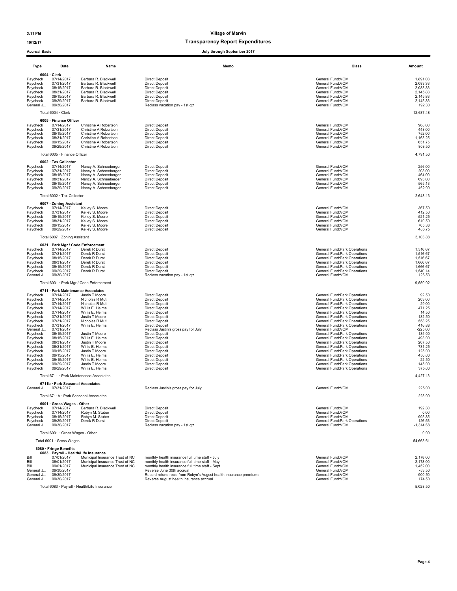### 10/12/17 Transparency Report Expenditures

#### Accrual Basis July through September 2017

|                        |                                                      |                                                | <b>July through September 2017</b>                                                                           |                                                                |                       |
|------------------------|------------------------------------------------------|------------------------------------------------|--------------------------------------------------------------------------------------------------------------|----------------------------------------------------------------|-----------------------|
| Type                   | Date                                                 | Name                                           | Memo                                                                                                         | Class                                                          | Amount                |
|                        | $6004 \cdot$ Clerk                                   |                                                |                                                                                                              |                                                                |                       |
| Pavcheck               | 07/14/2017                                           | Barbara R. Blackwell                           | <b>Direct Deposit</b>                                                                                        | General Fund:VOM                                               | 1,891.03              |
| Paycheck               | 07/31/2017                                           | Barbara R. Blackwell                           | <b>Direct Deposit</b>                                                                                        | General Fund:VOM                                               | 2,083.33              |
| Paycheck               | 08/15/2017                                           | Barbara R. Blackwell                           | <b>Direct Deposit</b>                                                                                        | General Fund:VOM                                               | 2,083.33              |
| Paycheck               | 08/31/2017<br>09/15/2017                             | Barbara R. Blackwell<br>Barbara R. Blackwell   | <b>Direct Deposit</b><br><b>Direct Deposit</b>                                                               | General Fund:VOM<br>General Fund:VOM                           | 2,145.83<br>2,145.83  |
| Paycheck<br>Paycheck   | 09/29/2017                                           | Barbara R. Blackwell                           | <b>Direct Deposit</b>                                                                                        | General Fund: VOM                                              | 2,145.83              |
| General J              | 09/30/2017                                           |                                                | Reclass vacation pay - 1st gtr                                                                               | General Fund:VOM                                               | 192.30                |
|                        | Total 6004 · Clerk                                   |                                                |                                                                                                              |                                                                | 12,687.48             |
|                        | 6005 · Finance Officer                               |                                                |                                                                                                              |                                                                |                       |
| Paycheck               | 07/14/2017<br>07/31/2017                             | Christine A Robertson<br>Christine A Robertson | <b>Direct Deposit</b><br><b>Direct Deposit</b>                                                               | General Fund:VOM<br>General Fund:VOM                           | 968.00<br>448.00      |
| Paycheck<br>Paycheck   | 08/15/2017                                           | Christine A Robertson                          | <b>Direct Deposit</b>                                                                                        | General Fund:VOM                                               | 752.00                |
| Paycheck               | 08/31/2017                                           | Christine A Robertson                          | <b>Direct Deposit</b>                                                                                        | General Fund:VOM                                               | 1,163.25              |
| Paycheck               | 09/15/2017                                           | Christine A Robertson                          | <b>Direct Deposit</b>                                                                                        | General Fund:VOM                                               | 651.75                |
| Paycheck               | 09/29/2017                                           | Christine A Robertson                          | <b>Direct Deposit</b>                                                                                        | General Fund: VOM                                              | 808.50                |
|                        | Total 6005 · Finance Officer                         |                                                |                                                                                                              |                                                                | 4,791.50              |
|                        | 6002 · Tax Collector                                 |                                                |                                                                                                              |                                                                |                       |
| Paycheck<br>Paycheck   | 07/14/2017<br>07/31/2017                             | Nancy A. Schneeberger<br>Nancy A. Schneeberger | <b>Direct Deposit</b><br><b>Direct Deposit</b>                                                               | General Fund: VOM<br>General Fund:VOM                          | 256.00<br>208.00      |
| Paycheck               | 08/15/2017                                           | Nancy A. Schneeberger                          | <b>Direct Deposit</b>                                                                                        | General Fund:VOM                                               | 464.00                |
| Paycheck               | 08/31/2017                                           | Nancy A. Schneeberger                          | <b>Direct Deposit</b>                                                                                        | General Fund:VOM                                               | 693.00                |
| Paycheck               | 09/15/2017                                           | Nancy A. Schneeberger                          | <b>Direct Deposit</b>                                                                                        | General Fund:VOM                                               | 565.13                |
| Paycheck               | 09/29/2017                                           | Nancy A. Schneeberger                          | <b>Direct Deposit</b>                                                                                        | General Fund:VOM                                               | 462.00                |
|                        | Total 6002 · Tax Collector                           |                                                |                                                                                                              |                                                                | 2,648.13              |
|                        | 6007 · Zoning Assistant<br>07/14/2017                | Kelley S. Moore                                |                                                                                                              |                                                                | 367.50                |
| Paycheck<br>Paycheck   | 07/31/2017                                           | Kelley S. Moore                                | <b>Direct Deposit</b><br><b>Direct Deposit</b>                                                               | General Fund: VOM<br>General Fund:VOM                          | 412.50                |
| Paycheck               | 08/15/2017                                           | Kelley S. Moore                                | <b>Direct Deposit</b>                                                                                        | General Fund:VOM                                               | 521.25                |
| Paycheck               | 08/31/2017                                           | Kelley S. Moore                                | <b>Direct Deposit</b>                                                                                        | General Fund: VOM                                              | 610.50                |
| Paycheck               | 09/15/2017                                           | Kelley S. Moore                                | <b>Direct Deposit</b>                                                                                        | General Fund: VOM                                              | 705.38                |
| Paycheck               | 09/29/2017                                           | Kelley S. Moore                                | <b>Direct Deposit</b>                                                                                        | General Fund: VOM                                              | 486.75                |
|                        | Total 6007 · Zoning Assistant                        |                                                |                                                                                                              |                                                                | 3,103.88              |
| Paycheck               | 6031 · Park Mgr / Code Enforcement<br>07/14/2017     | Derek R Durst                                  | <b>Direct Deposit</b>                                                                                        | General Fund: Park Operations                                  | 1,516.67              |
| Paycheck               | 07/31/2017                                           | Derek R Durst                                  | <b>Direct Deposit</b>                                                                                        | General Fund: Park Operations                                  | 1,516.67              |
| Paycheck               | 08/15/2017                                           | Derek R Durst                                  | <b>Direct Deposit</b>                                                                                        | General Fund: Park Operations                                  | 1,516.67              |
| Paycheck               | 08/31/2017                                           | Derek R Durst                                  | <b>Direct Deposit</b>                                                                                        | General Fund: Park Operations                                  | 1,666.67              |
| Paycheck               | 09/15/2017                                           | Derek R Durst                                  | <b>Direct Deposit</b>                                                                                        | General Fund: Park Operations                                  | 1,666.67              |
| Paycheck<br>General J  | 09/29/2017<br>09/30/2017                             | Derek R Durst                                  | <b>Direct Deposit</b><br>Reclass vacation pay - 1st qtr                                                      | General Fund: Park Operations<br>General Fund: VOM             | 1,540.14<br>126.53    |
|                        |                                                      | Total 6031 · Park Mgr / Code Enforcement       |                                                                                                              |                                                                | 9,550.02              |
|                        | 6711 · Park Maintenance Associates                   |                                                |                                                                                                              |                                                                |                       |
| Paycheck               | 07/14/2017                                           | Justin T Moore                                 | <b>Direct Deposit</b>                                                                                        | General Fund: Park Operations                                  | 92.50                 |
| Paycheck               | 07/14/2017                                           | Nicholas R Muti                                | <b>Direct Deposit</b>                                                                                        | General Fund: Park Operations                                  | 203.00                |
| Paycheck               | 07/14/2017<br>07/14/2017                             | Nicholas R Muti<br>Willis E. Helms             | <b>Direct Deposit</b><br>Direct Deposit                                                                      | General Fund: Park Operations                                  | 29.00                 |
| Paycheck<br>Paycheck   | 07/14/2017                                           | Willis E. Helms                                | <b>Direct Deposit</b>                                                                                        | General Fund: Park Operations<br>General Fund: Park Operations | 471.25<br>14.50       |
| Paycheck               | 07/31/2017                                           | Justin T Moore                                 | <b>Direct Deposit</b>                                                                                        | General Fund: Park Operations                                  | 132.50                |
| Paycheck               | 07/31/2017                                           | Nicholas R Muti                                | <b>Direct Deposit</b>                                                                                        | General Fund: Park Operations                                  | 558.25                |
| Paycheck               | 07/31/2017                                           | Willis E. Helms                                | <b>Direct Deposit</b>                                                                                        | General Fund: Park Operations                                  | 416.88                |
| General J              | 07/31/2017<br>08/15/2017                             | Justin T Moore                                 | Reclass Justin's gross pay for July<br><b>Direct Deposit</b>                                                 | General Fund: VOM                                              | $-225.00$<br>185.00   |
| Paycheck<br>Paycheck   | 08/15/2017                                           | Willis E. Helms                                | <b>Direct Deposit</b>                                                                                        | General Fund: Park Operations<br>General Fund: Park Operations | 493.00                |
| Paycheck               | 08/31/2017                                           | Justin T Moore                                 | <b>Direct Deposit</b>                                                                                        | General Fund: Park Operations                                  | 207.50                |
| Paycheck               | 08/31/2017                                           | Willis E. Helms                                | <b>Direct Deposit</b>                                                                                        | General Fund: Park Operations                                  | 731.25                |
| Paycheck               | 09/15/2017                                           | Justin T Moore                                 | <b>Direct Deposit</b>                                                                                        | General Fund: Park Operations                                  | 125.00                |
| Paycheck               | 09/15/2017                                           | Willis E. Helms                                | <b>Direct Deposit</b>                                                                                        | General Fund: Park Operations                                  | 450.00                |
| Paycheck<br>Paycheck   | 09/15/2017<br>09/29/2017                             | Willis E. Helms<br>Justin T Moore              | <b>Direct Deposit</b><br><b>Direct Deposit</b>                                                               | General Fund: Park Operations<br>General Fund: Park Operations | 22.50<br>145.00       |
| Paycheck               | 09/29/2017                                           | Willis E. Helms                                | <b>Direct Deposit</b>                                                                                        | General Fund: Park Operations                                  | 375.00                |
|                        |                                                      | Total 6711 · Park Maintenance Associates       |                                                                                                              |                                                                | 4,427.13              |
|                        | 6711b · Park Seasonal Associates                     |                                                |                                                                                                              |                                                                |                       |
| General J              | 07/31/2017                                           |                                                | Reclass Justin's gross pay for July                                                                          | General Fund: VOM                                              | 225.00                |
|                        | Total 6711b · Park Seasonal Associates               |                                                |                                                                                                              |                                                                | 225.00                |
| Paycheck               | 6001 · Gross Wages - Other<br>07/14/2017             | Barbara R. Blackwell                           | <b>Direct Deposit</b>                                                                                        | General Fund: VOM                                              | 192.30                |
| Paycheck               | 07/14/2017                                           | Robyn M. Stuber                                | <b>Direct Deposit</b>                                                                                        | General Fund:VOM                                               | 0.00                  |
| Paycheck               | 08/15/2017                                           | Robyn M. Stuber                                | <b>Direct Deposit</b>                                                                                        | General Fund: VOM                                              | 995.85                |
| Paycheck<br>General J  | 09/29/2017<br>09/30/2017                             | Derek R Durst                                  | <b>Direct Deposit</b><br>Reclass vacation pay - 1st qtr                                                      | General Fund: Park Operations<br>General Fund: VOM             | 126.53<br>$-1,314.68$ |
|                        | Total 6001 · Gross Wages - Other                     |                                                |                                                                                                              |                                                                | 0.00                  |
|                        | Total 6001 · Gross Wages                             |                                                |                                                                                                              |                                                                | 54,663.61             |
|                        | 6080 · Fringe Benefits                               |                                                |                                                                                                              |                                                                |                       |
| Bill                   | 6083 · Payroll - Health/Life Insurance<br>07/01/2017 | Municipal Insurance Trust of NC                | monthly health insurance full time staff - July                                                              | General Fund: VOM                                              |                       |
| Bill                   | 08/01/2017                                           | Municipal Insurance Trust of NC                | monthly health insurance full time staff - May                                                               | General Fund: VOM                                              | 2,178.00<br>2,178.00  |
| Bill                   | 09/01/2017                                           | Municipal Insurance Trust of NC                | monthly health insurance full time staff - Sept                                                              | General Fund:VOM                                               | 1,452.00              |
| General J              | 09/30/2017                                           |                                                | Reverse June 30th accrual                                                                                    | General Fund: VOM                                              | $-53.50$              |
| General J<br>General J | 09/30/2017<br>09/30/2017                             |                                                | Record refund rec'd from Robyn's August health insurance premiums<br>Reverse August health insurance accrual | General Fund: VOM<br>General Fund:VOM                          | $-900.50$<br>174.50   |

Total 6083 · Payroll - Health/Life Insurance 5,028.50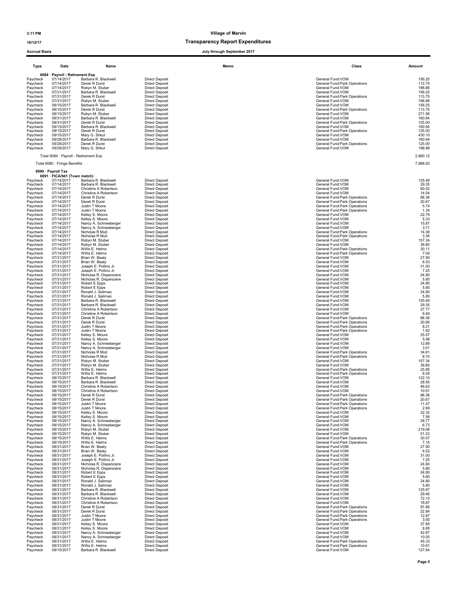10/12/17 Transparency Report Expenditures

| Type                 | Date                                               | Name                                           |                                                | Memo | Class                                                          | Amount           |
|----------------------|----------------------------------------------------|------------------------------------------------|------------------------------------------------|------|----------------------------------------------------------------|------------------|
|                      | 6084 · Payroll - Retirement Exp                    |                                                |                                                |      |                                                                |                  |
| Paycheck<br>Paycheck | 07/14/2017<br>07/14/2017                           | Barbara R. Blackwell<br>Derek R Durst          | <b>Direct Deposit</b><br><b>Direct Deposit</b> |      | General Fund: VOM<br>General Fund: Park Operations             | 156.25<br>113.75 |
| Paycheck             | 07/14/2017                                         | Robyn M. Stuber                                | <b>Direct Deposit</b>                          |      | General Fund: VOM                                              | 196.88           |
| Paycheck             | 07/31/2017                                         | Barbara R. Blackwell                           | <b>Direct Deposit</b>                          |      | General Fund: VOM                                              | 156.25           |
| Paycheck<br>Paycheck | 07/31/2017<br>07/31/2017                           | Derek R Durst<br>Robyn M. Stuber               | <b>Direct Deposit</b><br><b>Direct Deposit</b> |      | General Fund: Park Operations<br>General Fund:VOM              | 113.75<br>196.88 |
| Paycheck             | 08/15/2017                                         | Barbara R. Blackwell                           | <b>Direct Deposit</b>                          |      | General Fund:VOM                                               | 156.25           |
| Paycheck             | 08/15/2017                                         | Derek R Durst                                  | <b>Direct Deposit</b>                          |      | General Fund: Park Operations                                  | 113.75<br>271.56 |
| Paycheck<br>Paycheck | 08/15/2017<br>08/31/2017                           | Robyn M. Stuber<br>Barbara R. Blackwell        | <b>Direct Deposit</b><br><b>Direct Deposit</b> |      | General Fund: VOM<br>General Fund:VOM                          | 160.94           |
| Paycheck             | 08/31/2017                                         | Derek R Durst                                  | <b>Direct Deposit</b>                          |      | General Fund: Park Operations                                  | 125.00           |
| Paycheck<br>Paycheck | 09/15/2017<br>09/15/2017                           | Barbara R. Blackwell<br>Derek R Durst          | <b>Direct Deposit</b><br><b>Direct Deposit</b> |      | General Fund:VOM<br>General Fund: Park Operations              | 160.94<br>125.00 |
| Paycheck             | 09/15/2017                                         | Mary G. Shkut                                  | <b>Direct Deposit</b>                          |      | General Fund:VOM                                               | 430.10           |
| Pavcheck             | 09/29/2017                                         | Barbara R. Blackwell                           | <b>Direct Deposit</b>                          |      | General Fund:VOM                                               | 160.94<br>125.00 |
| Paycheck<br>Paycheck | 09/29/2017<br>09/29/2017                           | Derek R Durst<br>Mary G. Shkut                 | <b>Direct Deposit</b><br><b>Direct Deposit</b> |      | General Fund: Park Operations<br>General Fund: VOM             | 196.88           |
|                      | Total 6084 · Payroll - Retirement Exp              |                                                |                                                |      |                                                                | 2,960.12         |
|                      | Total 6080 · Fringe Benefits                       |                                                |                                                |      |                                                                | 7,988.62         |
|                      | 6090 · Payroll Tax<br>6091 · FICA/941 (Town match) |                                                |                                                |      |                                                                |                  |
| Paycheck             | 07/14/2017                                         | Barbara R. Blackwell                           | <b>Direct Deposit</b>                          |      | General Fund:VOM                                               | 125.49           |
| Paycheck             | 07/14/2017                                         | Barbara R. Blackwell                           | <b>Direct Deposit</b>                          |      | General Fund:VOM                                               | 29.35            |
| Paycheck<br>Paycheck | 07/14/2017<br>07/14/2017                           | Christine A Robertson<br>Christine A Robertson | <b>Direct Deposit</b><br><b>Direct Deposit</b> |      | General Fund:VOM<br>General Fund: VOM                          | 60.02<br>14.04   |
| Paycheck             | 07/14/2017                                         | Derek R Durst                                  | <b>Direct Deposit</b>                          |      | General Fund: Park Operations                                  | 88.36            |
| Paycheck<br>Paycheck | 07/14/2017<br>07/14/2017                           | Derek R Durst<br>Justin T Moore                | <b>Direct Deposit</b><br><b>Direct Deposit</b> |      | General Fund: Park Operations<br>General Fund: Park Operations | 20.67<br>5.74    |
| Paycheck             | 07/14/2017                                         | Justin T Moore                                 | <b>Direct Deposit</b>                          |      | General Fund:Park Operations                                   | 1.34             |
| Paycheck             | 07/14/2017                                         | Kelley S. Moore                                | <b>Direct Deposit</b>                          |      | General Fund:VOM                                               | 22.79            |
| Paycheck<br>Paycheck | 07/14/2017<br>07/14/2017                           | Kelley S. Moore<br>Nancy A. Schneeberger       | <b>Direct Deposit</b><br><b>Direct Deposit</b> |      | General Fund: VOM<br>General Fund:VOM                          | 5.33<br>15.87    |
| Paycheck             | 07/14/2017                                         | Nancy A. Schneeberger                          | <b>Direct Deposit</b>                          |      | General Fund: VOM                                              | 3.71             |
| Paycheck             | 07/14/2017                                         | Nicholas R Muti<br>Nicholas R Muti             | <b>Direct Deposit</b>                          |      | General Fund: Park Operations                                  | 14.38            |
| Paycheck<br>Paycheck | 07/14/2017<br>07/14/2017                           | Robyn M. Stuber                                | <b>Direct Deposit</b><br><b>Direct Deposit</b> |      | General Fund: Park Operations<br>General Fund:VOM              | 3.36<br>157.34   |
| Paycheck             | 07/14/2017                                         | Robyn M. Stuber                                | <b>Direct Deposit</b>                          |      | General Fund: VOM                                              | 36.80            |
| Paycheck             | 07/14/2017<br>07/14/2017                           | Willis E. Helms<br>Willis E. Helms             | <b>Direct Deposit</b><br><b>Direct Deposit</b> |      | General Fund: Park Operations<br>General Fund: Park Operations | 30.11<br>7.04    |
| Paycheck<br>Paycheck | 07/31/2017                                         | Brian W. Beaty                                 | <b>Direct Deposit</b>                          |      | General Fund:VOM                                               | 27.90            |
| Paycheck             | 07/31/2017                                         | Brian W. Beaty                                 | Direct Deposit                                 |      | General Fund:VOM                                               | 6.53             |
| Paycheck<br>Paycheck | 07/31/2017<br>07/31/2017                           | Joseph E. Pollino Jr.<br>Joseph E. Pollino Jr. | <b>Direct Deposit</b><br><b>Direct Deposit</b> |      | General Fund: VOM<br>General Fund:VOM                          | 31.00<br>7.25    |
| Paycheck             | 07/31/2017                                         | Nicholas R. Dispenziere                        | <b>Direct Deposit</b>                          |      | General Fund:VOM                                               | 24.80            |
| Paycheck             | 07/31/2017                                         | Nicholas R. Dispenziere                        | <b>Direct Deposit</b>                          |      | General Fund:VOM                                               | 5.80             |
| Paycheck<br>Paycheck | 07/31/2017<br>07/31/2017                           | Robert E Epps<br>Robert E Epps                 | <b>Direct Deposit</b><br><b>Direct Deposit</b> |      | General Fund:VOM<br>General Fund:VOM                           | 24.80<br>5.80    |
| Paycheck             | 07/31/2017                                         | Ronald J. Salimao                              | <b>Direct Deposit</b>                          |      | General Fund:VOM                                               | 24.80            |
| Paycheck             | 07/31/2017                                         | Ronald J. Salimao                              | <b>Direct Deposit</b>                          |      | General Fund: VOM                                              | 5.80<br>125.49   |
| Paycheck<br>Paycheck | 07/31/2017<br>07/31/2017                           | Barbara R. Blackwell<br>Barbara R. Blackwell   | <b>Direct Deposit</b><br><b>Direct Deposit</b> |      | General Fund: VOM<br>General Fund:VOM                          | 29.35            |
| Paycheck             | 07/31/2017                                         | Christine A Robertson                          | <b>Direct Deposit</b>                          |      | General Fund:VOM                                               | 27.77            |
| Paycheck<br>Paycheck | 07/31/2017<br>07/31/2017                           | Christine A Robertson<br>Derek R Durst         | <b>Direct Deposit</b><br><b>Direct Deposit</b> |      | General Fund: VOM<br>General Fund: Park Operations             | 6.49<br>88.36    |
| Paycheck             | 07/31/2017                                         | Derek R Durst                                  | <b>Direct Deposit</b>                          |      | General Fund: Park Operations                                  | 20.66            |
| Paycheck             | 07/31/2017                                         | Justin T Moore                                 | <b>Direct Deposit</b>                          |      | General Fund: Park Operations                                  | 8.21             |
| Paycheck<br>Paycheck | 07/31/2017<br>07/31/2017                           | Justin T Moore<br>Kelley S. Moore              | <b>Direct Deposit</b><br><b>Direct Deposit</b> |      | General Fund: Park Operations<br>General Fund:VOM              | 1.92<br>25.57    |
| Paycheck             | 07/31/2017                                         | Kelley S. Moore                                | <b>Direct Deposit</b>                          |      | General Fund:VOM                                               | 5.98             |
| Paycheck<br>Paycheck | 07/31/2017<br>07/31/2017                           | Nancy A. Schneeberger<br>Nancy A. Schneeberger | <b>Direct Deposit</b><br><b>Direct Deposit</b> |      | General Fund:VOM<br>General Fund:VOM                           | 12.89<br>3.01    |
| Paycheck             | 07/31/2017                                         | Nicholas R Muti                                | <b>Direct Deposit</b>                          |      | General Fund: Park Operations                                  | 34.61            |
| Paycheck             | 07/31/2017                                         | Nicholas R Muti                                | <b>Direct Deposit</b>                          |      | General Fund: Park Operations                                  | 8.10             |
| Paycheck<br>Paycheck | 07/31/2017<br>07/31/2017                           | Robyn M. Stuber<br>Robyn M. Stuber             | <b>Direct Deposit</b><br><b>Direct Deposit</b> |      | General Fund: VOM<br>General Fund:VOM                          | 157.34<br>36.80  |
| Paycheck             | 07/31/2017                                         | Willis E. Helms                                | <b>Direct Deposit</b>                          |      | General Fund: Park Operations                                  | 25.85            |
| Paycheck             | 07/31/2017                                         | Willis E. Helms                                | <b>Direct Deposit</b>                          |      | General Fund: Park Operations                                  | 6.04             |
| Paycheck<br>Paycheck | 08/15/2017<br>08/15/2017                           | Barbara R. Blackwell<br>Barbara R. Blackwell   | <b>Direct Deposit</b><br><b>Direct Deposit</b> |      | General Fund:VOM<br>General Fund:VOM                           | 122.10<br>28.55  |
| Paycheck             | 08/15/2017                                         | Christine A Robertson                          | <b>Direct Deposit</b>                          |      | General Fund:VOM                                               | 46.63            |
| Paycheck             | 08/15/2017<br>08/15/2017                           | Christine A Robertson                          | <b>Direct Deposit</b>                          |      | General Fund: VOM                                              | 10.91            |
| Paycheck<br>Paycheck | 08/15/2017                                         | Derek R Durst<br>Derek R Durst                 | <b>Direct Deposit</b><br><b>Direct Deposit</b> |      | General Fund:Park Operations<br>General Fund: Park Operations  | 88.36<br>20.67   |
| Paycheck             | 08/15/2017                                         | Justin T Moore                                 | <b>Direct Deposit</b>                          |      | General Fund:Park Operations                                   | 11.47            |
| Paycheck<br>Paycheck | 08/15/2017<br>08/15/2017                           | Justin T Moore<br>Kelley S. Moore              | <b>Direct Deposit</b><br><b>Direct Deposit</b> |      | General Fund: Park Operations<br>General Fund: VOM             | 2.69<br>32.32    |
| Paycheck             | 08/15/2017                                         | Kelley S. Moore                                | <b>Direct Deposit</b>                          |      | General Fund:VOM                                               | 7.56             |
| Paycheck             | 08/15/2017                                         | Nancy A. Schneeberger                          | <b>Direct Deposit</b>                          |      | General Fund:VOM                                               | 28.77            |
| Paycheck<br>Paycheck | 08/15/2017<br>08/15/2017                           | Nancy A. Schneeberger<br>Robyn M. Stuber       | <b>Direct Deposit</b><br><b>Direct Deposit</b> |      | General Fund: VOM<br>General Fund:VOM                          | 6.73<br>219.08   |
| Paycheck             | 08/15/2017                                         | Robyn M. Stuber                                | <b>Direct Deposit</b>                          |      | General Fund: VOM                                              | 51.23            |
| Paycheck             | 08/15/2017                                         | Willis E. Helms                                | <b>Direct Deposit</b>                          |      | General Fund: Park Operations                                  | 30.57            |
| Paycheck<br>Paycheck | 08/15/2017<br>08/31/2017                           | Willis E. Helms<br>Brian W. Beaty              | <b>Direct Deposit</b><br><b>Direct Deposit</b> |      | General Fund: Park Operations<br>General Fund: VOM             | 7.15<br>27.90    |
| Paycheck             | 08/31/2017                                         | Brian W. Beaty                                 | <b>Direct Deposit</b>                          |      | General Fund:VOM                                               | 6.52             |
| Paycheck<br>Paycheck | 08/31/2017<br>08/31/2017                           | Joseph E. Pollino Jr.<br>Joseph E. Pollino Jr. | <b>Direct Deposit</b><br><b>Direct Deposit</b> |      | General Fund: VOM<br>General Fund:VOM                          | 31.00<br>7.25    |
| Paycheck             | 08/31/2017                                         | Nicholas R. Dispenziere                        | <b>Direct Deposit</b>                          |      | General Fund: VOM                                              | 24.80            |
| Paycheck             | 08/31/2017                                         | Nicholas R. Dispenziere                        | <b>Direct Deposit</b>                          |      | General Fund:VOM                                               | 5.80             |
| Paycheck<br>Paycheck | 08/31/2017<br>08/31/2017                           | Robert E Epps<br>Robert E Epps                 | <b>Direct Deposit</b><br><b>Direct Deposit</b> |      | General Fund:VOM<br>General Fund: VOM                          | 24.80<br>5.80    |
| Paycheck             | 08/31/2017                                         | Ronald J. Salimao                              | <b>Direct Deposit</b>                          |      | General Fund: VOM                                              | 24.80            |
| Pavcheck             | 08/31/2017                                         | Ronald J. Salimao                              | <b>Direct Deposit</b>                          |      | General Fund: VOM                                              | 5.80             |
| Paycheck<br>Paycheck | 08/31/2017<br>08/31/2017                           | Barbara R. Blackwell<br>Barbara R. Blackwell   | <b>Direct Deposit</b><br><b>Direct Deposit</b> |      | General Fund: VOM<br>General Fund:VOM                          | 125.97<br>29.46  |
| Paycheck             | 08/31/2017                                         | Christine A Robertson                          | <b>Direct Deposit</b>                          |      | General Fund:VOM                                               | 72.12            |
| Paycheck             | 08/31/2017                                         | Christine A Robertson                          | <b>Direct Deposit</b>                          |      | General Fund:VOM                                               | 16.87            |
| Paycheck<br>Paycheck | 08/31/2017<br>08/31/2017                           | Derek R Durst<br>Derek R Durst                 | <b>Direct Deposit</b><br><b>Direct Deposit</b> |      | General Fund: Park Operations<br>General Fund: Park Operations | 97.66<br>22.84   |
| Paycheck             | 08/31/2017                                         | Justin T Moore                                 | <b>Direct Deposit</b>                          |      | General Fund: Park Operations                                  | 12.87            |
| Paycheck             | 08/31/2017                                         | Justin T Moore                                 | <b>Direct Deposit</b>                          |      | General Fund: Park Operations                                  | 3.00             |
| Paycheck<br>Paycheck | 08/31/2017<br>08/31/2017                           | Kelley S. Moore<br>Kelley S. Moore             | <b>Direct Deposit</b><br><b>Direct Deposit</b> |      | General Fund:VOM<br>General Fund:VOM                           | 37.85<br>8.85    |
| Paycheck             | 08/31/2017                                         | Nancy A. Schneeberger                          | <b>Direct Deposit</b>                          |      | General Fund: VOM                                              | 42.97            |
| Paycheck             | 08/31/2017                                         | Nancy A. Schneeberger                          | <b>Direct Deposit</b>                          |      | General Fund: VOM                                              | 10.05            |
| Paycheck<br>Paycheck | 08/31/2017<br>08/31/2017                           | Willis E. Helms<br>Willis E. Helms             | <b>Direct Deposit</b><br><b>Direct Deposit</b> |      | General Fund: Park Operations<br>General Fund: Park Operations | 45.33<br>10.61   |
| Paycheck             | 09/15/2017                                         | Barbara R. Blackwell                           | <b>Direct Deposit</b>                          |      | General Fund: VOM                                              | 127.64           |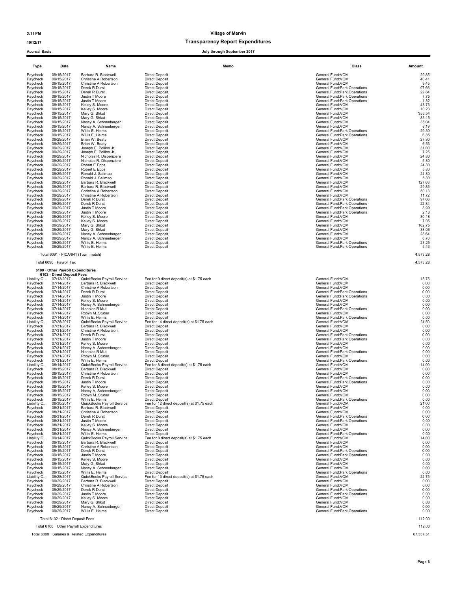#### 10/12/17 Transparency Report Expenditures

Accrual Basis July through September 2017

| 09/15/2017<br>Barbara R. Blackwell<br><b>Direct Deposit</b><br>General Fund:VOM<br>Paycheck<br>Paycheck<br>09/15/2017<br>Christine A Robertson<br><b>Direct Deposit</b><br>General Fund:VOM<br>Paycheck<br>09/15/2017<br>Christine A Robertson<br><b>Direct Deposit</b><br>General Fund: VOM<br>Paycheck<br>09/15/2017<br>Derek R Durst<br><b>Direct Deposit</b><br>General Fund: Park Operations<br>09/15/2017<br>Derek R Durst<br>General Fund: Park Operations<br>Paycheck<br><b>Direct Deposit</b><br>09/15/2017<br>Justin T Moore<br>General Fund: Park Operations<br>Paycheck<br><b>Direct Deposit</b><br>09/15/2017<br>Paycheck<br>Justin T Moore<br><b>Direct Deposit</b><br>General Fund: Park Operations<br>Paycheck<br>09/15/2017<br>Kelley S. Moore<br><b>Direct Deposit</b><br>General Fund: VOM<br>Paycheck<br>09/15/2017<br>Kelley S. Moore<br><b>Direct Deposit</b><br>General Fund:VOM<br>Paycheck<br>09/15/2017<br>Mary G. Shkut<br><b>Direct Deposit</b><br>General Fund:VOM<br>09/15/2017<br>Paycheck<br>Mary G. Shkut<br><b>Direct Deposit</b><br>General Fund: VOM<br>Paycheck<br>09/15/2017<br>Nancy A. Schneeberger<br><b>Direct Deposit</b><br>General Fund: VOM<br>09/15/2017<br>Paycheck<br>Nancy A. Schneeberger<br><b>Direct Deposit</b><br>General Fund:VOM<br>Paycheck<br>09/15/2017<br>Willis E. Helms<br><b>Direct Deposit</b><br>General Fund: Park Operations<br>09/15/2017<br>Paycheck<br>Willis E. Helms<br><b>Direct Deposit</b><br>General Fund: Park Operations<br>Paycheck<br>09/29/2017<br>Brian W. Beaty<br><b>Direct Deposit</b><br>General Fund:VOM<br>09/29/2017<br>Brian W. Beaty<br>General Fund:VOM<br>Paycheck<br><b>Direct Deposit</b><br>General Fund: VOM<br>09/29/2017<br>Joseph E. Pollino Jr.<br><b>Direct Deposit</b><br>Paycheck<br>09/29/2017<br>General Fund:VOM<br>Paycheck<br>Joseph E. Pollino Jr.<br><b>Direct Deposit</b><br>Paycheck<br>09/29/2017<br>Nicholas R. Dispenziere<br><b>Direct Deposit</b><br>General Fund:VOM<br>09/29/2017<br>Nicholas R. Dispenziere<br><b>Direct Deposit</b><br>General Fund:VOM<br>Paycheck<br>Paycheck<br>09/29/2017<br>Robert E Epps<br><b>Direct Deposit</b><br>General Fund:VOM<br>Paycheck<br>09/29/2017<br>Robert E Epps<br><b>Direct Deposit</b><br>General Fund:VOM<br>09/29/2017<br><b>Direct Deposit</b><br>General Fund:VOM<br>Paycheck<br>Ronald J. Salimao<br>09/29/2017<br><b>Direct Deposit</b><br>General Fund:VOM<br>Paycheck<br>Ronald J. Salimao<br>09/29/2017<br><b>Direct Deposit</b><br>General Fund:VOM<br>Paycheck<br>Barbara R. Blackwell<br>General Fund: VOM<br>Paycheck<br>09/29/2017<br>Barbara R. Blackwell<br><b>Direct Deposit</b><br>Paycheck<br>09/29/2017<br>Christine A Robertson<br><b>Direct Deposit</b><br>General Fund:VOM<br>Paycheck<br>09/29/2017<br>Christine A Robertson<br><b>Direct Deposit</b><br>General Fund:VOM<br>09/29/2017<br>Derek R Durst<br>General Fund: Park Operations<br>Paycheck<br><b>Direct Deposit</b><br>09/29/2017<br>Derek R Durst<br>Paycheck<br><b>Direct Deposit</b><br>General Fund: Park Operations<br>09/29/2017<br>Paycheck<br>Justin T Moore<br><b>Direct Deposit</b><br>General Fund: Park Operations<br>Paycheck<br>09/29/2017<br>Justin T Moore<br><b>Direct Deposit</b><br>General Fund:Park Operations<br>Paycheck<br>09/29/2017<br>Kelley S. Moore<br><b>Direct Deposit</b><br>General Fund: VOM<br>Paycheck<br>09/29/2017<br>Kelley S. Moore<br><b>Direct Deposit</b><br>General Fund:VOM<br>09/29/2017<br>Paycheck<br>Mary G. Shkut<br><b>Direct Deposit</b><br>General Fund: VOM<br>09/29/2017<br>Mary G. Shkut<br><b>Direct Deposit</b><br>General Fund:VOM<br>Paycheck<br>09/29/2017<br>Nancy A. Schneeberger<br><b>Direct Deposit</b><br>General Fund:VOM<br>Paycheck<br>09/29/2017<br>Nancy A. Schneeberger<br><b>Direct Deposit</b><br>General Fund:VOM<br>Paycheck<br>Paycheck<br>09/29/2017<br>Willis E. Helms<br><b>Direct Deposit</b><br>General Fund: Park Operations<br>Paycheck<br>09/29/2017<br>Willis E. Helms<br><b>Direct Deposit</b><br>General Fund:Park Operations<br>Total 6091 · FICA/941 (Town match)<br>Total 6090 · Payroll Tax<br>6100 Other Payroll Expenditures<br>6102 · Direct Deposit Fees<br>07/13/2017<br>QuickBooks Payroll Service<br>Fee for 9 direct deposit(s) at \$1.75 each<br>General Fund: VOM<br>Liability C<br>Paycheck<br>07/14/2017<br><b>Direct Deposit</b><br>General Fund:VOM<br>Barbara R. Blackwell<br>07/14/2017<br><b>Direct Deposit</b><br>Paycheck<br>Christine A Robertson<br>General Fund:VOM<br>Paycheck<br>07/14/2017<br>Derek R Durst<br><b>Direct Deposit</b><br>General Fund: Park Operations<br>Paycheck<br>07/14/2017<br>Justin T Moore<br><b>Direct Deposit</b><br>General Fund: Park Operations<br>Paycheck<br>07/14/2017<br>Kelley S. Moore<br><b>Direct Deposit</b><br>General Fund:VOM<br>07/14/2017<br>Nancy A. Schneeberger<br>General Fund:VOM<br>Paycheck<br><b>Direct Deposit</b><br>07/14/2017<br>Nicholas R Muti<br><b>Direct Deposit</b><br>Paycheck<br>General Fund: Park Operations<br>07/14/2017<br><b>Direct Deposit</b><br>Paycheck<br>Robyn M. Stuber<br>General Fund: VOM<br>07/14/2017<br>Paycheck<br>Willis E. Helms<br><b>Direct Deposit</b><br>General Fund: Park Operations<br>Liability C<br>07/28/2017<br>QuickBooks Payroll Service<br>Fee for 14 direct deposit(s) at \$1.75 each<br>General Fund:VOM<br>Paycheck<br>07/31/2017<br>Barbara R. Blackwell<br><b>Direct Deposit</b><br>General Fund:VOM<br>07/31/2017<br><b>Direct Deposit</b><br>Paycheck<br>Christine A Robertson<br>General Fund: VOM<br>07/31/2017<br>Derek R Durst<br><b>Direct Deposit</b><br>Paycheck<br>General Fund: Park Operations<br>07/31/2017<br>Paycheck<br>Justin T Moore<br><b>Direct Deposit</b><br>General Fund: Park Operations<br>Paycheck<br>07/31/2017<br>Kelley S. Moore<br><b>Direct Deposit</b><br>General Fund:VOM<br>07/31/2017<br>Paycheck<br>Nancy A. Schneeberger<br><b>Direct Deposit</b><br>General Fund: VOM<br>Paycheck<br>07/31/2017<br>Nicholas R Muti<br><b>Direct Deposit</b><br>General Fund: Park Operations<br>07/31/2017<br>Robyn M. Stuber<br>Paycheck<br><b>Direct Deposit</b><br>General Fund:VOM<br>07/31/2017<br>Paycheck<br>Willis E. Helms<br>General Fund: Park Operations<br><b>Direct Deposit</b><br>08/14/2017<br>Liability C<br>QuickBooks Payroll Service<br>Fee for 8 direct deposit(s) at \$1.75 each<br>General Fund: VOM<br>Paycheck<br>08/15/2017<br>Barbara R. Blackwell<br><b>Direct Deposit</b><br>General Fund: VOM<br>Paycheck<br>08/15/2017<br>Christine A Robertson<br><b>Direct Deposit</b><br>General Fund: VOM<br>Paycheck<br>08/15/2017<br>Derek R Durst<br><b>Direct Deposit</b><br>General Fund: Park Operations<br>Paycheck<br>08/15/2017<br>Justin T Moore<br><b>Direct Deposit</b><br>General Fund:Park Operations<br>Paycheck<br>08/15/2017<br>Kelley S. Moore<br><b>Direct Deposit</b><br>General Fund: VOM<br>08/15/2017<br><b>Direct Deposit</b><br>General Fund: VOM<br>Paycheck<br>Nancy A. Schneeberger<br>08/15/2017<br><b>Direct Deposit</b><br>General Fund:VOM<br>Paycheck<br>Robyn M. Stuber<br>08/15/2017<br>Paycheck<br>Willis E. Helms<br>Direct Deposit<br>General Fund: Park Operations<br>Liability C<br>08/30/2017<br>QuickBooks Pavroll Service<br>Fee for 12 direct deposit(s) at \$1.75 each<br>General Fund:VOM<br>Barbara R. Blackwell<br>Paycheck<br>08/31/2017<br><b>Direct Deposit</b><br>General Fund:VOM<br>Christine A Robertson<br>08/31/2017<br><b>Direct Deposit</b><br>General Fund:VOM<br>Paycheck<br>Derek R Durst<br><b>Direct Deposit</b><br>Paycheck<br>08/31/2017<br>General Fund: Park Operations<br>Paycheck<br>08/31/2017<br>Justin T Moore<br><b>Direct Deposit</b><br>General Fund: Park Operations<br>08/31/2017<br>Kelley S. Moore<br><b>Direct Deposit</b><br>General Fund: VOM<br>Paycheck<br>Paycheck<br>08/31/2017<br>Nancy A. Schneeberger<br><b>Direct Deposit</b><br>General Fund:VOM<br>Paycheck<br>08/31/2017<br>Willis E. Helms<br><b>Direct Deposit</b><br>General Fund: Park Operations<br>09/14/2017<br>Liability C<br>QuickBooks Payroll Service<br>Fee for 8 direct deposit(s) at \$1.75 each<br>General Fund: VOM<br>09/15/2017<br>Barbara R. Blackwell<br><b>Direct Deposit</b><br>Paycheck<br>General Fund:VOM<br>09/15/2017<br>Christine A Robertson<br><b>Direct Deposit</b><br>General Fund: VOM<br>Paycheck<br>09/15/2017<br>Derek R Durst<br>Paycheck<br><b>Direct Deposit</b><br>General Fund: Park Operations<br>Paycheck<br>09/15/2017<br>Justin T Moore<br><b>Direct Deposit</b><br>General Fund:Park Operations<br>Paycheck<br>09/15/2017<br>Kelley S. Moore<br><b>Direct Deposit</b><br>General Fund: VOM<br>09/15/2017<br>Mary G. Shkut<br>General Fund:VOM<br>Paycheck<br><b>Direct Deposit</b><br>09/15/2017<br>Nancy A. Schneeberger<br>Paycheck<br><b>Direct Deposit</b><br>General Fund: VOM<br>09/15/2017<br>Paycheck<br>Willis E. Helms<br><b>Direct Deposit</b><br>General Fund: Park Operations<br>09/28/2017<br>Liability C<br>QuickBooks Payroll Service<br>Fee for 13 direct deposit(s) at \$1.75 each<br>General Fund:VOM<br>09/29/2017<br>Barbara R. Blackwell<br>Paycheck<br><b>Direct Deposit</b><br>General Fund: VOM<br>Paycheck<br>09/29/2017<br>Christine A Robertson<br><b>Direct Deposit</b><br>General Fund: VOM<br>Paycheck<br>09/29/2017<br>Derek R Durst<br><b>Direct Deposit</b><br>General Fund: Park Operations<br>Paycheck<br>09/29/2017<br><b>Direct Deposit</b><br>General Fund: Park Operations<br>Justin T Moore<br>09/29/2017<br><b>Direct Deposit</b><br>Paycheck<br>Kelley S. Moore<br>General Fund: VOM<br>09/29/2017<br><b>Direct Deposit</b><br>General Fund:VOM<br>Paycheck<br>Mary G. Shkut<br>General Fund: VOM<br>Paycheck<br>09/29/2017<br>Nancy A. Schneeberger<br><b>Direct Deposit</b><br>Paycheck | Amount          | Class | Memo | Name | Date | Type |
|---------------------------------------------------------------------------------------------------------------------------------------------------------------------------------------------------------------------------------------------------------------------------------------------------------------------------------------------------------------------------------------------------------------------------------------------------------------------------------------------------------------------------------------------------------------------------------------------------------------------------------------------------------------------------------------------------------------------------------------------------------------------------------------------------------------------------------------------------------------------------------------------------------------------------------------------------------------------------------------------------------------------------------------------------------------------------------------------------------------------------------------------------------------------------------------------------------------------------------------------------------------------------------------------------------------------------------------------------------------------------------------------------------------------------------------------------------------------------------------------------------------------------------------------------------------------------------------------------------------------------------------------------------------------------------------------------------------------------------------------------------------------------------------------------------------------------------------------------------------------------------------------------------------------------------------------------------------------------------------------------------------------------------------------------------------------------------------------------------------------------------------------------------------------------------------------------------------------------------------------------------------------------------------------------------------------------------------------------------------------------------------------------------------------------------------------------------------------------------------------------------------------------------------------------------------------------------------------------------------------------------------------------------------------------------------------------------------------------------------------------------------------------------------------------------------------------------------------------------------------------------------------------------------------------------------------------------------------------------------------------------------------------------------------------------------------------------------------------------------------------------------------------------------------------------------------------------------------------------------------------------------------------------------------------------------------------------------------------------------------------------------------------------------------------------------------------------------------------------------------------------------------------------------------------------------------------------------------------------------------------------------------------------------------------------------------------------------------------------------------------------------------------------------------------------------------------------------------------------------------------------------------------------------------------------------------------------------------------------------------------------------------------------------------------------------------------------------------------------------------------------------------------------------------------------------------------------------------------------------------------------------------------------------------------------------------------------------------------------------------------------------------------------------------------------------------------------------------------------------------------------------------------------------------------------------------------------------------------------------------------------------------------------------------------------------------------------------------------------------------------------------------------------------------------------------------------------------------------------------------------------------------------------------------------------------------------------------------------------------------------------------------------------------------------------------------------------------------------------------------------------------------------------------------------------------------------------------------------------------------------------------------------------------------------------------------------------------------------------------------------------------------------------------------------------------------------------------------------------------------------------------------------------------------------------------------------------------------------------------------------------------------------------------------------------------------------------------------------------------------------------------------------------------------------------------------------------------------------------------------------------------------------------------------------------------------------------------------------------------------------------------------------------------------------------------------------------------------------------------------------------------------------------------------------------------------------------------------------------------------------------------------------------------------------------------------------------------------------------------------------------------------------------------------------------------------------------------------------------------------------------------------------------------------------------------------------------------------------------------------------------------------------------------------------------------------------------------------------------------------------------------------------------------------------------------------------------------------------------------------------------------------------------------------------------------------------------------------------------------------------------------------------------------------------------------------------------------------------------------------------------------------------------------------------------------------------------------------------------------------------------------------------------------------------------------------------------------------------------------------------------------------------------------------------------------------------------------------------------------------------------------------------------------------------------------------------------------------------------------------------------------------------------------------------------------------------------------------------------------------------------------------------------------------------------------------------------------------------------------------------------------------------------------------------------------------------------------------------------------------------------------------------------------------------------------------------------------------------------------------------------------------------------------------------------------------------------------------------------------------------------------------------------------------------------------------------------------------------------------------------------------------------------------------------------------------------------------------------------------------------------------------------------------------------------------------------------------------------------------------------------------------------------------------------------------------------------------------------------------------------------------------------------------------------------------------------------------------------------------------------------------------------------------------------------------------------------------------------------------------------------------------------------------------------------------------------------------------------------------------------------------------------------------------------------------------------------------------------------------------------------------------------------------------------------------------------------------------------------------------------------------------------------------------------------------------------------------------------------------------------------------------------------------------------------------------------------------------------------------------------------------------------------------------------------------------------------------------------------------------------------------------------------------------------------------------------------------------------------------|-----------------|-------|------|------|------|------|
|                                                                                                                                                                                                                                                                                                                                                                                                                                                                                                                                                                                                                                                                                                                                                                                                                                                                                                                                                                                                                                                                                                                                                                                                                                                                                                                                                                                                                                                                                                                                                                                                                                                                                                                                                                                                                                                                                                                                                                                                                                                                                                                                                                                                                                                                                                                                                                                                                                                                                                                                                                                                                                                                                                                                                                                                                                                                                                                                                                                                                                                                                                                                                                                                                                                                                                                                                                                                                                                                                                                                                                                                                                                                                                                                                                                                                                                                                                                                                                                                                                                                                                                                                                                                                                                                                                                                                                                                                                                                                                                                                                                                                                                                                                                                                                                                                                                                                                                                                                                                                                                                                                                                                                                                                                                                                                                                                                                                                                                                                                                                                                                                                                                                                                                                                                                                                                                                                                                                                                                                                                                                                                                                                                                                                                                                                                                                                                                                                                                                                                                                                                                                                                                                                                                                                                                                                                                                                                                                                                                                                                                                                                                                                                                                                                                                                                                                                                                                                                                                                                                                                                                                                                                                                                                                                                                                                                                                                                                                                                                                                                                                                                                                                                                                                                                                                                                                                                                                                                                                                                                                                                                                                                                                                                                                                                                                                                                                                                                                                                                                                                                                                                                                                                                                                                                                                                                                                                                                                                                                                                                                                                                                                                                                                                                                                                                                                                                               | 29.85           |       |      |      |      |      |
|                                                                                                                                                                                                                                                                                                                                                                                                                                                                                                                                                                                                                                                                                                                                                                                                                                                                                                                                                                                                                                                                                                                                                                                                                                                                                                                                                                                                                                                                                                                                                                                                                                                                                                                                                                                                                                                                                                                                                                                                                                                                                                                                                                                                                                                                                                                                                                                                                                                                                                                                                                                                                                                                                                                                                                                                                                                                                                                                                                                                                                                                                                                                                                                                                                                                                                                                                                                                                                                                                                                                                                                                                                                                                                                                                                                                                                                                                                                                                                                                                                                                                                                                                                                                                                                                                                                                                                                                                                                                                                                                                                                                                                                                                                                                                                                                                                                                                                                                                                                                                                                                                                                                                                                                                                                                                                                                                                                                                                                                                                                                                                                                                                                                                                                                                                                                                                                                                                                                                                                                                                                                                                                                                                                                                                                                                                                                                                                                                                                                                                                                                                                                                                                                                                                                                                                                                                                                                                                                                                                                                                                                                                                                                                                                                                                                                                                                                                                                                                                                                                                                                                                                                                                                                                                                                                                                                                                                                                                                                                                                                                                                                                                                                                                                                                                                                                                                                                                                                                                                                                                                                                                                                                                                                                                                                                                                                                                                                                                                                                                                                                                                                                                                                                                                                                                                                                                                                                                                                                                                                                                                                                                                                                                                                                                                                                                                                                                               | 40.41<br>9.45   |       |      |      |      |      |
|                                                                                                                                                                                                                                                                                                                                                                                                                                                                                                                                                                                                                                                                                                                                                                                                                                                                                                                                                                                                                                                                                                                                                                                                                                                                                                                                                                                                                                                                                                                                                                                                                                                                                                                                                                                                                                                                                                                                                                                                                                                                                                                                                                                                                                                                                                                                                                                                                                                                                                                                                                                                                                                                                                                                                                                                                                                                                                                                                                                                                                                                                                                                                                                                                                                                                                                                                                                                                                                                                                                                                                                                                                                                                                                                                                                                                                                                                                                                                                                                                                                                                                                                                                                                                                                                                                                                                                                                                                                                                                                                                                                                                                                                                                                                                                                                                                                                                                                                                                                                                                                                                                                                                                                                                                                                                                                                                                                                                                                                                                                                                                                                                                                                                                                                                                                                                                                                                                                                                                                                                                                                                                                                                                                                                                                                                                                                                                                                                                                                                                                                                                                                                                                                                                                                                                                                                                                                                                                                                                                                                                                                                                                                                                                                                                                                                                                                                                                                                                                                                                                                                                                                                                                                                                                                                                                                                                                                                                                                                                                                                                                                                                                                                                                                                                                                                                                                                                                                                                                                                                                                                                                                                                                                                                                                                                                                                                                                                                                                                                                                                                                                                                                                                                                                                                                                                                                                                                                                                                                                                                                                                                                                                                                                                                                                                                                                                                                               | 97.66           |       |      |      |      |      |
|                                                                                                                                                                                                                                                                                                                                                                                                                                                                                                                                                                                                                                                                                                                                                                                                                                                                                                                                                                                                                                                                                                                                                                                                                                                                                                                                                                                                                                                                                                                                                                                                                                                                                                                                                                                                                                                                                                                                                                                                                                                                                                                                                                                                                                                                                                                                                                                                                                                                                                                                                                                                                                                                                                                                                                                                                                                                                                                                                                                                                                                                                                                                                                                                                                                                                                                                                                                                                                                                                                                                                                                                                                                                                                                                                                                                                                                                                                                                                                                                                                                                                                                                                                                                                                                                                                                                                                                                                                                                                                                                                                                                                                                                                                                                                                                                                                                                                                                                                                                                                                                                                                                                                                                                                                                                                                                                                                                                                                                                                                                                                                                                                                                                                                                                                                                                                                                                                                                                                                                                                                                                                                                                                                                                                                                                                                                                                                                                                                                                                                                                                                                                                                                                                                                                                                                                                                                                                                                                                                                                                                                                                                                                                                                                                                                                                                                                                                                                                                                                                                                                                                                                                                                                                                                                                                                                                                                                                                                                                                                                                                                                                                                                                                                                                                                                                                                                                                                                                                                                                                                                                                                                                                                                                                                                                                                                                                                                                                                                                                                                                                                                                                                                                                                                                                                                                                                                                                                                                                                                                                                                                                                                                                                                                                                                                                                                                                                               | 22.84<br>7.75   |       |      |      |      |      |
|                                                                                                                                                                                                                                                                                                                                                                                                                                                                                                                                                                                                                                                                                                                                                                                                                                                                                                                                                                                                                                                                                                                                                                                                                                                                                                                                                                                                                                                                                                                                                                                                                                                                                                                                                                                                                                                                                                                                                                                                                                                                                                                                                                                                                                                                                                                                                                                                                                                                                                                                                                                                                                                                                                                                                                                                                                                                                                                                                                                                                                                                                                                                                                                                                                                                                                                                                                                                                                                                                                                                                                                                                                                                                                                                                                                                                                                                                                                                                                                                                                                                                                                                                                                                                                                                                                                                                                                                                                                                                                                                                                                                                                                                                                                                                                                                                                                                                                                                                                                                                                                                                                                                                                                                                                                                                                                                                                                                                                                                                                                                                                                                                                                                                                                                                                                                                                                                                                                                                                                                                                                                                                                                                                                                                                                                                                                                                                                                                                                                                                                                                                                                                                                                                                                                                                                                                                                                                                                                                                                                                                                                                                                                                                                                                                                                                                                                                                                                                                                                                                                                                                                                                                                                                                                                                                                                                                                                                                                                                                                                                                                                                                                                                                                                                                                                                                                                                                                                                                                                                                                                                                                                                                                                                                                                                                                                                                                                                                                                                                                                                                                                                                                                                                                                                                                                                                                                                                                                                                                                                                                                                                                                                                                                                                                                                                                                                                                               | 1.82            |       |      |      |      |      |
|                                                                                                                                                                                                                                                                                                                                                                                                                                                                                                                                                                                                                                                                                                                                                                                                                                                                                                                                                                                                                                                                                                                                                                                                                                                                                                                                                                                                                                                                                                                                                                                                                                                                                                                                                                                                                                                                                                                                                                                                                                                                                                                                                                                                                                                                                                                                                                                                                                                                                                                                                                                                                                                                                                                                                                                                                                                                                                                                                                                                                                                                                                                                                                                                                                                                                                                                                                                                                                                                                                                                                                                                                                                                                                                                                                                                                                                                                                                                                                                                                                                                                                                                                                                                                                                                                                                                                                                                                                                                                                                                                                                                                                                                                                                                                                                                                                                                                                                                                                                                                                                                                                                                                                                                                                                                                                                                                                                                                                                                                                                                                                                                                                                                                                                                                                                                                                                                                                                                                                                                                                                                                                                                                                                                                                                                                                                                                                                                                                                                                                                                                                                                                                                                                                                                                                                                                                                                                                                                                                                                                                                                                                                                                                                                                                                                                                                                                                                                                                                                                                                                                                                                                                                                                                                                                                                                                                                                                                                                                                                                                                                                                                                                                                                                                                                                                                                                                                                                                                                                                                                                                                                                                                                                                                                                                                                                                                                                                                                                                                                                                                                                                                                                                                                                                                                                                                                                                                                                                                                                                                                                                                                                                                                                                                                                                                                                                                                               | 43.73           |       |      |      |      |      |
|                                                                                                                                                                                                                                                                                                                                                                                                                                                                                                                                                                                                                                                                                                                                                                                                                                                                                                                                                                                                                                                                                                                                                                                                                                                                                                                                                                                                                                                                                                                                                                                                                                                                                                                                                                                                                                                                                                                                                                                                                                                                                                                                                                                                                                                                                                                                                                                                                                                                                                                                                                                                                                                                                                                                                                                                                                                                                                                                                                                                                                                                                                                                                                                                                                                                                                                                                                                                                                                                                                                                                                                                                                                                                                                                                                                                                                                                                                                                                                                                                                                                                                                                                                                                                                                                                                                                                                                                                                                                                                                                                                                                                                                                                                                                                                                                                                                                                                                                                                                                                                                                                                                                                                                                                                                                                                                                                                                                                                                                                                                                                                                                                                                                                                                                                                                                                                                                                                                                                                                                                                                                                                                                                                                                                                                                                                                                                                                                                                                                                                                                                                                                                                                                                                                                                                                                                                                                                                                                                                                                                                                                                                                                                                                                                                                                                                                                                                                                                                                                                                                                                                                                                                                                                                                                                                                                                                                                                                                                                                                                                                                                                                                                                                                                                                                                                                                                                                                                                                                                                                                                                                                                                                                                                                                                                                                                                                                                                                                                                                                                                                                                                                                                                                                                                                                                                                                                                                                                                                                                                                                                                                                                                                                                                                                                                                                                                                                               | 10.23           |       |      |      |      |      |
|                                                                                                                                                                                                                                                                                                                                                                                                                                                                                                                                                                                                                                                                                                                                                                                                                                                                                                                                                                                                                                                                                                                                                                                                                                                                                                                                                                                                                                                                                                                                                                                                                                                                                                                                                                                                                                                                                                                                                                                                                                                                                                                                                                                                                                                                                                                                                                                                                                                                                                                                                                                                                                                                                                                                                                                                                                                                                                                                                                                                                                                                                                                                                                                                                                                                                                                                                                                                                                                                                                                                                                                                                                                                                                                                                                                                                                                                                                                                                                                                                                                                                                                                                                                                                                                                                                                                                                                                                                                                                                                                                                                                                                                                                                                                                                                                                                                                                                                                                                                                                                                                                                                                                                                                                                                                                                                                                                                                                                                                                                                                                                                                                                                                                                                                                                                                                                                                                                                                                                                                                                                                                                                                                                                                                                                                                                                                                                                                                                                                                                                                                                                                                                                                                                                                                                                                                                                                                                                                                                                                                                                                                                                                                                                                                                                                                                                                                                                                                                                                                                                                                                                                                                                                                                                                                                                                                                                                                                                                                                                                                                                                                                                                                                                                                                                                                                                                                                                                                                                                                                                                                                                                                                                                                                                                                                                                                                                                                                                                                                                                                                                                                                                                                                                                                                                                                                                                                                                                                                                                                                                                                                                                                                                                                                                                                                                                                                                               | 355.54<br>83.15 |       |      |      |      |      |
|                                                                                                                                                                                                                                                                                                                                                                                                                                                                                                                                                                                                                                                                                                                                                                                                                                                                                                                                                                                                                                                                                                                                                                                                                                                                                                                                                                                                                                                                                                                                                                                                                                                                                                                                                                                                                                                                                                                                                                                                                                                                                                                                                                                                                                                                                                                                                                                                                                                                                                                                                                                                                                                                                                                                                                                                                                                                                                                                                                                                                                                                                                                                                                                                                                                                                                                                                                                                                                                                                                                                                                                                                                                                                                                                                                                                                                                                                                                                                                                                                                                                                                                                                                                                                                                                                                                                                                                                                                                                                                                                                                                                                                                                                                                                                                                                                                                                                                                                                                                                                                                                                                                                                                                                                                                                                                                                                                                                                                                                                                                                                                                                                                                                                                                                                                                                                                                                                                                                                                                                                                                                                                                                                                                                                                                                                                                                                                                                                                                                                                                                                                                                                                                                                                                                                                                                                                                                                                                                                                                                                                                                                                                                                                                                                                                                                                                                                                                                                                                                                                                                                                                                                                                                                                                                                                                                                                                                                                                                                                                                                                                                                                                                                                                                                                                                                                                                                                                                                                                                                                                                                                                                                                                                                                                                                                                                                                                                                                                                                                                                                                                                                                                                                                                                                                                                                                                                                                                                                                                                                                                                                                                                                                                                                                                                                                                                                                                               | 35.04           |       |      |      |      |      |
|                                                                                                                                                                                                                                                                                                                                                                                                                                                                                                                                                                                                                                                                                                                                                                                                                                                                                                                                                                                                                                                                                                                                                                                                                                                                                                                                                                                                                                                                                                                                                                                                                                                                                                                                                                                                                                                                                                                                                                                                                                                                                                                                                                                                                                                                                                                                                                                                                                                                                                                                                                                                                                                                                                                                                                                                                                                                                                                                                                                                                                                                                                                                                                                                                                                                                                                                                                                                                                                                                                                                                                                                                                                                                                                                                                                                                                                                                                                                                                                                                                                                                                                                                                                                                                                                                                                                                                                                                                                                                                                                                                                                                                                                                                                                                                                                                                                                                                                                                                                                                                                                                                                                                                                                                                                                                                                                                                                                                                                                                                                                                                                                                                                                                                                                                                                                                                                                                                                                                                                                                                                                                                                                                                                                                                                                                                                                                                                                                                                                                                                                                                                                                                                                                                                                                                                                                                                                                                                                                                                                                                                                                                                                                                                                                                                                                                                                                                                                                                                                                                                                                                                                                                                                                                                                                                                                                                                                                                                                                                                                                                                                                                                                                                                                                                                                                                                                                                                                                                                                                                                                                                                                                                                                                                                                                                                                                                                                                                                                                                                                                                                                                                                                                                                                                                                                                                                                                                                                                                                                                                                                                                                                                                                                                                                                                                                                                                                               | 8.19            |       |      |      |      |      |
|                                                                                                                                                                                                                                                                                                                                                                                                                                                                                                                                                                                                                                                                                                                                                                                                                                                                                                                                                                                                                                                                                                                                                                                                                                                                                                                                                                                                                                                                                                                                                                                                                                                                                                                                                                                                                                                                                                                                                                                                                                                                                                                                                                                                                                                                                                                                                                                                                                                                                                                                                                                                                                                                                                                                                                                                                                                                                                                                                                                                                                                                                                                                                                                                                                                                                                                                                                                                                                                                                                                                                                                                                                                                                                                                                                                                                                                                                                                                                                                                                                                                                                                                                                                                                                                                                                                                                                                                                                                                                                                                                                                                                                                                                                                                                                                                                                                                                                                                                                                                                                                                                                                                                                                                                                                                                                                                                                                                                                                                                                                                                                                                                                                                                                                                                                                                                                                                                                                                                                                                                                                                                                                                                                                                                                                                                                                                                                                                                                                                                                                                                                                                                                                                                                                                                                                                                                                                                                                                                                                                                                                                                                                                                                                                                                                                                                                                                                                                                                                                                                                                                                                                                                                                                                                                                                                                                                                                                                                                                                                                                                                                                                                                                                                                                                                                                                                                                                                                                                                                                                                                                                                                                                                                                                                                                                                                                                                                                                                                                                                                                                                                                                                                                                                                                                                                                                                                                                                                                                                                                                                                                                                                                                                                                                                                                                                                                                                               | 29.30<br>6.85   |       |      |      |      |      |
|                                                                                                                                                                                                                                                                                                                                                                                                                                                                                                                                                                                                                                                                                                                                                                                                                                                                                                                                                                                                                                                                                                                                                                                                                                                                                                                                                                                                                                                                                                                                                                                                                                                                                                                                                                                                                                                                                                                                                                                                                                                                                                                                                                                                                                                                                                                                                                                                                                                                                                                                                                                                                                                                                                                                                                                                                                                                                                                                                                                                                                                                                                                                                                                                                                                                                                                                                                                                                                                                                                                                                                                                                                                                                                                                                                                                                                                                                                                                                                                                                                                                                                                                                                                                                                                                                                                                                                                                                                                                                                                                                                                                                                                                                                                                                                                                                                                                                                                                                                                                                                                                                                                                                                                                                                                                                                                                                                                                                                                                                                                                                                                                                                                                                                                                                                                                                                                                                                                                                                                                                                                                                                                                                                                                                                                                                                                                                                                                                                                                                                                                                                                                                                                                                                                                                                                                                                                                                                                                                                                                                                                                                                                                                                                                                                                                                                                                                                                                                                                                                                                                                                                                                                                                                                                                                                                                                                                                                                                                                                                                                                                                                                                                                                                                                                                                                                                                                                                                                                                                                                                                                                                                                                                                                                                                                                                                                                                                                                                                                                                                                                                                                                                                                                                                                                                                                                                                                                                                                                                                                                                                                                                                                                                                                                                                                                                                                                                               | 27.90           |       |      |      |      |      |
|                                                                                                                                                                                                                                                                                                                                                                                                                                                                                                                                                                                                                                                                                                                                                                                                                                                                                                                                                                                                                                                                                                                                                                                                                                                                                                                                                                                                                                                                                                                                                                                                                                                                                                                                                                                                                                                                                                                                                                                                                                                                                                                                                                                                                                                                                                                                                                                                                                                                                                                                                                                                                                                                                                                                                                                                                                                                                                                                                                                                                                                                                                                                                                                                                                                                                                                                                                                                                                                                                                                                                                                                                                                                                                                                                                                                                                                                                                                                                                                                                                                                                                                                                                                                                                                                                                                                                                                                                                                                                                                                                                                                                                                                                                                                                                                                                                                                                                                                                                                                                                                                                                                                                                                                                                                                                                                                                                                                                                                                                                                                                                                                                                                                                                                                                                                                                                                                                                                                                                                                                                                                                                                                                                                                                                                                                                                                                                                                                                                                                                                                                                                                                                                                                                                                                                                                                                                                                                                                                                                                                                                                                                                                                                                                                                                                                                                                                                                                                                                                                                                                                                                                                                                                                                                                                                                                                                                                                                                                                                                                                                                                                                                                                                                                                                                                                                                                                                                                                                                                                                                                                                                                                                                                                                                                                                                                                                                                                                                                                                                                                                                                                                                                                                                                                                                                                                                                                                                                                                                                                                                                                                                                                                                                                                                                                                                                                                                               | 6.53            |       |      |      |      |      |
|                                                                                                                                                                                                                                                                                                                                                                                                                                                                                                                                                                                                                                                                                                                                                                                                                                                                                                                                                                                                                                                                                                                                                                                                                                                                                                                                                                                                                                                                                                                                                                                                                                                                                                                                                                                                                                                                                                                                                                                                                                                                                                                                                                                                                                                                                                                                                                                                                                                                                                                                                                                                                                                                                                                                                                                                                                                                                                                                                                                                                                                                                                                                                                                                                                                                                                                                                                                                                                                                                                                                                                                                                                                                                                                                                                                                                                                                                                                                                                                                                                                                                                                                                                                                                                                                                                                                                                                                                                                                                                                                                                                                                                                                                                                                                                                                                                                                                                                                                                                                                                                                                                                                                                                                                                                                                                                                                                                                                                                                                                                                                                                                                                                                                                                                                                                                                                                                                                                                                                                                                                                                                                                                                                                                                                                                                                                                                                                                                                                                                                                                                                                                                                                                                                                                                                                                                                                                                                                                                                                                                                                                                                                                                                                                                                                                                                                                                                                                                                                                                                                                                                                                                                                                                                                                                                                                                                                                                                                                                                                                                                                                                                                                                                                                                                                                                                                                                                                                                                                                                                                                                                                                                                                                                                                                                                                                                                                                                                                                                                                                                                                                                                                                                                                                                                                                                                                                                                                                                                                                                                                                                                                                                                                                                                                                                                                                                                                               | 31.00<br>7.25   |       |      |      |      |      |
|                                                                                                                                                                                                                                                                                                                                                                                                                                                                                                                                                                                                                                                                                                                                                                                                                                                                                                                                                                                                                                                                                                                                                                                                                                                                                                                                                                                                                                                                                                                                                                                                                                                                                                                                                                                                                                                                                                                                                                                                                                                                                                                                                                                                                                                                                                                                                                                                                                                                                                                                                                                                                                                                                                                                                                                                                                                                                                                                                                                                                                                                                                                                                                                                                                                                                                                                                                                                                                                                                                                                                                                                                                                                                                                                                                                                                                                                                                                                                                                                                                                                                                                                                                                                                                                                                                                                                                                                                                                                                                                                                                                                                                                                                                                                                                                                                                                                                                                                                                                                                                                                                                                                                                                                                                                                                                                                                                                                                                                                                                                                                                                                                                                                                                                                                                                                                                                                                                                                                                                                                                                                                                                                                                                                                                                                                                                                                                                                                                                                                                                                                                                                                                                                                                                                                                                                                                                                                                                                                                                                                                                                                                                                                                                                                                                                                                                                                                                                                                                                                                                                                                                                                                                                                                                                                                                                                                                                                                                                                                                                                                                                                                                                                                                                                                                                                                                                                                                                                                                                                                                                                                                                                                                                                                                                                                                                                                                                                                                                                                                                                                                                                                                                                                                                                                                                                                                                                                                                                                                                                                                                                                                                                                                                                                                                                                                                                                                               | 24.80           |       |      |      |      |      |
|                                                                                                                                                                                                                                                                                                                                                                                                                                                                                                                                                                                                                                                                                                                                                                                                                                                                                                                                                                                                                                                                                                                                                                                                                                                                                                                                                                                                                                                                                                                                                                                                                                                                                                                                                                                                                                                                                                                                                                                                                                                                                                                                                                                                                                                                                                                                                                                                                                                                                                                                                                                                                                                                                                                                                                                                                                                                                                                                                                                                                                                                                                                                                                                                                                                                                                                                                                                                                                                                                                                                                                                                                                                                                                                                                                                                                                                                                                                                                                                                                                                                                                                                                                                                                                                                                                                                                                                                                                                                                                                                                                                                                                                                                                                                                                                                                                                                                                                                                                                                                                                                                                                                                                                                                                                                                                                                                                                                                                                                                                                                                                                                                                                                                                                                                                                                                                                                                                                                                                                                                                                                                                                                                                                                                                                                                                                                                                                                                                                                                                                                                                                                                                                                                                                                                                                                                                                                                                                                                                                                                                                                                                                                                                                                                                                                                                                                                                                                                                                                                                                                                                                                                                                                                                                                                                                                                                                                                                                                                                                                                                                                                                                                                                                                                                                                                                                                                                                                                                                                                                                                                                                                                                                                                                                                                                                                                                                                                                                                                                                                                                                                                                                                                                                                                                                                                                                                                                                                                                                                                                                                                                                                                                                                                                                                                                                                                                                               | 5.80            |       |      |      |      |      |
|                                                                                                                                                                                                                                                                                                                                                                                                                                                                                                                                                                                                                                                                                                                                                                                                                                                                                                                                                                                                                                                                                                                                                                                                                                                                                                                                                                                                                                                                                                                                                                                                                                                                                                                                                                                                                                                                                                                                                                                                                                                                                                                                                                                                                                                                                                                                                                                                                                                                                                                                                                                                                                                                                                                                                                                                                                                                                                                                                                                                                                                                                                                                                                                                                                                                                                                                                                                                                                                                                                                                                                                                                                                                                                                                                                                                                                                                                                                                                                                                                                                                                                                                                                                                                                                                                                                                                                                                                                                                                                                                                                                                                                                                                                                                                                                                                                                                                                                                                                                                                                                                                                                                                                                                                                                                                                                                                                                                                                                                                                                                                                                                                                                                                                                                                                                                                                                                                                                                                                                                                                                                                                                                                                                                                                                                                                                                                                                                                                                                                                                                                                                                                                                                                                                                                                                                                                                                                                                                                                                                                                                                                                                                                                                                                                                                                                                                                                                                                                                                                                                                                                                                                                                                                                                                                                                                                                                                                                                                                                                                                                                                                                                                                                                                                                                                                                                                                                                                                                                                                                                                                                                                                                                                                                                                                                                                                                                                                                                                                                                                                                                                                                                                                                                                                                                                                                                                                                                                                                                                                                                                                                                                                                                                                                                                                                                                                                                               | 24.80           |       |      |      |      |      |
|                                                                                                                                                                                                                                                                                                                                                                                                                                                                                                                                                                                                                                                                                                                                                                                                                                                                                                                                                                                                                                                                                                                                                                                                                                                                                                                                                                                                                                                                                                                                                                                                                                                                                                                                                                                                                                                                                                                                                                                                                                                                                                                                                                                                                                                                                                                                                                                                                                                                                                                                                                                                                                                                                                                                                                                                                                                                                                                                                                                                                                                                                                                                                                                                                                                                                                                                                                                                                                                                                                                                                                                                                                                                                                                                                                                                                                                                                                                                                                                                                                                                                                                                                                                                                                                                                                                                                                                                                                                                                                                                                                                                                                                                                                                                                                                                                                                                                                                                                                                                                                                                                                                                                                                                                                                                                                                                                                                                                                                                                                                                                                                                                                                                                                                                                                                                                                                                                                                                                                                                                                                                                                                                                                                                                                                                                                                                                                                                                                                                                                                                                                                                                                                                                                                                                                                                                                                                                                                                                                                                                                                                                                                                                                                                                                                                                                                                                                                                                                                                                                                                                                                                                                                                                                                                                                                                                                                                                                                                                                                                                                                                                                                                                                                                                                                                                                                                                                                                                                                                                                                                                                                                                                                                                                                                                                                                                                                                                                                                                                                                                                                                                                                                                                                                                                                                                                                                                                                                                                                                                                                                                                                                                                                                                                                                                                                                                                                               | 5.80<br>24.80   |       |      |      |      |      |
|                                                                                                                                                                                                                                                                                                                                                                                                                                                                                                                                                                                                                                                                                                                                                                                                                                                                                                                                                                                                                                                                                                                                                                                                                                                                                                                                                                                                                                                                                                                                                                                                                                                                                                                                                                                                                                                                                                                                                                                                                                                                                                                                                                                                                                                                                                                                                                                                                                                                                                                                                                                                                                                                                                                                                                                                                                                                                                                                                                                                                                                                                                                                                                                                                                                                                                                                                                                                                                                                                                                                                                                                                                                                                                                                                                                                                                                                                                                                                                                                                                                                                                                                                                                                                                                                                                                                                                                                                                                                                                                                                                                                                                                                                                                                                                                                                                                                                                                                                                                                                                                                                                                                                                                                                                                                                                                                                                                                                                                                                                                                                                                                                                                                                                                                                                                                                                                                                                                                                                                                                                                                                                                                                                                                                                                                                                                                                                                                                                                                                                                                                                                                                                                                                                                                                                                                                                                                                                                                                                                                                                                                                                                                                                                                                                                                                                                                                                                                                                                                                                                                                                                                                                                                                                                                                                                                                                                                                                                                                                                                                                                                                                                                                                                                                                                                                                                                                                                                                                                                                                                                                                                                                                                                                                                                                                                                                                                                                                                                                                                                                                                                                                                                                                                                                                                                                                                                                                                                                                                                                                                                                                                                                                                                                                                                                                                                                                                               | 5.80            |       |      |      |      |      |
|                                                                                                                                                                                                                                                                                                                                                                                                                                                                                                                                                                                                                                                                                                                                                                                                                                                                                                                                                                                                                                                                                                                                                                                                                                                                                                                                                                                                                                                                                                                                                                                                                                                                                                                                                                                                                                                                                                                                                                                                                                                                                                                                                                                                                                                                                                                                                                                                                                                                                                                                                                                                                                                                                                                                                                                                                                                                                                                                                                                                                                                                                                                                                                                                                                                                                                                                                                                                                                                                                                                                                                                                                                                                                                                                                                                                                                                                                                                                                                                                                                                                                                                                                                                                                                                                                                                                                                                                                                                                                                                                                                                                                                                                                                                                                                                                                                                                                                                                                                                                                                                                                                                                                                                                                                                                                                                                                                                                                                                                                                                                                                                                                                                                                                                                                                                                                                                                                                                                                                                                                                                                                                                                                                                                                                                                                                                                                                                                                                                                                                                                                                                                                                                                                                                                                                                                                                                                                                                                                                                                                                                                                                                                                                                                                                                                                                                                                                                                                                                                                                                                                                                                                                                                                                                                                                                                                                                                                                                                                                                                                                                                                                                                                                                                                                                                                                                                                                                                                                                                                                                                                                                                                                                                                                                                                                                                                                                                                                                                                                                                                                                                                                                                                                                                                                                                                                                                                                                                                                                                                                                                                                                                                                                                                                                                                                                                                                                               | 127.63          |       |      |      |      |      |
|                                                                                                                                                                                                                                                                                                                                                                                                                                                                                                                                                                                                                                                                                                                                                                                                                                                                                                                                                                                                                                                                                                                                                                                                                                                                                                                                                                                                                                                                                                                                                                                                                                                                                                                                                                                                                                                                                                                                                                                                                                                                                                                                                                                                                                                                                                                                                                                                                                                                                                                                                                                                                                                                                                                                                                                                                                                                                                                                                                                                                                                                                                                                                                                                                                                                                                                                                                                                                                                                                                                                                                                                                                                                                                                                                                                                                                                                                                                                                                                                                                                                                                                                                                                                                                                                                                                                                                                                                                                                                                                                                                                                                                                                                                                                                                                                                                                                                                                                                                                                                                                                                                                                                                                                                                                                                                                                                                                                                                                                                                                                                                                                                                                                                                                                                                                                                                                                                                                                                                                                                                                                                                                                                                                                                                                                                                                                                                                                                                                                                                                                                                                                                                                                                                                                                                                                                                                                                                                                                                                                                                                                                                                                                                                                                                                                                                                                                                                                                                                                                                                                                                                                                                                                                                                                                                                                                                                                                                                                                                                                                                                                                                                                                                                                                                                                                                                                                                                                                                                                                                                                                                                                                                                                                                                                                                                                                                                                                                                                                                                                                                                                                                                                                                                                                                                                                                                                                                                                                                                                                                                                                                                                                                                                                                                                                                                                                                                               | 29.85<br>50.13  |       |      |      |      |      |
|                                                                                                                                                                                                                                                                                                                                                                                                                                                                                                                                                                                                                                                                                                                                                                                                                                                                                                                                                                                                                                                                                                                                                                                                                                                                                                                                                                                                                                                                                                                                                                                                                                                                                                                                                                                                                                                                                                                                                                                                                                                                                                                                                                                                                                                                                                                                                                                                                                                                                                                                                                                                                                                                                                                                                                                                                                                                                                                                                                                                                                                                                                                                                                                                                                                                                                                                                                                                                                                                                                                                                                                                                                                                                                                                                                                                                                                                                                                                                                                                                                                                                                                                                                                                                                                                                                                                                                                                                                                                                                                                                                                                                                                                                                                                                                                                                                                                                                                                                                                                                                                                                                                                                                                                                                                                                                                                                                                                                                                                                                                                                                                                                                                                                                                                                                                                                                                                                                                                                                                                                                                                                                                                                                                                                                                                                                                                                                                                                                                                                                                                                                                                                                                                                                                                                                                                                                                                                                                                                                                                                                                                                                                                                                                                                                                                                                                                                                                                                                                                                                                                                                                                                                                                                                                                                                                                                                                                                                                                                                                                                                                                                                                                                                                                                                                                                                                                                                                                                                                                                                                                                                                                                                                                                                                                                                                                                                                                                                                                                                                                                                                                                                                                                                                                                                                                                                                                                                                                                                                                                                                                                                                                                                                                                                                                                                                                                                                               | 11.72           |       |      |      |      |      |
|                                                                                                                                                                                                                                                                                                                                                                                                                                                                                                                                                                                                                                                                                                                                                                                                                                                                                                                                                                                                                                                                                                                                                                                                                                                                                                                                                                                                                                                                                                                                                                                                                                                                                                                                                                                                                                                                                                                                                                                                                                                                                                                                                                                                                                                                                                                                                                                                                                                                                                                                                                                                                                                                                                                                                                                                                                                                                                                                                                                                                                                                                                                                                                                                                                                                                                                                                                                                                                                                                                                                                                                                                                                                                                                                                                                                                                                                                                                                                                                                                                                                                                                                                                                                                                                                                                                                                                                                                                                                                                                                                                                                                                                                                                                                                                                                                                                                                                                                                                                                                                                                                                                                                                                                                                                                                                                                                                                                                                                                                                                                                                                                                                                                                                                                                                                                                                                                                                                                                                                                                                                                                                                                                                                                                                                                                                                                                                                                                                                                                                                                                                                                                                                                                                                                                                                                                                                                                                                                                                                                                                                                                                                                                                                                                                                                                                                                                                                                                                                                                                                                                                                                                                                                                                                                                                                                                                                                                                                                                                                                                                                                                                                                                                                                                                                                                                                                                                                                                                                                                                                                                                                                                                                                                                                                                                                                                                                                                                                                                                                                                                                                                                                                                                                                                                                                                                                                                                                                                                                                                                                                                                                                                                                                                                                                                                                                                                                               | 97.66           |       |      |      |      |      |
|                                                                                                                                                                                                                                                                                                                                                                                                                                                                                                                                                                                                                                                                                                                                                                                                                                                                                                                                                                                                                                                                                                                                                                                                                                                                                                                                                                                                                                                                                                                                                                                                                                                                                                                                                                                                                                                                                                                                                                                                                                                                                                                                                                                                                                                                                                                                                                                                                                                                                                                                                                                                                                                                                                                                                                                                                                                                                                                                                                                                                                                                                                                                                                                                                                                                                                                                                                                                                                                                                                                                                                                                                                                                                                                                                                                                                                                                                                                                                                                                                                                                                                                                                                                                                                                                                                                                                                                                                                                                                                                                                                                                                                                                                                                                                                                                                                                                                                                                                                                                                                                                                                                                                                                                                                                                                                                                                                                                                                                                                                                                                                                                                                                                                                                                                                                                                                                                                                                                                                                                                                                                                                                                                                                                                                                                                                                                                                                                                                                                                                                                                                                                                                                                                                                                                                                                                                                                                                                                                                                                                                                                                                                                                                                                                                                                                                                                                                                                                                                                                                                                                                                                                                                                                                                                                                                                                                                                                                                                                                                                                                                                                                                                                                                                                                                                                                                                                                                                                                                                                                                                                                                                                                                                                                                                                                                                                                                                                                                                                                                                                                                                                                                                                                                                                                                                                                                                                                                                                                                                                                                                                                                                                                                                                                                                                                                                                                                               | 22.84           |       |      |      |      |      |
|                                                                                                                                                                                                                                                                                                                                                                                                                                                                                                                                                                                                                                                                                                                                                                                                                                                                                                                                                                                                                                                                                                                                                                                                                                                                                                                                                                                                                                                                                                                                                                                                                                                                                                                                                                                                                                                                                                                                                                                                                                                                                                                                                                                                                                                                                                                                                                                                                                                                                                                                                                                                                                                                                                                                                                                                                                                                                                                                                                                                                                                                                                                                                                                                                                                                                                                                                                                                                                                                                                                                                                                                                                                                                                                                                                                                                                                                                                                                                                                                                                                                                                                                                                                                                                                                                                                                                                                                                                                                                                                                                                                                                                                                                                                                                                                                                                                                                                                                                                                                                                                                                                                                                                                                                                                                                                                                                                                                                                                                                                                                                                                                                                                                                                                                                                                                                                                                                                                                                                                                                                                                                                                                                                                                                                                                                                                                                                                                                                                                                                                                                                                                                                                                                                                                                                                                                                                                                                                                                                                                                                                                                                                                                                                                                                                                                                                                                                                                                                                                                                                                                                                                                                                                                                                                                                                                                                                                                                                                                                                                                                                                                                                                                                                                                                                                                                                                                                                                                                                                                                                                                                                                                                                                                                                                                                                                                                                                                                                                                                                                                                                                                                                                                                                                                                                                                                                                                                                                                                                                                                                                                                                                                                                                                                                                                                                                                                                               | 8.99<br>2.10    |       |      |      |      |      |
|                                                                                                                                                                                                                                                                                                                                                                                                                                                                                                                                                                                                                                                                                                                                                                                                                                                                                                                                                                                                                                                                                                                                                                                                                                                                                                                                                                                                                                                                                                                                                                                                                                                                                                                                                                                                                                                                                                                                                                                                                                                                                                                                                                                                                                                                                                                                                                                                                                                                                                                                                                                                                                                                                                                                                                                                                                                                                                                                                                                                                                                                                                                                                                                                                                                                                                                                                                                                                                                                                                                                                                                                                                                                                                                                                                                                                                                                                                                                                                                                                                                                                                                                                                                                                                                                                                                                                                                                                                                                                                                                                                                                                                                                                                                                                                                                                                                                                                                                                                                                                                                                                                                                                                                                                                                                                                                                                                                                                                                                                                                                                                                                                                                                                                                                                                                                                                                                                                                                                                                                                                                                                                                                                                                                                                                                                                                                                                                                                                                                                                                                                                                                                                                                                                                                                                                                                                                                                                                                                                                                                                                                                                                                                                                                                                                                                                                                                                                                                                                                                                                                                                                                                                                                                                                                                                                                                                                                                                                                                                                                                                                                                                                                                                                                                                                                                                                                                                                                                                                                                                                                                                                                                                                                                                                                                                                                                                                                                                                                                                                                                                                                                                                                                                                                                                                                                                                                                                                                                                                                                                                                                                                                                                                                                                                                                                                                                                                               | 30.18           |       |      |      |      |      |
|                                                                                                                                                                                                                                                                                                                                                                                                                                                                                                                                                                                                                                                                                                                                                                                                                                                                                                                                                                                                                                                                                                                                                                                                                                                                                                                                                                                                                                                                                                                                                                                                                                                                                                                                                                                                                                                                                                                                                                                                                                                                                                                                                                                                                                                                                                                                                                                                                                                                                                                                                                                                                                                                                                                                                                                                                                                                                                                                                                                                                                                                                                                                                                                                                                                                                                                                                                                                                                                                                                                                                                                                                                                                                                                                                                                                                                                                                                                                                                                                                                                                                                                                                                                                                                                                                                                                                                                                                                                                                                                                                                                                                                                                                                                                                                                                                                                                                                                                                                                                                                                                                                                                                                                                                                                                                                                                                                                                                                                                                                                                                                                                                                                                                                                                                                                                                                                                                                                                                                                                                                                                                                                                                                                                                                                                                                                                                                                                                                                                                                                                                                                                                                                                                                                                                                                                                                                                                                                                                                                                                                                                                                                                                                                                                                                                                                                                                                                                                                                                                                                                                                                                                                                                                                                                                                                                                                                                                                                                                                                                                                                                                                                                                                                                                                                                                                                                                                                                                                                                                                                                                                                                                                                                                                                                                                                                                                                                                                                                                                                                                                                                                                                                                                                                                                                                                                                                                                                                                                                                                                                                                                                                                                                                                                                                                                                                                                                               | 7.05            |       |      |      |      |      |
|                                                                                                                                                                                                                                                                                                                                                                                                                                                                                                                                                                                                                                                                                                                                                                                                                                                                                                                                                                                                                                                                                                                                                                                                                                                                                                                                                                                                                                                                                                                                                                                                                                                                                                                                                                                                                                                                                                                                                                                                                                                                                                                                                                                                                                                                                                                                                                                                                                                                                                                                                                                                                                                                                                                                                                                                                                                                                                                                                                                                                                                                                                                                                                                                                                                                                                                                                                                                                                                                                                                                                                                                                                                                                                                                                                                                                                                                                                                                                                                                                                                                                                                                                                                                                                                                                                                                                                                                                                                                                                                                                                                                                                                                                                                                                                                                                                                                                                                                                                                                                                                                                                                                                                                                                                                                                                                                                                                                                                                                                                                                                                                                                                                                                                                                                                                                                                                                                                                                                                                                                                                                                                                                                                                                                                                                                                                                                                                                                                                                                                                                                                                                                                                                                                                                                                                                                                                                                                                                                                                                                                                                                                                                                                                                                                                                                                                                                                                                                                                                                                                                                                                                                                                                                                                                                                                                                                                                                                                                                                                                                                                                                                                                                                                                                                                                                                                                                                                                                                                                                                                                                                                                                                                                                                                                                                                                                                                                                                                                                                                                                                                                                                                                                                                                                                                                                                                                                                                                                                                                                                                                                                                                                                                                                                                                                                                                                                                               | 162.75<br>38.06 |       |      |      |      |      |
|                                                                                                                                                                                                                                                                                                                                                                                                                                                                                                                                                                                                                                                                                                                                                                                                                                                                                                                                                                                                                                                                                                                                                                                                                                                                                                                                                                                                                                                                                                                                                                                                                                                                                                                                                                                                                                                                                                                                                                                                                                                                                                                                                                                                                                                                                                                                                                                                                                                                                                                                                                                                                                                                                                                                                                                                                                                                                                                                                                                                                                                                                                                                                                                                                                                                                                                                                                                                                                                                                                                                                                                                                                                                                                                                                                                                                                                                                                                                                                                                                                                                                                                                                                                                                                                                                                                                                                                                                                                                                                                                                                                                                                                                                                                                                                                                                                                                                                                                                                                                                                                                                                                                                                                                                                                                                                                                                                                                                                                                                                                                                                                                                                                                                                                                                                                                                                                                                                                                                                                                                                                                                                                                                                                                                                                                                                                                                                                                                                                                                                                                                                                                                                                                                                                                                                                                                                                                                                                                                                                                                                                                                                                                                                                                                                                                                                                                                                                                                                                                                                                                                                                                                                                                                                                                                                                                                                                                                                                                                                                                                                                                                                                                                                                                                                                                                                                                                                                                                                                                                                                                                                                                                                                                                                                                                                                                                                                                                                                                                                                                                                                                                                                                                                                                                                                                                                                                                                                                                                                                                                                                                                                                                                                                                                                                                                                                                                                               | 28.64           |       |      |      |      |      |
|                                                                                                                                                                                                                                                                                                                                                                                                                                                                                                                                                                                                                                                                                                                                                                                                                                                                                                                                                                                                                                                                                                                                                                                                                                                                                                                                                                                                                                                                                                                                                                                                                                                                                                                                                                                                                                                                                                                                                                                                                                                                                                                                                                                                                                                                                                                                                                                                                                                                                                                                                                                                                                                                                                                                                                                                                                                                                                                                                                                                                                                                                                                                                                                                                                                                                                                                                                                                                                                                                                                                                                                                                                                                                                                                                                                                                                                                                                                                                                                                                                                                                                                                                                                                                                                                                                                                                                                                                                                                                                                                                                                                                                                                                                                                                                                                                                                                                                                                                                                                                                                                                                                                                                                                                                                                                                                                                                                                                                                                                                                                                                                                                                                                                                                                                                                                                                                                                                                                                                                                                                                                                                                                                                                                                                                                                                                                                                                                                                                                                                                                                                                                                                                                                                                                                                                                                                                                                                                                                                                                                                                                                                                                                                                                                                                                                                                                                                                                                                                                                                                                                                                                                                                                                                                                                                                                                                                                                                                                                                                                                                                                                                                                                                                                                                                                                                                                                                                                                                                                                                                                                                                                                                                                                                                                                                                                                                                                                                                                                                                                                                                                                                                                                                                                                                                                                                                                                                                                                                                                                                                                                                                                                                                                                                                                                                                                                                                               | 6.70            |       |      |      |      |      |
|                                                                                                                                                                                                                                                                                                                                                                                                                                                                                                                                                                                                                                                                                                                                                                                                                                                                                                                                                                                                                                                                                                                                                                                                                                                                                                                                                                                                                                                                                                                                                                                                                                                                                                                                                                                                                                                                                                                                                                                                                                                                                                                                                                                                                                                                                                                                                                                                                                                                                                                                                                                                                                                                                                                                                                                                                                                                                                                                                                                                                                                                                                                                                                                                                                                                                                                                                                                                                                                                                                                                                                                                                                                                                                                                                                                                                                                                                                                                                                                                                                                                                                                                                                                                                                                                                                                                                                                                                                                                                                                                                                                                                                                                                                                                                                                                                                                                                                                                                                                                                                                                                                                                                                                                                                                                                                                                                                                                                                                                                                                                                                                                                                                                                                                                                                                                                                                                                                                                                                                                                                                                                                                                                                                                                                                                                                                                                                                                                                                                                                                                                                                                                                                                                                                                                                                                                                                                                                                                                                                                                                                                                                                                                                                                                                                                                                                                                                                                                                                                                                                                                                                                                                                                                                                                                                                                                                                                                                                                                                                                                                                                                                                                                                                                                                                                                                                                                                                                                                                                                                                                                                                                                                                                                                                                                                                                                                                                                                                                                                                                                                                                                                                                                                                                                                                                                                                                                                                                                                                                                                                                                                                                                                                                                                                                                                                                                                                               | 23.25<br>5.43   |       |      |      |      |      |
|                                                                                                                                                                                                                                                                                                                                                                                                                                                                                                                                                                                                                                                                                                                                                                                                                                                                                                                                                                                                                                                                                                                                                                                                                                                                                                                                                                                                                                                                                                                                                                                                                                                                                                                                                                                                                                                                                                                                                                                                                                                                                                                                                                                                                                                                                                                                                                                                                                                                                                                                                                                                                                                                                                                                                                                                                                                                                                                                                                                                                                                                                                                                                                                                                                                                                                                                                                                                                                                                                                                                                                                                                                                                                                                                                                                                                                                                                                                                                                                                                                                                                                                                                                                                                                                                                                                                                                                                                                                                                                                                                                                                                                                                                                                                                                                                                                                                                                                                                                                                                                                                                                                                                                                                                                                                                                                                                                                                                                                                                                                                                                                                                                                                                                                                                                                                                                                                                                                                                                                                                                                                                                                                                                                                                                                                                                                                                                                                                                                                                                                                                                                                                                                                                                                                                                                                                                                                                                                                                                                                                                                                                                                                                                                                                                                                                                                                                                                                                                                                                                                                                                                                                                                                                                                                                                                                                                                                                                                                                                                                                                                                                                                                                                                                                                                                                                                                                                                                                                                                                                                                                                                                                                                                                                                                                                                                                                                                                                                                                                                                                                                                                                                                                                                                                                                                                                                                                                                                                                                                                                                                                                                                                                                                                                                                                                                                                                                               |                 |       |      |      |      |      |
|                                                                                                                                                                                                                                                                                                                                                                                                                                                                                                                                                                                                                                                                                                                                                                                                                                                                                                                                                                                                                                                                                                                                                                                                                                                                                                                                                                                                                                                                                                                                                                                                                                                                                                                                                                                                                                                                                                                                                                                                                                                                                                                                                                                                                                                                                                                                                                                                                                                                                                                                                                                                                                                                                                                                                                                                                                                                                                                                                                                                                                                                                                                                                                                                                                                                                                                                                                                                                                                                                                                                                                                                                                                                                                                                                                                                                                                                                                                                                                                                                                                                                                                                                                                                                                                                                                                                                                                                                                                                                                                                                                                                                                                                                                                                                                                                                                                                                                                                                                                                                                                                                                                                                                                                                                                                                                                                                                                                                                                                                                                                                                                                                                                                                                                                                                                                                                                                                                                                                                                                                                                                                                                                                                                                                                                                                                                                                                                                                                                                                                                                                                                                                                                                                                                                                                                                                                                                                                                                                                                                                                                                                                                                                                                                                                                                                                                                                                                                                                                                                                                                                                                                                                                                                                                                                                                                                                                                                                                                                                                                                                                                                                                                                                                                                                                                                                                                                                                                                                                                                                                                                                                                                                                                                                                                                                                                                                                                                                                                                                                                                                                                                                                                                                                                                                                                                                                                                                                                                                                                                                                                                                                                                                                                                                                                                                                                                                                               | 4,573.28        |       |      |      |      |      |
|                                                                                                                                                                                                                                                                                                                                                                                                                                                                                                                                                                                                                                                                                                                                                                                                                                                                                                                                                                                                                                                                                                                                                                                                                                                                                                                                                                                                                                                                                                                                                                                                                                                                                                                                                                                                                                                                                                                                                                                                                                                                                                                                                                                                                                                                                                                                                                                                                                                                                                                                                                                                                                                                                                                                                                                                                                                                                                                                                                                                                                                                                                                                                                                                                                                                                                                                                                                                                                                                                                                                                                                                                                                                                                                                                                                                                                                                                                                                                                                                                                                                                                                                                                                                                                                                                                                                                                                                                                                                                                                                                                                                                                                                                                                                                                                                                                                                                                                                                                                                                                                                                                                                                                                                                                                                                                                                                                                                                                                                                                                                                                                                                                                                                                                                                                                                                                                                                                                                                                                                                                                                                                                                                                                                                                                                                                                                                                                                                                                                                                                                                                                                                                                                                                                                                                                                                                                                                                                                                                                                                                                                                                                                                                                                                                                                                                                                                                                                                                                                                                                                                                                                                                                                                                                                                                                                                                                                                                                                                                                                                                                                                                                                                                                                                                                                                                                                                                                                                                                                                                                                                                                                                                                                                                                                                                                                                                                                                                                                                                                                                                                                                                                                                                                                                                                                                                                                                                                                                                                                                                                                                                                                                                                                                                                                                                                                                                                               | 4,573.28        |       |      |      |      |      |
|                                                                                                                                                                                                                                                                                                                                                                                                                                                                                                                                                                                                                                                                                                                                                                                                                                                                                                                                                                                                                                                                                                                                                                                                                                                                                                                                                                                                                                                                                                                                                                                                                                                                                                                                                                                                                                                                                                                                                                                                                                                                                                                                                                                                                                                                                                                                                                                                                                                                                                                                                                                                                                                                                                                                                                                                                                                                                                                                                                                                                                                                                                                                                                                                                                                                                                                                                                                                                                                                                                                                                                                                                                                                                                                                                                                                                                                                                                                                                                                                                                                                                                                                                                                                                                                                                                                                                                                                                                                                                                                                                                                                                                                                                                                                                                                                                                                                                                                                                                                                                                                                                                                                                                                                                                                                                                                                                                                                                                                                                                                                                                                                                                                                                                                                                                                                                                                                                                                                                                                                                                                                                                                                                                                                                                                                                                                                                                                                                                                                                                                                                                                                                                                                                                                                                                                                                                                                                                                                                                                                                                                                                                                                                                                                                                                                                                                                                                                                                                                                                                                                                                                                                                                                                                                                                                                                                                                                                                                                                                                                                                                                                                                                                                                                                                                                                                                                                                                                                                                                                                                                                                                                                                                                                                                                                                                                                                                                                                                                                                                                                                                                                                                                                                                                                                                                                                                                                                                                                                                                                                                                                                                                                                                                                                                                                                                                                                                               |                 |       |      |      |      |      |
|                                                                                                                                                                                                                                                                                                                                                                                                                                                                                                                                                                                                                                                                                                                                                                                                                                                                                                                                                                                                                                                                                                                                                                                                                                                                                                                                                                                                                                                                                                                                                                                                                                                                                                                                                                                                                                                                                                                                                                                                                                                                                                                                                                                                                                                                                                                                                                                                                                                                                                                                                                                                                                                                                                                                                                                                                                                                                                                                                                                                                                                                                                                                                                                                                                                                                                                                                                                                                                                                                                                                                                                                                                                                                                                                                                                                                                                                                                                                                                                                                                                                                                                                                                                                                                                                                                                                                                                                                                                                                                                                                                                                                                                                                                                                                                                                                                                                                                                                                                                                                                                                                                                                                                                                                                                                                                                                                                                                                                                                                                                                                                                                                                                                                                                                                                                                                                                                                                                                                                                                                                                                                                                                                                                                                                                                                                                                                                                                                                                                                                                                                                                                                                                                                                                                                                                                                                                                                                                                                                                                                                                                                                                                                                                                                                                                                                                                                                                                                                                                                                                                                                                                                                                                                                                                                                                                                                                                                                                                                                                                                                                                                                                                                                                                                                                                                                                                                                                                                                                                                                                                                                                                                                                                                                                                                                                                                                                                                                                                                                                                                                                                                                                                                                                                                                                                                                                                                                                                                                                                                                                                                                                                                                                                                                                                                                                                                                                               | 15.75           |       |      |      |      |      |
|                                                                                                                                                                                                                                                                                                                                                                                                                                                                                                                                                                                                                                                                                                                                                                                                                                                                                                                                                                                                                                                                                                                                                                                                                                                                                                                                                                                                                                                                                                                                                                                                                                                                                                                                                                                                                                                                                                                                                                                                                                                                                                                                                                                                                                                                                                                                                                                                                                                                                                                                                                                                                                                                                                                                                                                                                                                                                                                                                                                                                                                                                                                                                                                                                                                                                                                                                                                                                                                                                                                                                                                                                                                                                                                                                                                                                                                                                                                                                                                                                                                                                                                                                                                                                                                                                                                                                                                                                                                                                                                                                                                                                                                                                                                                                                                                                                                                                                                                                                                                                                                                                                                                                                                                                                                                                                                                                                                                                                                                                                                                                                                                                                                                                                                                                                                                                                                                                                                                                                                                                                                                                                                                                                                                                                                                                                                                                                                                                                                                                                                                                                                                                                                                                                                                                                                                                                                                                                                                                                                                                                                                                                                                                                                                                                                                                                                                                                                                                                                                                                                                                                                                                                                                                                                                                                                                                                                                                                                                                                                                                                                                                                                                                                                                                                                                                                                                                                                                                                                                                                                                                                                                                                                                                                                                                                                                                                                                                                                                                                                                                                                                                                                                                                                                                                                                                                                                                                                                                                                                                                                                                                                                                                                                                                                                                                                                                                                               | 0.00            |       |      |      |      |      |
|                                                                                                                                                                                                                                                                                                                                                                                                                                                                                                                                                                                                                                                                                                                                                                                                                                                                                                                                                                                                                                                                                                                                                                                                                                                                                                                                                                                                                                                                                                                                                                                                                                                                                                                                                                                                                                                                                                                                                                                                                                                                                                                                                                                                                                                                                                                                                                                                                                                                                                                                                                                                                                                                                                                                                                                                                                                                                                                                                                                                                                                                                                                                                                                                                                                                                                                                                                                                                                                                                                                                                                                                                                                                                                                                                                                                                                                                                                                                                                                                                                                                                                                                                                                                                                                                                                                                                                                                                                                                                                                                                                                                                                                                                                                                                                                                                                                                                                                                                                                                                                                                                                                                                                                                                                                                                                                                                                                                                                                                                                                                                                                                                                                                                                                                                                                                                                                                                                                                                                                                                                                                                                                                                                                                                                                                                                                                                                                                                                                                                                                                                                                                                                                                                                                                                                                                                                                                                                                                                                                                                                                                                                                                                                                                                                                                                                                                                                                                                                                                                                                                                                                                                                                                                                                                                                                                                                                                                                                                                                                                                                                                                                                                                                                                                                                                                                                                                                                                                                                                                                                                                                                                                                                                                                                                                                                                                                                                                                                                                                                                                                                                                                                                                                                                                                                                                                                                                                                                                                                                                                                                                                                                                                                                                                                                                                                                                                                               | 0.00<br>0.00    |       |      |      |      |      |
|                                                                                                                                                                                                                                                                                                                                                                                                                                                                                                                                                                                                                                                                                                                                                                                                                                                                                                                                                                                                                                                                                                                                                                                                                                                                                                                                                                                                                                                                                                                                                                                                                                                                                                                                                                                                                                                                                                                                                                                                                                                                                                                                                                                                                                                                                                                                                                                                                                                                                                                                                                                                                                                                                                                                                                                                                                                                                                                                                                                                                                                                                                                                                                                                                                                                                                                                                                                                                                                                                                                                                                                                                                                                                                                                                                                                                                                                                                                                                                                                                                                                                                                                                                                                                                                                                                                                                                                                                                                                                                                                                                                                                                                                                                                                                                                                                                                                                                                                                                                                                                                                                                                                                                                                                                                                                                                                                                                                                                                                                                                                                                                                                                                                                                                                                                                                                                                                                                                                                                                                                                                                                                                                                                                                                                                                                                                                                                                                                                                                                                                                                                                                                                                                                                                                                                                                                                                                                                                                                                                                                                                                                                                                                                                                                                                                                                                                                                                                                                                                                                                                                                                                                                                                                                                                                                                                                                                                                                                                                                                                                                                                                                                                                                                                                                                                                                                                                                                                                                                                                                                                                                                                                                                                                                                                                                                                                                                                                                                                                                                                                                                                                                                                                                                                                                                                                                                                                                                                                                                                                                                                                                                                                                                                                                                                                                                                                                                               | 0.00            |       |      |      |      |      |
|                                                                                                                                                                                                                                                                                                                                                                                                                                                                                                                                                                                                                                                                                                                                                                                                                                                                                                                                                                                                                                                                                                                                                                                                                                                                                                                                                                                                                                                                                                                                                                                                                                                                                                                                                                                                                                                                                                                                                                                                                                                                                                                                                                                                                                                                                                                                                                                                                                                                                                                                                                                                                                                                                                                                                                                                                                                                                                                                                                                                                                                                                                                                                                                                                                                                                                                                                                                                                                                                                                                                                                                                                                                                                                                                                                                                                                                                                                                                                                                                                                                                                                                                                                                                                                                                                                                                                                                                                                                                                                                                                                                                                                                                                                                                                                                                                                                                                                                                                                                                                                                                                                                                                                                                                                                                                                                                                                                                                                                                                                                                                                                                                                                                                                                                                                                                                                                                                                                                                                                                                                                                                                                                                                                                                                                                                                                                                                                                                                                                                                                                                                                                                                                                                                                                                                                                                                                                                                                                                                                                                                                                                                                                                                                                                                                                                                                                                                                                                                                                                                                                                                                                                                                                                                                                                                                                                                                                                                                                                                                                                                                                                                                                                                                                                                                                                                                                                                                                                                                                                                                                                                                                                                                                                                                                                                                                                                                                                                                                                                                                                                                                                                                                                                                                                                                                                                                                                                                                                                                                                                                                                                                                                                                                                                                                                                                                                                                               | 0.00            |       |      |      |      |      |
|                                                                                                                                                                                                                                                                                                                                                                                                                                                                                                                                                                                                                                                                                                                                                                                                                                                                                                                                                                                                                                                                                                                                                                                                                                                                                                                                                                                                                                                                                                                                                                                                                                                                                                                                                                                                                                                                                                                                                                                                                                                                                                                                                                                                                                                                                                                                                                                                                                                                                                                                                                                                                                                                                                                                                                                                                                                                                                                                                                                                                                                                                                                                                                                                                                                                                                                                                                                                                                                                                                                                                                                                                                                                                                                                                                                                                                                                                                                                                                                                                                                                                                                                                                                                                                                                                                                                                                                                                                                                                                                                                                                                                                                                                                                                                                                                                                                                                                                                                                                                                                                                                                                                                                                                                                                                                                                                                                                                                                                                                                                                                                                                                                                                                                                                                                                                                                                                                                                                                                                                                                                                                                                                                                                                                                                                                                                                                                                                                                                                                                                                                                                                                                                                                                                                                                                                                                                                                                                                                                                                                                                                                                                                                                                                                                                                                                                                                                                                                                                                                                                                                                                                                                                                                                                                                                                                                                                                                                                                                                                                                                                                                                                                                                                                                                                                                                                                                                                                                                                                                                                                                                                                                                                                                                                                                                                                                                                                                                                                                                                                                                                                                                                                                                                                                                                                                                                                                                                                                                                                                                                                                                                                                                                                                                                                                                                                                                                               | 0.00<br>0.00    |       |      |      |      |      |
|                                                                                                                                                                                                                                                                                                                                                                                                                                                                                                                                                                                                                                                                                                                                                                                                                                                                                                                                                                                                                                                                                                                                                                                                                                                                                                                                                                                                                                                                                                                                                                                                                                                                                                                                                                                                                                                                                                                                                                                                                                                                                                                                                                                                                                                                                                                                                                                                                                                                                                                                                                                                                                                                                                                                                                                                                                                                                                                                                                                                                                                                                                                                                                                                                                                                                                                                                                                                                                                                                                                                                                                                                                                                                                                                                                                                                                                                                                                                                                                                                                                                                                                                                                                                                                                                                                                                                                                                                                                                                                                                                                                                                                                                                                                                                                                                                                                                                                                                                                                                                                                                                                                                                                                                                                                                                                                                                                                                                                                                                                                                                                                                                                                                                                                                                                                                                                                                                                                                                                                                                                                                                                                                                                                                                                                                                                                                                                                                                                                                                                                                                                                                                                                                                                                                                                                                                                                                                                                                                                                                                                                                                                                                                                                                                                                                                                                                                                                                                                                                                                                                                                                                                                                                                                                                                                                                                                                                                                                                                                                                                                                                                                                                                                                                                                                                                                                                                                                                                                                                                                                                                                                                                                                                                                                                                                                                                                                                                                                                                                                                                                                                                                                                                                                                                                                                                                                                                                                                                                                                                                                                                                                                                                                                                                                                                                                                                                                               | 0.00            |       |      |      |      |      |
|                                                                                                                                                                                                                                                                                                                                                                                                                                                                                                                                                                                                                                                                                                                                                                                                                                                                                                                                                                                                                                                                                                                                                                                                                                                                                                                                                                                                                                                                                                                                                                                                                                                                                                                                                                                                                                                                                                                                                                                                                                                                                                                                                                                                                                                                                                                                                                                                                                                                                                                                                                                                                                                                                                                                                                                                                                                                                                                                                                                                                                                                                                                                                                                                                                                                                                                                                                                                                                                                                                                                                                                                                                                                                                                                                                                                                                                                                                                                                                                                                                                                                                                                                                                                                                                                                                                                                                                                                                                                                                                                                                                                                                                                                                                                                                                                                                                                                                                                                                                                                                                                                                                                                                                                                                                                                                                                                                                                                                                                                                                                                                                                                                                                                                                                                                                                                                                                                                                                                                                                                                                                                                                                                                                                                                                                                                                                                                                                                                                                                                                                                                                                                                                                                                                                                                                                                                                                                                                                                                                                                                                                                                                                                                                                                                                                                                                                                                                                                                                                                                                                                                                                                                                                                                                                                                                                                                                                                                                                                                                                                                                                                                                                                                                                                                                                                                                                                                                                                                                                                                                                                                                                                                                                                                                                                                                                                                                                                                                                                                                                                                                                                                                                                                                                                                                                                                                                                                                                                                                                                                                                                                                                                                                                                                                                                                                                                                                               | 0.00            |       |      |      |      |      |
|                                                                                                                                                                                                                                                                                                                                                                                                                                                                                                                                                                                                                                                                                                                                                                                                                                                                                                                                                                                                                                                                                                                                                                                                                                                                                                                                                                                                                                                                                                                                                                                                                                                                                                                                                                                                                                                                                                                                                                                                                                                                                                                                                                                                                                                                                                                                                                                                                                                                                                                                                                                                                                                                                                                                                                                                                                                                                                                                                                                                                                                                                                                                                                                                                                                                                                                                                                                                                                                                                                                                                                                                                                                                                                                                                                                                                                                                                                                                                                                                                                                                                                                                                                                                                                                                                                                                                                                                                                                                                                                                                                                                                                                                                                                                                                                                                                                                                                                                                                                                                                                                                                                                                                                                                                                                                                                                                                                                                                                                                                                                                                                                                                                                                                                                                                                                                                                                                                                                                                                                                                                                                                                                                                                                                                                                                                                                                                                                                                                                                                                                                                                                                                                                                                                                                                                                                                                                                                                                                                                                                                                                                                                                                                                                                                                                                                                                                                                                                                                                                                                                                                                                                                                                                                                                                                                                                                                                                                                                                                                                                                                                                                                                                                                                                                                                                                                                                                                                                                                                                                                                                                                                                                                                                                                                                                                                                                                                                                                                                                                                                                                                                                                                                                                                                                                                                                                                                                                                                                                                                                                                                                                                                                                                                                                                                                                                                                                               | 24.50           |       |      |      |      |      |
|                                                                                                                                                                                                                                                                                                                                                                                                                                                                                                                                                                                                                                                                                                                                                                                                                                                                                                                                                                                                                                                                                                                                                                                                                                                                                                                                                                                                                                                                                                                                                                                                                                                                                                                                                                                                                                                                                                                                                                                                                                                                                                                                                                                                                                                                                                                                                                                                                                                                                                                                                                                                                                                                                                                                                                                                                                                                                                                                                                                                                                                                                                                                                                                                                                                                                                                                                                                                                                                                                                                                                                                                                                                                                                                                                                                                                                                                                                                                                                                                                                                                                                                                                                                                                                                                                                                                                                                                                                                                                                                                                                                                                                                                                                                                                                                                                                                                                                                                                                                                                                                                                                                                                                                                                                                                                                                                                                                                                                                                                                                                                                                                                                                                                                                                                                                                                                                                                                                                                                                                                                                                                                                                                                                                                                                                                                                                                                                                                                                                                                                                                                                                                                                                                                                                                                                                                                                                                                                                                                                                                                                                                                                                                                                                                                                                                                                                                                                                                                                                                                                                                                                                                                                                                                                                                                                                                                                                                                                                                                                                                                                                                                                                                                                                                                                                                                                                                                                                                                                                                                                                                                                                                                                                                                                                                                                                                                                                                                                                                                                                                                                                                                                                                                                                                                                                                                                                                                                                                                                                                                                                                                                                                                                                                                                                                                                                                                                               | 0.00<br>0.00    |       |      |      |      |      |
|                                                                                                                                                                                                                                                                                                                                                                                                                                                                                                                                                                                                                                                                                                                                                                                                                                                                                                                                                                                                                                                                                                                                                                                                                                                                                                                                                                                                                                                                                                                                                                                                                                                                                                                                                                                                                                                                                                                                                                                                                                                                                                                                                                                                                                                                                                                                                                                                                                                                                                                                                                                                                                                                                                                                                                                                                                                                                                                                                                                                                                                                                                                                                                                                                                                                                                                                                                                                                                                                                                                                                                                                                                                                                                                                                                                                                                                                                                                                                                                                                                                                                                                                                                                                                                                                                                                                                                                                                                                                                                                                                                                                                                                                                                                                                                                                                                                                                                                                                                                                                                                                                                                                                                                                                                                                                                                                                                                                                                                                                                                                                                                                                                                                                                                                                                                                                                                                                                                                                                                                                                                                                                                                                                                                                                                                                                                                                                                                                                                                                                                                                                                                                                                                                                                                                                                                                                                                                                                                                                                                                                                                                                                                                                                                                                                                                                                                                                                                                                                                                                                                                                                                                                                                                                                                                                                                                                                                                                                                                                                                                                                                                                                                                                                                                                                                                                                                                                                                                                                                                                                                                                                                                                                                                                                                                                                                                                                                                                                                                                                                                                                                                                                                                                                                                                                                                                                                                                                                                                                                                                                                                                                                                                                                                                                                                                                                                                                               | 0.00            |       |      |      |      |      |
|                                                                                                                                                                                                                                                                                                                                                                                                                                                                                                                                                                                                                                                                                                                                                                                                                                                                                                                                                                                                                                                                                                                                                                                                                                                                                                                                                                                                                                                                                                                                                                                                                                                                                                                                                                                                                                                                                                                                                                                                                                                                                                                                                                                                                                                                                                                                                                                                                                                                                                                                                                                                                                                                                                                                                                                                                                                                                                                                                                                                                                                                                                                                                                                                                                                                                                                                                                                                                                                                                                                                                                                                                                                                                                                                                                                                                                                                                                                                                                                                                                                                                                                                                                                                                                                                                                                                                                                                                                                                                                                                                                                                                                                                                                                                                                                                                                                                                                                                                                                                                                                                                                                                                                                                                                                                                                                                                                                                                                                                                                                                                                                                                                                                                                                                                                                                                                                                                                                                                                                                                                                                                                                                                                                                                                                                                                                                                                                                                                                                                                                                                                                                                                                                                                                                                                                                                                                                                                                                                                                                                                                                                                                                                                                                                                                                                                                                                                                                                                                                                                                                                                                                                                                                                                                                                                                                                                                                                                                                                                                                                                                                                                                                                                                                                                                                                                                                                                                                                                                                                                                                                                                                                                                                                                                                                                                                                                                                                                                                                                                                                                                                                                                                                                                                                                                                                                                                                                                                                                                                                                                                                                                                                                                                                                                                                                                                                                                               | 0.00            |       |      |      |      |      |
|                                                                                                                                                                                                                                                                                                                                                                                                                                                                                                                                                                                                                                                                                                                                                                                                                                                                                                                                                                                                                                                                                                                                                                                                                                                                                                                                                                                                                                                                                                                                                                                                                                                                                                                                                                                                                                                                                                                                                                                                                                                                                                                                                                                                                                                                                                                                                                                                                                                                                                                                                                                                                                                                                                                                                                                                                                                                                                                                                                                                                                                                                                                                                                                                                                                                                                                                                                                                                                                                                                                                                                                                                                                                                                                                                                                                                                                                                                                                                                                                                                                                                                                                                                                                                                                                                                                                                                                                                                                                                                                                                                                                                                                                                                                                                                                                                                                                                                                                                                                                                                                                                                                                                                                                                                                                                                                                                                                                                                                                                                                                                                                                                                                                                                                                                                                                                                                                                                                                                                                                                                                                                                                                                                                                                                                                                                                                                                                                                                                                                                                                                                                                                                                                                                                                                                                                                                                                                                                                                                                                                                                                                                                                                                                                                                                                                                                                                                                                                                                                                                                                                                                                                                                                                                                                                                                                                                                                                                                                                                                                                                                                                                                                                                                                                                                                                                                                                                                                                                                                                                                                                                                                                                                                                                                                                                                                                                                                                                                                                                                                                                                                                                                                                                                                                                                                                                                                                                                                                                                                                                                                                                                                                                                                                                                                                                                                                                                               | 0.00<br>0.00    |       |      |      |      |      |
|                                                                                                                                                                                                                                                                                                                                                                                                                                                                                                                                                                                                                                                                                                                                                                                                                                                                                                                                                                                                                                                                                                                                                                                                                                                                                                                                                                                                                                                                                                                                                                                                                                                                                                                                                                                                                                                                                                                                                                                                                                                                                                                                                                                                                                                                                                                                                                                                                                                                                                                                                                                                                                                                                                                                                                                                                                                                                                                                                                                                                                                                                                                                                                                                                                                                                                                                                                                                                                                                                                                                                                                                                                                                                                                                                                                                                                                                                                                                                                                                                                                                                                                                                                                                                                                                                                                                                                                                                                                                                                                                                                                                                                                                                                                                                                                                                                                                                                                                                                                                                                                                                                                                                                                                                                                                                                                                                                                                                                                                                                                                                                                                                                                                                                                                                                                                                                                                                                                                                                                                                                                                                                                                                                                                                                                                                                                                                                                                                                                                                                                                                                                                                                                                                                                                                                                                                                                                                                                                                                                                                                                                                                                                                                                                                                                                                                                                                                                                                                                                                                                                                                                                                                                                                                                                                                                                                                                                                                                                                                                                                                                                                                                                                                                                                                                                                                                                                                                                                                                                                                                                                                                                                                                                                                                                                                                                                                                                                                                                                                                                                                                                                                                                                                                                                                                                                                                                                                                                                                                                                                                                                                                                                                                                                                                                                                                                                                                               | 0.00            |       |      |      |      |      |
|                                                                                                                                                                                                                                                                                                                                                                                                                                                                                                                                                                                                                                                                                                                                                                                                                                                                                                                                                                                                                                                                                                                                                                                                                                                                                                                                                                                                                                                                                                                                                                                                                                                                                                                                                                                                                                                                                                                                                                                                                                                                                                                                                                                                                                                                                                                                                                                                                                                                                                                                                                                                                                                                                                                                                                                                                                                                                                                                                                                                                                                                                                                                                                                                                                                                                                                                                                                                                                                                                                                                                                                                                                                                                                                                                                                                                                                                                                                                                                                                                                                                                                                                                                                                                                                                                                                                                                                                                                                                                                                                                                                                                                                                                                                                                                                                                                                                                                                                                                                                                                                                                                                                                                                                                                                                                                                                                                                                                                                                                                                                                                                                                                                                                                                                                                                                                                                                                                                                                                                                                                                                                                                                                                                                                                                                                                                                                                                                                                                                                                                                                                                                                                                                                                                                                                                                                                                                                                                                                                                                                                                                                                                                                                                                                                                                                                                                                                                                                                                                                                                                                                                                                                                                                                                                                                                                                                                                                                                                                                                                                                                                                                                                                                                                                                                                                                                                                                                                                                                                                                                                                                                                                                                                                                                                                                                                                                                                                                                                                                                                                                                                                                                                                                                                                                                                                                                                                                                                                                                                                                                                                                                                                                                                                                                                                                                                                                                               | 0.00            |       |      |      |      |      |
|                                                                                                                                                                                                                                                                                                                                                                                                                                                                                                                                                                                                                                                                                                                                                                                                                                                                                                                                                                                                                                                                                                                                                                                                                                                                                                                                                                                                                                                                                                                                                                                                                                                                                                                                                                                                                                                                                                                                                                                                                                                                                                                                                                                                                                                                                                                                                                                                                                                                                                                                                                                                                                                                                                                                                                                                                                                                                                                                                                                                                                                                                                                                                                                                                                                                                                                                                                                                                                                                                                                                                                                                                                                                                                                                                                                                                                                                                                                                                                                                                                                                                                                                                                                                                                                                                                                                                                                                                                                                                                                                                                                                                                                                                                                                                                                                                                                                                                                                                                                                                                                                                                                                                                                                                                                                                                                                                                                                                                                                                                                                                                                                                                                                                                                                                                                                                                                                                                                                                                                                                                                                                                                                                                                                                                                                                                                                                                                                                                                                                                                                                                                                                                                                                                                                                                                                                                                                                                                                                                                                                                                                                                                                                                                                                                                                                                                                                                                                                                                                                                                                                                                                                                                                                                                                                                                                                                                                                                                                                                                                                                                                                                                                                                                                                                                                                                                                                                                                                                                                                                                                                                                                                                                                                                                                                                                                                                                                                                                                                                                                                                                                                                                                                                                                                                                                                                                                                                                                                                                                                                                                                                                                                                                                                                                                                                                                                                                               | 0.00<br>14.00   |       |      |      |      |      |
|                                                                                                                                                                                                                                                                                                                                                                                                                                                                                                                                                                                                                                                                                                                                                                                                                                                                                                                                                                                                                                                                                                                                                                                                                                                                                                                                                                                                                                                                                                                                                                                                                                                                                                                                                                                                                                                                                                                                                                                                                                                                                                                                                                                                                                                                                                                                                                                                                                                                                                                                                                                                                                                                                                                                                                                                                                                                                                                                                                                                                                                                                                                                                                                                                                                                                                                                                                                                                                                                                                                                                                                                                                                                                                                                                                                                                                                                                                                                                                                                                                                                                                                                                                                                                                                                                                                                                                                                                                                                                                                                                                                                                                                                                                                                                                                                                                                                                                                                                                                                                                                                                                                                                                                                                                                                                                                                                                                                                                                                                                                                                                                                                                                                                                                                                                                                                                                                                                                                                                                                                                                                                                                                                                                                                                                                                                                                                                                                                                                                                                                                                                                                                                                                                                                                                                                                                                                                                                                                                                                                                                                                                                                                                                                                                                                                                                                                                                                                                                                                                                                                                                                                                                                                                                                                                                                                                                                                                                                                                                                                                                                                                                                                                                                                                                                                                                                                                                                                                                                                                                                                                                                                                                                                                                                                                                                                                                                                                                                                                                                                                                                                                                                                                                                                                                                                                                                                                                                                                                                                                                                                                                                                                                                                                                                                                                                                                                                               | 0.00            |       |      |      |      |      |
|                                                                                                                                                                                                                                                                                                                                                                                                                                                                                                                                                                                                                                                                                                                                                                                                                                                                                                                                                                                                                                                                                                                                                                                                                                                                                                                                                                                                                                                                                                                                                                                                                                                                                                                                                                                                                                                                                                                                                                                                                                                                                                                                                                                                                                                                                                                                                                                                                                                                                                                                                                                                                                                                                                                                                                                                                                                                                                                                                                                                                                                                                                                                                                                                                                                                                                                                                                                                                                                                                                                                                                                                                                                                                                                                                                                                                                                                                                                                                                                                                                                                                                                                                                                                                                                                                                                                                                                                                                                                                                                                                                                                                                                                                                                                                                                                                                                                                                                                                                                                                                                                                                                                                                                                                                                                                                                                                                                                                                                                                                                                                                                                                                                                                                                                                                                                                                                                                                                                                                                                                                                                                                                                                                                                                                                                                                                                                                                                                                                                                                                                                                                                                                                                                                                                                                                                                                                                                                                                                                                                                                                                                                                                                                                                                                                                                                                                                                                                                                                                                                                                                                                                                                                                                                                                                                                                                                                                                                                                                                                                                                                                                                                                                                                                                                                                                                                                                                                                                                                                                                                                                                                                                                                                                                                                                                                                                                                                                                                                                                                                                                                                                                                                                                                                                                                                                                                                                                                                                                                                                                                                                                                                                                                                                                                                                                                                                                                               | 0.00            |       |      |      |      |      |
|                                                                                                                                                                                                                                                                                                                                                                                                                                                                                                                                                                                                                                                                                                                                                                                                                                                                                                                                                                                                                                                                                                                                                                                                                                                                                                                                                                                                                                                                                                                                                                                                                                                                                                                                                                                                                                                                                                                                                                                                                                                                                                                                                                                                                                                                                                                                                                                                                                                                                                                                                                                                                                                                                                                                                                                                                                                                                                                                                                                                                                                                                                                                                                                                                                                                                                                                                                                                                                                                                                                                                                                                                                                                                                                                                                                                                                                                                                                                                                                                                                                                                                                                                                                                                                                                                                                                                                                                                                                                                                                                                                                                                                                                                                                                                                                                                                                                                                                                                                                                                                                                                                                                                                                                                                                                                                                                                                                                                                                                                                                                                                                                                                                                                                                                                                                                                                                                                                                                                                                                                                                                                                                                                                                                                                                                                                                                                                                                                                                                                                                                                                                                                                                                                                                                                                                                                                                                                                                                                                                                                                                                                                                                                                                                                                                                                                                                                                                                                                                                                                                                                                                                                                                                                                                                                                                                                                                                                                                                                                                                                                                                                                                                                                                                                                                                                                                                                                                                                                                                                                                                                                                                                                                                                                                                                                                                                                                                                                                                                                                                                                                                                                                                                                                                                                                                                                                                                                                                                                                                                                                                                                                                                                                                                                                                                                                                                                                               | 0.00            |       |      |      |      |      |
|                                                                                                                                                                                                                                                                                                                                                                                                                                                                                                                                                                                                                                                                                                                                                                                                                                                                                                                                                                                                                                                                                                                                                                                                                                                                                                                                                                                                                                                                                                                                                                                                                                                                                                                                                                                                                                                                                                                                                                                                                                                                                                                                                                                                                                                                                                                                                                                                                                                                                                                                                                                                                                                                                                                                                                                                                                                                                                                                                                                                                                                                                                                                                                                                                                                                                                                                                                                                                                                                                                                                                                                                                                                                                                                                                                                                                                                                                                                                                                                                                                                                                                                                                                                                                                                                                                                                                                                                                                                                                                                                                                                                                                                                                                                                                                                                                                                                                                                                                                                                                                                                                                                                                                                                                                                                                                                                                                                                                                                                                                                                                                                                                                                                                                                                                                                                                                                                                                                                                                                                                                                                                                                                                                                                                                                                                                                                                                                                                                                                                                                                                                                                                                                                                                                                                                                                                                                                                                                                                                                                                                                                                                                                                                                                                                                                                                                                                                                                                                                                                                                                                                                                                                                                                                                                                                                                                                                                                                                                                                                                                                                                                                                                                                                                                                                                                                                                                                                                                                                                                                                                                                                                                                                                                                                                                                                                                                                                                                                                                                                                                                                                                                                                                                                                                                                                                                                                                                                                                                                                                                                                                                                                                                                                                                                                                                                                                                                               | 0.00<br>0.00    |       |      |      |      |      |
|                                                                                                                                                                                                                                                                                                                                                                                                                                                                                                                                                                                                                                                                                                                                                                                                                                                                                                                                                                                                                                                                                                                                                                                                                                                                                                                                                                                                                                                                                                                                                                                                                                                                                                                                                                                                                                                                                                                                                                                                                                                                                                                                                                                                                                                                                                                                                                                                                                                                                                                                                                                                                                                                                                                                                                                                                                                                                                                                                                                                                                                                                                                                                                                                                                                                                                                                                                                                                                                                                                                                                                                                                                                                                                                                                                                                                                                                                                                                                                                                                                                                                                                                                                                                                                                                                                                                                                                                                                                                                                                                                                                                                                                                                                                                                                                                                                                                                                                                                                                                                                                                                                                                                                                                                                                                                                                                                                                                                                                                                                                                                                                                                                                                                                                                                                                                                                                                                                                                                                                                                                                                                                                                                                                                                                                                                                                                                                                                                                                                                                                                                                                                                                                                                                                                                                                                                                                                                                                                                                                                                                                                                                                                                                                                                                                                                                                                                                                                                                                                                                                                                                                                                                                                                                                                                                                                                                                                                                                                                                                                                                                                                                                                                                                                                                                                                                                                                                                                                                                                                                                                                                                                                                                                                                                                                                                                                                                                                                                                                                                                                                                                                                                                                                                                                                                                                                                                                                                                                                                                                                                                                                                                                                                                                                                                                                                                                                                               | 0.00            |       |      |      |      |      |
|                                                                                                                                                                                                                                                                                                                                                                                                                                                                                                                                                                                                                                                                                                                                                                                                                                                                                                                                                                                                                                                                                                                                                                                                                                                                                                                                                                                                                                                                                                                                                                                                                                                                                                                                                                                                                                                                                                                                                                                                                                                                                                                                                                                                                                                                                                                                                                                                                                                                                                                                                                                                                                                                                                                                                                                                                                                                                                                                                                                                                                                                                                                                                                                                                                                                                                                                                                                                                                                                                                                                                                                                                                                                                                                                                                                                                                                                                                                                                                                                                                                                                                                                                                                                                                                                                                                                                                                                                                                                                                                                                                                                                                                                                                                                                                                                                                                                                                                                                                                                                                                                                                                                                                                                                                                                                                                                                                                                                                                                                                                                                                                                                                                                                                                                                                                                                                                                                                                                                                                                                                                                                                                                                                                                                                                                                                                                                                                                                                                                                                                                                                                                                                                                                                                                                                                                                                                                                                                                                                                                                                                                                                                                                                                                                                                                                                                                                                                                                                                                                                                                                                                                                                                                                                                                                                                                                                                                                                                                                                                                                                                                                                                                                                                                                                                                                                                                                                                                                                                                                                                                                                                                                                                                                                                                                                                                                                                                                                                                                                                                                                                                                                                                                                                                                                                                                                                                                                                                                                                                                                                                                                                                                                                                                                                                                                                                                                                               | 0.00            |       |      |      |      |      |
|                                                                                                                                                                                                                                                                                                                                                                                                                                                                                                                                                                                                                                                                                                                                                                                                                                                                                                                                                                                                                                                                                                                                                                                                                                                                                                                                                                                                                                                                                                                                                                                                                                                                                                                                                                                                                                                                                                                                                                                                                                                                                                                                                                                                                                                                                                                                                                                                                                                                                                                                                                                                                                                                                                                                                                                                                                                                                                                                                                                                                                                                                                                                                                                                                                                                                                                                                                                                                                                                                                                                                                                                                                                                                                                                                                                                                                                                                                                                                                                                                                                                                                                                                                                                                                                                                                                                                                                                                                                                                                                                                                                                                                                                                                                                                                                                                                                                                                                                                                                                                                                                                                                                                                                                                                                                                                                                                                                                                                                                                                                                                                                                                                                                                                                                                                                                                                                                                                                                                                                                                                                                                                                                                                                                                                                                                                                                                                                                                                                                                                                                                                                                                                                                                                                                                                                                                                                                                                                                                                                                                                                                                                                                                                                                                                                                                                                                                                                                                                                                                                                                                                                                                                                                                                                                                                                                                                                                                                                                                                                                                                                                                                                                                                                                                                                                                                                                                                                                                                                                                                                                                                                                                                                                                                                                                                                                                                                                                                                                                                                                                                                                                                                                                                                                                                                                                                                                                                                                                                                                                                                                                                                                                                                                                                                                                                                                                                                               | 0.00<br>21.00   |       |      |      |      |      |
|                                                                                                                                                                                                                                                                                                                                                                                                                                                                                                                                                                                                                                                                                                                                                                                                                                                                                                                                                                                                                                                                                                                                                                                                                                                                                                                                                                                                                                                                                                                                                                                                                                                                                                                                                                                                                                                                                                                                                                                                                                                                                                                                                                                                                                                                                                                                                                                                                                                                                                                                                                                                                                                                                                                                                                                                                                                                                                                                                                                                                                                                                                                                                                                                                                                                                                                                                                                                                                                                                                                                                                                                                                                                                                                                                                                                                                                                                                                                                                                                                                                                                                                                                                                                                                                                                                                                                                                                                                                                                                                                                                                                                                                                                                                                                                                                                                                                                                                                                                                                                                                                                                                                                                                                                                                                                                                                                                                                                                                                                                                                                                                                                                                                                                                                                                                                                                                                                                                                                                                                                                                                                                                                                                                                                                                                                                                                                                                                                                                                                                                                                                                                                                                                                                                                                                                                                                                                                                                                                                                                                                                                                                                                                                                                                                                                                                                                                                                                                                                                                                                                                                                                                                                                                                                                                                                                                                                                                                                                                                                                                                                                                                                                                                                                                                                                                                                                                                                                                                                                                                                                                                                                                                                                                                                                                                                                                                                                                                                                                                                                                                                                                                                                                                                                                                                                                                                                                                                                                                                                                                                                                                                                                                                                                                                                                                                                                                                               | 0.00            |       |      |      |      |      |
|                                                                                                                                                                                                                                                                                                                                                                                                                                                                                                                                                                                                                                                                                                                                                                                                                                                                                                                                                                                                                                                                                                                                                                                                                                                                                                                                                                                                                                                                                                                                                                                                                                                                                                                                                                                                                                                                                                                                                                                                                                                                                                                                                                                                                                                                                                                                                                                                                                                                                                                                                                                                                                                                                                                                                                                                                                                                                                                                                                                                                                                                                                                                                                                                                                                                                                                                                                                                                                                                                                                                                                                                                                                                                                                                                                                                                                                                                                                                                                                                                                                                                                                                                                                                                                                                                                                                                                                                                                                                                                                                                                                                                                                                                                                                                                                                                                                                                                                                                                                                                                                                                                                                                                                                                                                                                                                                                                                                                                                                                                                                                                                                                                                                                                                                                                                                                                                                                                                                                                                                                                                                                                                                                                                                                                                                                                                                                                                                                                                                                                                                                                                                                                                                                                                                                                                                                                                                                                                                                                                                                                                                                                                                                                                                                                                                                                                                                                                                                                                                                                                                                                                                                                                                                                                                                                                                                                                                                                                                                                                                                                                                                                                                                                                                                                                                                                                                                                                                                                                                                                                                                                                                                                                                                                                                                                                                                                                                                                                                                                                                                                                                                                                                                                                                                                                                                                                                                                                                                                                                                                                                                                                                                                                                                                                                                                                                                                                               | 0.00            |       |      |      |      |      |
|                                                                                                                                                                                                                                                                                                                                                                                                                                                                                                                                                                                                                                                                                                                                                                                                                                                                                                                                                                                                                                                                                                                                                                                                                                                                                                                                                                                                                                                                                                                                                                                                                                                                                                                                                                                                                                                                                                                                                                                                                                                                                                                                                                                                                                                                                                                                                                                                                                                                                                                                                                                                                                                                                                                                                                                                                                                                                                                                                                                                                                                                                                                                                                                                                                                                                                                                                                                                                                                                                                                                                                                                                                                                                                                                                                                                                                                                                                                                                                                                                                                                                                                                                                                                                                                                                                                                                                                                                                                                                                                                                                                                                                                                                                                                                                                                                                                                                                                                                                                                                                                                                                                                                                                                                                                                                                                                                                                                                                                                                                                                                                                                                                                                                                                                                                                                                                                                                                                                                                                                                                                                                                                                                                                                                                                                                                                                                                                                                                                                                                                                                                                                                                                                                                                                                                                                                                                                                                                                                                                                                                                                                                                                                                                                                                                                                                                                                                                                                                                                                                                                                                                                                                                                                                                                                                                                                                                                                                                                                                                                                                                                                                                                                                                                                                                                                                                                                                                                                                                                                                                                                                                                                                                                                                                                                                                                                                                                                                                                                                                                                                                                                                                                                                                                                                                                                                                                                                                                                                                                                                                                                                                                                                                                                                                                                                                                                                                               | 0.00            |       |      |      |      |      |
|                                                                                                                                                                                                                                                                                                                                                                                                                                                                                                                                                                                                                                                                                                                                                                                                                                                                                                                                                                                                                                                                                                                                                                                                                                                                                                                                                                                                                                                                                                                                                                                                                                                                                                                                                                                                                                                                                                                                                                                                                                                                                                                                                                                                                                                                                                                                                                                                                                                                                                                                                                                                                                                                                                                                                                                                                                                                                                                                                                                                                                                                                                                                                                                                                                                                                                                                                                                                                                                                                                                                                                                                                                                                                                                                                                                                                                                                                                                                                                                                                                                                                                                                                                                                                                                                                                                                                                                                                                                                                                                                                                                                                                                                                                                                                                                                                                                                                                                                                                                                                                                                                                                                                                                                                                                                                                                                                                                                                                                                                                                                                                                                                                                                                                                                                                                                                                                                                                                                                                                                                                                                                                                                                                                                                                                                                                                                                                                                                                                                                                                                                                                                                                                                                                                                                                                                                                                                                                                                                                                                                                                                                                                                                                                                                                                                                                                                                                                                                                                                                                                                                                                                                                                                                                                                                                                                                                                                                                                                                                                                                                                                                                                                                                                                                                                                                                                                                                                                                                                                                                                                                                                                                                                                                                                                                                                                                                                                                                                                                                                                                                                                                                                                                                                                                                                                                                                                                                                                                                                                                                                                                                                                                                                                                                                                                                                                                                                               | 0.00<br>0.00    |       |      |      |      |      |
|                                                                                                                                                                                                                                                                                                                                                                                                                                                                                                                                                                                                                                                                                                                                                                                                                                                                                                                                                                                                                                                                                                                                                                                                                                                                                                                                                                                                                                                                                                                                                                                                                                                                                                                                                                                                                                                                                                                                                                                                                                                                                                                                                                                                                                                                                                                                                                                                                                                                                                                                                                                                                                                                                                                                                                                                                                                                                                                                                                                                                                                                                                                                                                                                                                                                                                                                                                                                                                                                                                                                                                                                                                                                                                                                                                                                                                                                                                                                                                                                                                                                                                                                                                                                                                                                                                                                                                                                                                                                                                                                                                                                                                                                                                                                                                                                                                                                                                                                                                                                                                                                                                                                                                                                                                                                                                                                                                                                                                                                                                                                                                                                                                                                                                                                                                                                                                                                                                                                                                                                                                                                                                                                                                                                                                                                                                                                                                                                                                                                                                                                                                                                                                                                                                                                                                                                                                                                                                                                                                                                                                                                                                                                                                                                                                                                                                                                                                                                                                                                                                                                                                                                                                                                                                                                                                                                                                                                                                                                                                                                                                                                                                                                                                                                                                                                                                                                                                                                                                                                                                                                                                                                                                                                                                                                                                                                                                                                                                                                                                                                                                                                                                                                                                                                                                                                                                                                                                                                                                                                                                                                                                                                                                                                                                                                                                                                                                                               | 0.00            |       |      |      |      |      |
|                                                                                                                                                                                                                                                                                                                                                                                                                                                                                                                                                                                                                                                                                                                                                                                                                                                                                                                                                                                                                                                                                                                                                                                                                                                                                                                                                                                                                                                                                                                                                                                                                                                                                                                                                                                                                                                                                                                                                                                                                                                                                                                                                                                                                                                                                                                                                                                                                                                                                                                                                                                                                                                                                                                                                                                                                                                                                                                                                                                                                                                                                                                                                                                                                                                                                                                                                                                                                                                                                                                                                                                                                                                                                                                                                                                                                                                                                                                                                                                                                                                                                                                                                                                                                                                                                                                                                                                                                                                                                                                                                                                                                                                                                                                                                                                                                                                                                                                                                                                                                                                                                                                                                                                                                                                                                                                                                                                                                                                                                                                                                                                                                                                                                                                                                                                                                                                                                                                                                                                                                                                                                                                                                                                                                                                                                                                                                                                                                                                                                                                                                                                                                                                                                                                                                                                                                                                                                                                                                                                                                                                                                                                                                                                                                                                                                                                                                                                                                                                                                                                                                                                                                                                                                                                                                                                                                                                                                                                                                                                                                                                                                                                                                                                                                                                                                                                                                                                                                                                                                                                                                                                                                                                                                                                                                                                                                                                                                                                                                                                                                                                                                                                                                                                                                                                                                                                                                                                                                                                                                                                                                                                                                                                                                                                                                                                                                                                               | 0.00            |       |      |      |      |      |
|                                                                                                                                                                                                                                                                                                                                                                                                                                                                                                                                                                                                                                                                                                                                                                                                                                                                                                                                                                                                                                                                                                                                                                                                                                                                                                                                                                                                                                                                                                                                                                                                                                                                                                                                                                                                                                                                                                                                                                                                                                                                                                                                                                                                                                                                                                                                                                                                                                                                                                                                                                                                                                                                                                                                                                                                                                                                                                                                                                                                                                                                                                                                                                                                                                                                                                                                                                                                                                                                                                                                                                                                                                                                                                                                                                                                                                                                                                                                                                                                                                                                                                                                                                                                                                                                                                                                                                                                                                                                                                                                                                                                                                                                                                                                                                                                                                                                                                                                                                                                                                                                                                                                                                                                                                                                                                                                                                                                                                                                                                                                                                                                                                                                                                                                                                                                                                                                                                                                                                                                                                                                                                                                                                                                                                                                                                                                                                                                                                                                                                                                                                                                                                                                                                                                                                                                                                                                                                                                                                                                                                                                                                                                                                                                                                                                                                                                                                                                                                                                                                                                                                                                                                                                                                                                                                                                                                                                                                                                                                                                                                                                                                                                                                                                                                                                                                                                                                                                                                                                                                                                                                                                                                                                                                                                                                                                                                                                                                                                                                                                                                                                                                                                                                                                                                                                                                                                                                                                                                                                                                                                                                                                                                                                                                                                                                                                                                                               | 14.00<br>0.00   |       |      |      |      |      |
|                                                                                                                                                                                                                                                                                                                                                                                                                                                                                                                                                                                                                                                                                                                                                                                                                                                                                                                                                                                                                                                                                                                                                                                                                                                                                                                                                                                                                                                                                                                                                                                                                                                                                                                                                                                                                                                                                                                                                                                                                                                                                                                                                                                                                                                                                                                                                                                                                                                                                                                                                                                                                                                                                                                                                                                                                                                                                                                                                                                                                                                                                                                                                                                                                                                                                                                                                                                                                                                                                                                                                                                                                                                                                                                                                                                                                                                                                                                                                                                                                                                                                                                                                                                                                                                                                                                                                                                                                                                                                                                                                                                                                                                                                                                                                                                                                                                                                                                                                                                                                                                                                                                                                                                                                                                                                                                                                                                                                                                                                                                                                                                                                                                                                                                                                                                                                                                                                                                                                                                                                                                                                                                                                                                                                                                                                                                                                                                                                                                                                                                                                                                                                                                                                                                                                                                                                                                                                                                                                                                                                                                                                                                                                                                                                                                                                                                                                                                                                                                                                                                                                                                                                                                                                                                                                                                                                                                                                                                                                                                                                                                                                                                                                                                                                                                                                                                                                                                                                                                                                                                                                                                                                                                                                                                                                                                                                                                                                                                                                                                                                                                                                                                                                                                                                                                                                                                                                                                                                                                                                                                                                                                                                                                                                                                                                                                                                                                               | 0.00            |       |      |      |      |      |
|                                                                                                                                                                                                                                                                                                                                                                                                                                                                                                                                                                                                                                                                                                                                                                                                                                                                                                                                                                                                                                                                                                                                                                                                                                                                                                                                                                                                                                                                                                                                                                                                                                                                                                                                                                                                                                                                                                                                                                                                                                                                                                                                                                                                                                                                                                                                                                                                                                                                                                                                                                                                                                                                                                                                                                                                                                                                                                                                                                                                                                                                                                                                                                                                                                                                                                                                                                                                                                                                                                                                                                                                                                                                                                                                                                                                                                                                                                                                                                                                                                                                                                                                                                                                                                                                                                                                                                                                                                                                                                                                                                                                                                                                                                                                                                                                                                                                                                                                                                                                                                                                                                                                                                                                                                                                                                                                                                                                                                                                                                                                                                                                                                                                                                                                                                                                                                                                                                                                                                                                                                                                                                                                                                                                                                                                                                                                                                                                                                                                                                                                                                                                                                                                                                                                                                                                                                                                                                                                                                                                                                                                                                                                                                                                                                                                                                                                                                                                                                                                                                                                                                                                                                                                                                                                                                                                                                                                                                                                                                                                                                                                                                                                                                                                                                                                                                                                                                                                                                                                                                                                                                                                                                                                                                                                                                                                                                                                                                                                                                                                                                                                                                                                                                                                                                                                                                                                                                                                                                                                                                                                                                                                                                                                                                                                                                                                                                                               | 0.00            |       |      |      |      |      |
|                                                                                                                                                                                                                                                                                                                                                                                                                                                                                                                                                                                                                                                                                                                                                                                                                                                                                                                                                                                                                                                                                                                                                                                                                                                                                                                                                                                                                                                                                                                                                                                                                                                                                                                                                                                                                                                                                                                                                                                                                                                                                                                                                                                                                                                                                                                                                                                                                                                                                                                                                                                                                                                                                                                                                                                                                                                                                                                                                                                                                                                                                                                                                                                                                                                                                                                                                                                                                                                                                                                                                                                                                                                                                                                                                                                                                                                                                                                                                                                                                                                                                                                                                                                                                                                                                                                                                                                                                                                                                                                                                                                                                                                                                                                                                                                                                                                                                                                                                                                                                                                                                                                                                                                                                                                                                                                                                                                                                                                                                                                                                                                                                                                                                                                                                                                                                                                                                                                                                                                                                                                                                                                                                                                                                                                                                                                                                                                                                                                                                                                                                                                                                                                                                                                                                                                                                                                                                                                                                                                                                                                                                                                                                                                                                                                                                                                                                                                                                                                                                                                                                                                                                                                                                                                                                                                                                                                                                                                                                                                                                                                                                                                                                                                                                                                                                                                                                                                                                                                                                                                                                                                                                                                                                                                                                                                                                                                                                                                                                                                                                                                                                                                                                                                                                                                                                                                                                                                                                                                                                                                                                                                                                                                                                                                                                                                                                                                               | 0.00<br>0.00    |       |      |      |      |      |
|                                                                                                                                                                                                                                                                                                                                                                                                                                                                                                                                                                                                                                                                                                                                                                                                                                                                                                                                                                                                                                                                                                                                                                                                                                                                                                                                                                                                                                                                                                                                                                                                                                                                                                                                                                                                                                                                                                                                                                                                                                                                                                                                                                                                                                                                                                                                                                                                                                                                                                                                                                                                                                                                                                                                                                                                                                                                                                                                                                                                                                                                                                                                                                                                                                                                                                                                                                                                                                                                                                                                                                                                                                                                                                                                                                                                                                                                                                                                                                                                                                                                                                                                                                                                                                                                                                                                                                                                                                                                                                                                                                                                                                                                                                                                                                                                                                                                                                                                                                                                                                                                                                                                                                                                                                                                                                                                                                                                                                                                                                                                                                                                                                                                                                                                                                                                                                                                                                                                                                                                                                                                                                                                                                                                                                                                                                                                                                                                                                                                                                                                                                                                                                                                                                                                                                                                                                                                                                                                                                                                                                                                                                                                                                                                                                                                                                                                                                                                                                                                                                                                                                                                                                                                                                                                                                                                                                                                                                                                                                                                                                                                                                                                                                                                                                                                                                                                                                                                                                                                                                                                                                                                                                                                                                                                                                                                                                                                                                                                                                                                                                                                                                                                                                                                                                                                                                                                                                                                                                                                                                                                                                                                                                                                                                                                                                                                                                                               | 0.00            |       |      |      |      |      |
|                                                                                                                                                                                                                                                                                                                                                                                                                                                                                                                                                                                                                                                                                                                                                                                                                                                                                                                                                                                                                                                                                                                                                                                                                                                                                                                                                                                                                                                                                                                                                                                                                                                                                                                                                                                                                                                                                                                                                                                                                                                                                                                                                                                                                                                                                                                                                                                                                                                                                                                                                                                                                                                                                                                                                                                                                                                                                                                                                                                                                                                                                                                                                                                                                                                                                                                                                                                                                                                                                                                                                                                                                                                                                                                                                                                                                                                                                                                                                                                                                                                                                                                                                                                                                                                                                                                                                                                                                                                                                                                                                                                                                                                                                                                                                                                                                                                                                                                                                                                                                                                                                                                                                                                                                                                                                                                                                                                                                                                                                                                                                                                                                                                                                                                                                                                                                                                                                                                                                                                                                                                                                                                                                                                                                                                                                                                                                                                                                                                                                                                                                                                                                                                                                                                                                                                                                                                                                                                                                                                                                                                                                                                                                                                                                                                                                                                                                                                                                                                                                                                                                                                                                                                                                                                                                                                                                                                                                                                                                                                                                                                                                                                                                                                                                                                                                                                                                                                                                                                                                                                                                                                                                                                                                                                                                                                                                                                                                                                                                                                                                                                                                                                                                                                                                                                                                                                                                                                                                                                                                                                                                                                                                                                                                                                                                                                                                                                               | 0.00            |       |      |      |      |      |
|                                                                                                                                                                                                                                                                                                                                                                                                                                                                                                                                                                                                                                                                                                                                                                                                                                                                                                                                                                                                                                                                                                                                                                                                                                                                                                                                                                                                                                                                                                                                                                                                                                                                                                                                                                                                                                                                                                                                                                                                                                                                                                                                                                                                                                                                                                                                                                                                                                                                                                                                                                                                                                                                                                                                                                                                                                                                                                                                                                                                                                                                                                                                                                                                                                                                                                                                                                                                                                                                                                                                                                                                                                                                                                                                                                                                                                                                                                                                                                                                                                                                                                                                                                                                                                                                                                                                                                                                                                                                                                                                                                                                                                                                                                                                                                                                                                                                                                                                                                                                                                                                                                                                                                                                                                                                                                                                                                                                                                                                                                                                                                                                                                                                                                                                                                                                                                                                                                                                                                                                                                                                                                                                                                                                                                                                                                                                                                                                                                                                                                                                                                                                                                                                                                                                                                                                                                                                                                                                                                                                                                                                                                                                                                                                                                                                                                                                                                                                                                                                                                                                                                                                                                                                                                                                                                                                                                                                                                                                                                                                                                                                                                                                                                                                                                                                                                                                                                                                                                                                                                                                                                                                                                                                                                                                                                                                                                                                                                                                                                                                                                                                                                                                                                                                                                                                                                                                                                                                                                                                                                                                                                                                                                                                                                                                                                                                                                                               | 0.00            |       |      |      |      |      |
|                                                                                                                                                                                                                                                                                                                                                                                                                                                                                                                                                                                                                                                                                                                                                                                                                                                                                                                                                                                                                                                                                                                                                                                                                                                                                                                                                                                                                                                                                                                                                                                                                                                                                                                                                                                                                                                                                                                                                                                                                                                                                                                                                                                                                                                                                                                                                                                                                                                                                                                                                                                                                                                                                                                                                                                                                                                                                                                                                                                                                                                                                                                                                                                                                                                                                                                                                                                                                                                                                                                                                                                                                                                                                                                                                                                                                                                                                                                                                                                                                                                                                                                                                                                                                                                                                                                                                                                                                                                                                                                                                                                                                                                                                                                                                                                                                                                                                                                                                                                                                                                                                                                                                                                                                                                                                                                                                                                                                                                                                                                                                                                                                                                                                                                                                                                                                                                                                                                                                                                                                                                                                                                                                                                                                                                                                                                                                                                                                                                                                                                                                                                                                                                                                                                                                                                                                                                                                                                                                                                                                                                                                                                                                                                                                                                                                                                                                                                                                                                                                                                                                                                                                                                                                                                                                                                                                                                                                                                                                                                                                                                                                                                                                                                                                                                                                                                                                                                                                                                                                                                                                                                                                                                                                                                                                                                                                                                                                                                                                                                                                                                                                                                                                                                                                                                                                                                                                                                                                                                                                                                                                                                                                                                                                                                                                                                                                                                               | 22.75<br>0.00   |       |      |      |      |      |
|                                                                                                                                                                                                                                                                                                                                                                                                                                                                                                                                                                                                                                                                                                                                                                                                                                                                                                                                                                                                                                                                                                                                                                                                                                                                                                                                                                                                                                                                                                                                                                                                                                                                                                                                                                                                                                                                                                                                                                                                                                                                                                                                                                                                                                                                                                                                                                                                                                                                                                                                                                                                                                                                                                                                                                                                                                                                                                                                                                                                                                                                                                                                                                                                                                                                                                                                                                                                                                                                                                                                                                                                                                                                                                                                                                                                                                                                                                                                                                                                                                                                                                                                                                                                                                                                                                                                                                                                                                                                                                                                                                                                                                                                                                                                                                                                                                                                                                                                                                                                                                                                                                                                                                                                                                                                                                                                                                                                                                                                                                                                                                                                                                                                                                                                                                                                                                                                                                                                                                                                                                                                                                                                                                                                                                                                                                                                                                                                                                                                                                                                                                                                                                                                                                                                                                                                                                                                                                                                                                                                                                                                                                                                                                                                                                                                                                                                                                                                                                                                                                                                                                                                                                                                                                                                                                                                                                                                                                                                                                                                                                                                                                                                                                                                                                                                                                                                                                                                                                                                                                                                                                                                                                                                                                                                                                                                                                                                                                                                                                                                                                                                                                                                                                                                                                                                                                                                                                                                                                                                                                                                                                                                                                                                                                                                                                                                                                                               | 0.00            |       |      |      |      |      |
|                                                                                                                                                                                                                                                                                                                                                                                                                                                                                                                                                                                                                                                                                                                                                                                                                                                                                                                                                                                                                                                                                                                                                                                                                                                                                                                                                                                                                                                                                                                                                                                                                                                                                                                                                                                                                                                                                                                                                                                                                                                                                                                                                                                                                                                                                                                                                                                                                                                                                                                                                                                                                                                                                                                                                                                                                                                                                                                                                                                                                                                                                                                                                                                                                                                                                                                                                                                                                                                                                                                                                                                                                                                                                                                                                                                                                                                                                                                                                                                                                                                                                                                                                                                                                                                                                                                                                                                                                                                                                                                                                                                                                                                                                                                                                                                                                                                                                                                                                                                                                                                                                                                                                                                                                                                                                                                                                                                                                                                                                                                                                                                                                                                                                                                                                                                                                                                                                                                                                                                                                                                                                                                                                                                                                                                                                                                                                                                                                                                                                                                                                                                                                                                                                                                                                                                                                                                                                                                                                                                                                                                                                                                                                                                                                                                                                                                                                                                                                                                                                                                                                                                                                                                                                                                                                                                                                                                                                                                                                                                                                                                                                                                                                                                                                                                                                                                                                                                                                                                                                                                                                                                                                                                                                                                                                                                                                                                                                                                                                                                                                                                                                                                                                                                                                                                                                                                                                                                                                                                                                                                                                                                                                                                                                                                                                                                                                                                               | 0.00            |       |      |      |      |      |
|                                                                                                                                                                                                                                                                                                                                                                                                                                                                                                                                                                                                                                                                                                                                                                                                                                                                                                                                                                                                                                                                                                                                                                                                                                                                                                                                                                                                                                                                                                                                                                                                                                                                                                                                                                                                                                                                                                                                                                                                                                                                                                                                                                                                                                                                                                                                                                                                                                                                                                                                                                                                                                                                                                                                                                                                                                                                                                                                                                                                                                                                                                                                                                                                                                                                                                                                                                                                                                                                                                                                                                                                                                                                                                                                                                                                                                                                                                                                                                                                                                                                                                                                                                                                                                                                                                                                                                                                                                                                                                                                                                                                                                                                                                                                                                                                                                                                                                                                                                                                                                                                                                                                                                                                                                                                                                                                                                                                                                                                                                                                                                                                                                                                                                                                                                                                                                                                                                                                                                                                                                                                                                                                                                                                                                                                                                                                                                                                                                                                                                                                                                                                                                                                                                                                                                                                                                                                                                                                                                                                                                                                                                                                                                                                                                                                                                                                                                                                                                                                                                                                                                                                                                                                                                                                                                                                                                                                                                                                                                                                                                                                                                                                                                                                                                                                                                                                                                                                                                                                                                                                                                                                                                                                                                                                                                                                                                                                                                                                                                                                                                                                                                                                                                                                                                                                                                                                                                                                                                                                                                                                                                                                                                                                                                                                                                                                                                                               | 0.00<br>0.00    |       |      |      |      |      |
|                                                                                                                                                                                                                                                                                                                                                                                                                                                                                                                                                                                                                                                                                                                                                                                                                                                                                                                                                                                                                                                                                                                                                                                                                                                                                                                                                                                                                                                                                                                                                                                                                                                                                                                                                                                                                                                                                                                                                                                                                                                                                                                                                                                                                                                                                                                                                                                                                                                                                                                                                                                                                                                                                                                                                                                                                                                                                                                                                                                                                                                                                                                                                                                                                                                                                                                                                                                                                                                                                                                                                                                                                                                                                                                                                                                                                                                                                                                                                                                                                                                                                                                                                                                                                                                                                                                                                                                                                                                                                                                                                                                                                                                                                                                                                                                                                                                                                                                                                                                                                                                                                                                                                                                                                                                                                                                                                                                                                                                                                                                                                                                                                                                                                                                                                                                                                                                                                                                                                                                                                                                                                                                                                                                                                                                                                                                                                                                                                                                                                                                                                                                                                                                                                                                                                                                                                                                                                                                                                                                                                                                                                                                                                                                                                                                                                                                                                                                                                                                                                                                                                                                                                                                                                                                                                                                                                                                                                                                                                                                                                                                                                                                                                                                                                                                                                                                                                                                                                                                                                                                                                                                                                                                                                                                                                                                                                                                                                                                                                                                                                                                                                                                                                                                                                                                                                                                                                                                                                                                                                                                                                                                                                                                                                                                                                                                                                                                               | 0.00            |       |      |      |      |      |
|                                                                                                                                                                                                                                                                                                                                                                                                                                                                                                                                                                                                                                                                                                                                                                                                                                                                                                                                                                                                                                                                                                                                                                                                                                                                                                                                                                                                                                                                                                                                                                                                                                                                                                                                                                                                                                                                                                                                                                                                                                                                                                                                                                                                                                                                                                                                                                                                                                                                                                                                                                                                                                                                                                                                                                                                                                                                                                                                                                                                                                                                                                                                                                                                                                                                                                                                                                                                                                                                                                                                                                                                                                                                                                                                                                                                                                                                                                                                                                                                                                                                                                                                                                                                                                                                                                                                                                                                                                                                                                                                                                                                                                                                                                                                                                                                                                                                                                                                                                                                                                                                                                                                                                                                                                                                                                                                                                                                                                                                                                                                                                                                                                                                                                                                                                                                                                                                                                                                                                                                                                                                                                                                                                                                                                                                                                                                                                                                                                                                                                                                                                                                                                                                                                                                                                                                                                                                                                                                                                                                                                                                                                                                                                                                                                                                                                                                                                                                                                                                                                                                                                                                                                                                                                                                                                                                                                                                                                                                                                                                                                                                                                                                                                                                                                                                                                                                                                                                                                                                                                                                                                                                                                                                                                                                                                                                                                                                                                                                                                                                                                                                                                                                                                                                                                                                                                                                                                                                                                                                                                                                                                                                                                                                                                                                                                                                                                                               | 0.00            |       |      |      |      |      |
| 09/29/2017<br>Willis E. Helms<br><b>Direct Deposit</b><br>General Fund:Park Operations<br>Total 6102 · Direct Deposit Fees                                                                                                                                                                                                                                                                                                                                                                                                                                                                                                                                                                                                                                                                                                                                                                                                                                                                                                                                                                                                                                                                                                                                                                                                                                                                                                                                                                                                                                                                                                                                                                                                                                                                                                                                                                                                                                                                                                                                                                                                                                                                                                                                                                                                                                                                                                                                                                                                                                                                                                                                                                                                                                                                                                                                                                                                                                                                                                                                                                                                                                                                                                                                                                                                                                                                                                                                                                                                                                                                                                                                                                                                                                                                                                                                                                                                                                                                                                                                                                                                                                                                                                                                                                                                                                                                                                                                                                                                                                                                                                                                                                                                                                                                                                                                                                                                                                                                                                                                                                                                                                                                                                                                                                                                                                                                                                                                                                                                                                                                                                                                                                                                                                                                                                                                                                                                                                                                                                                                                                                                                                                                                                                                                                                                                                                                                                                                                                                                                                                                                                                                                                                                                                                                                                                                                                                                                                                                                                                                                                                                                                                                                                                                                                                                                                                                                                                                                                                                                                                                                                                                                                                                                                                                                                                                                                                                                                                                                                                                                                                                                                                                                                                                                                                                                                                                                                                                                                                                                                                                                                                                                                                                                                                                                                                                                                                                                                                                                                                                                                                                                                                                                                                                                                                                                                                                                                                                                                                                                                                                                                                                                                                                                                                                                                                                    | 0.00<br>112.00  |       |      |      |      |      |

Total 6000 · Salaries & Related Expenditures 67,337.51

Page 6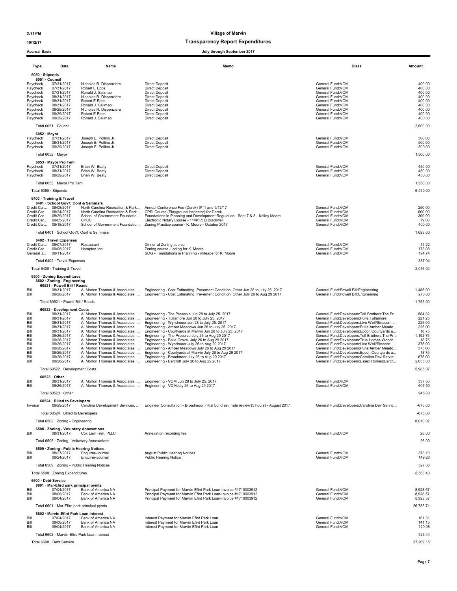### 10/12/17 Transparency Report Expenditures

| <b>Accrual Basis</b>                                                                                                        |                                                                                                                                                                                                   |                                                                                                                                                                                                          | July through September 2017                                                                                                                                                                                                                                                                                                                                                                                                                                                                                                                                                                                                                                                                                                                                                                                                                                  |                                                                                                                                                                                                                                                                                                                                                                                                                                                                                                                                                                   |                                                                                                                       |
|-----------------------------------------------------------------------------------------------------------------------------|---------------------------------------------------------------------------------------------------------------------------------------------------------------------------------------------------|----------------------------------------------------------------------------------------------------------------------------------------------------------------------------------------------------------|--------------------------------------------------------------------------------------------------------------------------------------------------------------------------------------------------------------------------------------------------------------------------------------------------------------------------------------------------------------------------------------------------------------------------------------------------------------------------------------------------------------------------------------------------------------------------------------------------------------------------------------------------------------------------------------------------------------------------------------------------------------------------------------------------------------------------------------------------------------|-------------------------------------------------------------------------------------------------------------------------------------------------------------------------------------------------------------------------------------------------------------------------------------------------------------------------------------------------------------------------------------------------------------------------------------------------------------------------------------------------------------------------------------------------------------------|-----------------------------------------------------------------------------------------------------------------------|
| Type                                                                                                                        | Date                                                                                                                                                                                              | Name                                                                                                                                                                                                     | Memo                                                                                                                                                                                                                                                                                                                                                                                                                                                                                                                                                                                                                                                                                                                                                                                                                                                         | Class                                                                                                                                                                                                                                                                                                                                                                                                                                                                                                                                                             | Amount                                                                                                                |
| 6050 · Stipends<br>Paycheck<br>Paycheck<br>Paycheck<br>Paycheck<br>Paycheck<br>Paycheck<br>Paycheck<br>Paycheck<br>Paycheck | 6051 · Council<br>07/31/2017<br>07/31/2017<br>07/31/2017<br>08/31/2017<br>08/31/2017<br>08/31/2017<br>09/29/2017<br>09/29/2017<br>09/29/2017                                                      | Nicholas R. Dispenziere<br>Robert E Epps<br>Ronald J. Salimao<br>Nicholas R. Dispenziere<br>Robert E Epps<br>Ronald J. Salimao<br>Nicholas R. Dispenziere<br>Robert E Epps<br>Ronald J. Salimao          | <b>Direct Deposit</b><br><b>Direct Deposit</b><br><b>Direct Deposit</b><br><b>Direct Deposit</b><br><b>Direct Deposit</b><br><b>Direct Deposit</b><br><b>Direct Deposit</b><br><b>Direct Deposit</b><br><b>Direct Deposit</b>                                                                                                                                                                                                                                                                                                                                                                                                                                                                                                                                                                                                                                | General Fund:VOM<br>General Fund:VOM<br>General Fund: VOM<br>General Fund:VOM<br>General Fund: VOM<br>General Fund:VOM<br>General Fund:VOM<br>General Fund: VOM<br>General Fund: VOM                                                                                                                                                                                                                                                                                                                                                                              | 400.00<br>400.00<br>400.00<br>400.00<br>400.00<br>400.00<br>400.00<br>400.00<br>400.00                                |
|                                                                                                                             | Total 6051 · Council                                                                                                                                                                              |                                                                                                                                                                                                          |                                                                                                                                                                                                                                                                                                                                                                                                                                                                                                                                                                                                                                                                                                                                                                                                                                                              |                                                                                                                                                                                                                                                                                                                                                                                                                                                                                                                                                                   | 3,600.00                                                                                                              |
| Paycheck<br>Paycheck<br>Paycheck                                                                                            | 6052 · Mayor<br>07/31/2017<br>08/31/2017<br>09/29/2017                                                                                                                                            | Joseph E. Pollino Jr.<br>Joseph E. Pollino Jr.<br>Joseph E. Pollino Jr.                                                                                                                                  | <b>Direct Deposit</b><br><b>Direct Deposit</b><br><b>Direct Deposit</b>                                                                                                                                                                                                                                                                                                                                                                                                                                                                                                                                                                                                                                                                                                                                                                                      | General Fund: VOM<br>General Fund:VOM<br>General Fund:VOM                                                                                                                                                                                                                                                                                                                                                                                                                                                                                                         | 500.00<br>500.00<br>500.00                                                                                            |
|                                                                                                                             | Total 6052 · Mayor<br>6053 · Mayor Pro Tem                                                                                                                                                        |                                                                                                                                                                                                          |                                                                                                                                                                                                                                                                                                                                                                                                                                                                                                                                                                                                                                                                                                                                                                                                                                                              |                                                                                                                                                                                                                                                                                                                                                                                                                                                                                                                                                                   | 1,500.00                                                                                                              |
| Paycheck<br>Paycheck<br>Paycheck                                                                                            | 07/31/2017<br>08/31/2017<br>09/29/2017                                                                                                                                                            | Brian W. Beaty<br>Brian W. Beaty<br>Brian W. Beaty                                                                                                                                                       | <b>Direct Deposit</b><br><b>Direct Deposit</b><br><b>Direct Deposit</b>                                                                                                                                                                                                                                                                                                                                                                                                                                                                                                                                                                                                                                                                                                                                                                                      | General Fund:VOM<br>General Fund: VOM<br>General Fund: VOM                                                                                                                                                                                                                                                                                                                                                                                                                                                                                                        | 450.00<br>450.00<br>450.00                                                                                            |
|                                                                                                                             | Total 6053 · Mayor Pro Tem<br>Total 6050 · Stipends                                                                                                                                               |                                                                                                                                                                                                          |                                                                                                                                                                                                                                                                                                                                                                                                                                                                                                                                                                                                                                                                                                                                                                                                                                                              |                                                                                                                                                                                                                                                                                                                                                                                                                                                                                                                                                                   | 1,350.00<br>6,450.00                                                                                                  |
|                                                                                                                             | 6400 · Training & Travel<br>6401 · School Gov't, Conf & Seminars<br>Credit Car 08/08/2017<br>Credit Car 08/24/2017<br>Credit Car 08/29/2017<br>Credit Car 09/05/2017<br>Credit Car 09/18/2017     | North Carolina Recreation & Park<br>North Carolina Recreation & Park<br>School of Government Foundatio<br>CPCC<br>School of Government Foundatio<br>Total 6401 · School Gov't, Conf & Seminars           | Annual Conference Fee (Derek) 9/11 and 9/12/17<br>CPSI Course (Playground Inspector) for Derek<br>Foundations in Planning and Development Regulation - Sept 7 & 8 - Kelley Moore<br>Electronic Notary Course - 11/4/17; B.Blackwell<br>Zoning Practice course - K. Moore - October 2017                                                                                                                                                                                                                                                                                                                                                                                                                                                                                                                                                                      | General Fund: VOM<br>General Fund:VOM<br>General Fund:VOM<br>General Fund:VOM<br>General Fund: VOM                                                                                                                                                                                                                                                                                                                                                                                                                                                                | 250.00<br>600.00<br>300.00<br>79.00<br>400.00<br>1,629.00                                                             |
|                                                                                                                             | 6402 · Travel Expenses<br>Credit Car 09/07/2017<br>Credit Car 09/08/2017<br>General J 09/11/2017                                                                                                  | Restaurant<br>Hampton Inn                                                                                                                                                                                | Dinner at Zoning course<br>Zoning course - loding for K. Moore<br>SOG - Foundations in Planning - mileage for K. Moore                                                                                                                                                                                                                                                                                                                                                                                                                                                                                                                                                                                                                                                                                                                                       | General Fund:VOM<br>General Fund:VOM<br>General Fund:VOM                                                                                                                                                                                                                                                                                                                                                                                                                                                                                                          | 14.22<br>178.08<br>194.74                                                                                             |
|                                                                                                                             | Total 6402 · Travel Expenses                                                                                                                                                                      |                                                                                                                                                                                                          |                                                                                                                                                                                                                                                                                                                                                                                                                                                                                                                                                                                                                                                                                                                                                                                                                                                              |                                                                                                                                                                                                                                                                                                                                                                                                                                                                                                                                                                   | 387.04                                                                                                                |
|                                                                                                                             | Total 6400 · Training & Travel<br>6500 · Zoning Expenditures                                                                                                                                      |                                                                                                                                                                                                          |                                                                                                                                                                                                                                                                                                                                                                                                                                                                                                                                                                                                                                                                                                                                                                                                                                                              |                                                                                                                                                                                                                                                                                                                                                                                                                                                                                                                                                                   | 2,016.04                                                                                                              |
| Bill<br>Bill                                                                                                                | 6502 · Zoning - Engineering<br>60521 · Powell Bill / Roads<br>08/31/2017<br>09/26/2017                                                                                                            | A. Morton Thomas & Associates,<br>A. Morton Thomas & Associates,                                                                                                                                         | Engineering - Cost Estimating, Pavement Condition, Other Jun 28 to July 25. 2017<br>Engineering - Cost Estimating, Pavement Condition, Other July 26 to Aug 29 2017                                                                                                                                                                                                                                                                                                                                                                                                                                                                                                                                                                                                                                                                                          | General Fund: Powell Bill: Engineering<br>General Fund: Powell Bill: Engineering                                                                                                                                                                                                                                                                                                                                                                                                                                                                                  | 1,485.00<br>270.00                                                                                                    |
|                                                                                                                             | Total 60521 · Powell Bill / Roads                                                                                                                                                                 |                                                                                                                                                                                                          |                                                                                                                                                                                                                                                                                                                                                                                                                                                                                                                                                                                                                                                                                                                                                                                                                                                              |                                                                                                                                                                                                                                                                                                                                                                                                                                                                                                                                                                   | 1,755.00                                                                                                              |
| Bill<br>Bill<br>Bill<br>Bill<br>Bill<br>Bill<br>Bill<br>Bill<br>Bill<br>Bill<br>Bill<br>Bill                                | 60522 · Development Costs<br>08/31/2017<br>08/31/2017<br>08/31/2017<br>08/31/2017<br>08/31/2017<br>09/26/2017<br>09/26/2017<br>09/26/2017<br>09/26/2017<br>09/26/2017<br>09/26/2017<br>09/26/2017 | A. Morton Thomas & Associates,<br>A. Morton Thomas & Associates,<br>A. Morton Thomas & Associates,<br>A. Morton Thomas & Associates,<br>A. Morton Thomas & Associates,<br>A. Morton Thomas & Associates, | A. Morton Thomas & Associates,  Engineering - The Preserve Jun 28 to July 25. 2017<br>A. Morton Thomas & Associates,  Engineering - Tullamore Jun 28 to July 25. 2017<br>A. Morton Thomas & Associates,  Engineering - Wyndmoor Jun 28 to July 25. 2017<br>A. Morton Thomas & Associates,  Engineering - Amber Meadows Jun 28 to July 25. 2017<br>A. Morton Thomas & Associates,  Engineering - Courtyards at Marvin Jun 28 to July 25. 2017<br>Engineering - The Preserve July 26 to Aug 29 2017<br>A. Morton Thomas & Associates,  Engineering - Belle Grove July 26 to Aug 29 2017<br>Engineering - Wyndmoor July 26 to Aug 29 2017<br>Engineering - Amber Meadows July 26 to Aug 29 2017<br>Engineering - Courtyards at Marvin July 26 to Aug 29 2017<br>Engineering - Broadmoor July 26 to Aug 29 2017<br>Engineering - Barcroft July 26 to Aug 29 2017 | General Fund:Developers:Toll Brothers:The Pr<br>General Fund:Developers:Pulte:Tullamore<br>General Fund:Developers:Live Well/Sinacori<br>General Fund:Developers:Pulte:Amber Meado<br>General Fund:Developers:Epcon:Courtyards a<br>General Fund:Developers:Toll Brothers:The Pr<br>General Fund:Developers:True Homes:Woodc<br>General Fund:Developers:Live Well/Sinacori<br>General Fund:Developers:Pulte:Amber Meado<br>General Fund:Developers:Epcon:Courtyards a<br>General Fund:Developers:Carolina Dev Servic<br>General Fund:Developers:Essex Homes:Barcr | 584.82<br>221.25<br>225.00<br>225.00<br>18.75<br>1,192.75<br>18.75<br>375.00<br>375.00<br>18.75<br>675.00<br>2,055.00 |
|                                                                                                                             | Total 60522 · Development Costs                                                                                                                                                                   |                                                                                                                                                                                                          |                                                                                                                                                                                                                                                                                                                                                                                                                                                                                                                                                                                                                                                                                                                                                                                                                                                              |                                                                                                                                                                                                                                                                                                                                                                                                                                                                                                                                                                   | 5,985.07                                                                                                              |
| Bill<br>Bill                                                                                                                | $60523 \cdot$ Other<br>08/31/2017<br>09/26/2017<br>Total 60523 · Other                                                                                                                            | A. Morton Thomas & Associates,<br>A. Morton Thomas & Associates,                                                                                                                                         | Engineering - VOM Jun 28 to July 25, 2017<br>Engineering - VOMJuly 26 to Aug 29 2017                                                                                                                                                                                                                                                                                                                                                                                                                                                                                                                                                                                                                                                                                                                                                                         | General Fund: VOM<br>General Fund: VOM                                                                                                                                                                                                                                                                                                                                                                                                                                                                                                                            | 337.50<br>607.50<br>945.00                                                                                            |
| Invoice                                                                                                                     | 60524 · Billed to Developers<br>09/29/2017                                                                                                                                                        |                                                                                                                                                                                                          | Carolina Development Services,  Engineer Consultation - Broadmoor initial bond estimate review (5 hours) - August 2017                                                                                                                                                                                                                                                                                                                                                                                                                                                                                                                                                                                                                                                                                                                                       | General Fund:Developers:Carolina Dev Servic                                                                                                                                                                                                                                                                                                                                                                                                                                                                                                                       | $-675.00$                                                                                                             |
|                                                                                                                             | Total 60524 · Billed to Developers                                                                                                                                                                |                                                                                                                                                                                                          |                                                                                                                                                                                                                                                                                                                                                                                                                                                                                                                                                                                                                                                                                                                                                                                                                                                              |                                                                                                                                                                                                                                                                                                                                                                                                                                                                                                                                                                   | $-675.00$                                                                                                             |
|                                                                                                                             | Total 6502 · Zoning - Engineering                                                                                                                                                                 |                                                                                                                                                                                                          |                                                                                                                                                                                                                                                                                                                                                                                                                                                                                                                                                                                                                                                                                                                                                                                                                                                              |                                                                                                                                                                                                                                                                                                                                                                                                                                                                                                                                                                   | 8,010.07                                                                                                              |
| Bill                                                                                                                        | 6508 · Zoning - Voluntary Annexations<br>08/31/2017                                                                                                                                               | Cox Law Firm, PLLC                                                                                                                                                                                       | Annexation recording fee                                                                                                                                                                                                                                                                                                                                                                                                                                                                                                                                                                                                                                                                                                                                                                                                                                     | General Fund:VOM                                                                                                                                                                                                                                                                                                                                                                                                                                                                                                                                                  | 26.00                                                                                                                 |
|                                                                                                                             |                                                                                                                                                                                                   | Total 6508 · Zoning - Voluntary Annexations                                                                                                                                                              |                                                                                                                                                                                                                                                                                                                                                                                                                                                                                                                                                                                                                                                                                                                                                                                                                                                              |                                                                                                                                                                                                                                                                                                                                                                                                                                                                                                                                                                   | 26.00                                                                                                                 |
| Bill<br>Bill                                                                                                                | 6509 · Zoning - Public Hearing Notices<br>08/27/2017<br>09/24/2017                                                                                                                                | Enquirer-Journal<br>Enquirer-Journal                                                                                                                                                                     | <b>August Public Hearing Notices</b><br><b>Public Hearing Notice</b>                                                                                                                                                                                                                                                                                                                                                                                                                                                                                                                                                                                                                                                                                                                                                                                         | General Fund:VOM<br>General Fund: VOM                                                                                                                                                                                                                                                                                                                                                                                                                                                                                                                             | 378.10<br>149.26                                                                                                      |
|                                                                                                                             | Total 6500 · Zoning Expenditures                                                                                                                                                                  | Total 6509 · Zoning - Public Hearing Notices                                                                                                                                                             |                                                                                                                                                                                                                                                                                                                                                                                                                                                                                                                                                                                                                                                                                                                                                                                                                                                              |                                                                                                                                                                                                                                                                                                                                                                                                                                                                                                                                                                   | 527.36<br>8,563.43                                                                                                    |
|                                                                                                                             | 6600 · Debt Service                                                                                                                                                                               |                                                                                                                                                                                                          |                                                                                                                                                                                                                                                                                                                                                                                                                                                                                                                                                                                                                                                                                                                                                                                                                                                              |                                                                                                                                                                                                                                                                                                                                                                                                                                                                                                                                                                   |                                                                                                                       |
| Bill<br>Bill<br>Bill                                                                                                        | 6601 · Mar-Efird park principal pymts<br>07/04/2017<br>08/06/2017<br>09/04/2017                                                                                                                   | Bank of America NA<br>Bank of America NA<br>Bank of America NA                                                                                                                                           | Principal Payment for Marvin Efird Park Loan-Invoice #1710003912<br>Principal Payment for Marvin Efird Park Loan-Invoice #1710003912<br>Principal Payment for Marvin Efird Park Loan-Invoice #1710003912                                                                                                                                                                                                                                                                                                                                                                                                                                                                                                                                                                                                                                                     | General Fund:VOM<br>General Fund:VOM<br>General Fund:VOM                                                                                                                                                                                                                                                                                                                                                                                                                                                                                                          | 8,928.57<br>8,928.57<br>8,928.57                                                                                      |
|                                                                                                                             | Total 6601 · Mar-Efird park principal pymts<br>6602 · Marvin-Efird Park Loan Interest                                                                                                             |                                                                                                                                                                                                          |                                                                                                                                                                                                                                                                                                                                                                                                                                                                                                                                                                                                                                                                                                                                                                                                                                                              |                                                                                                                                                                                                                                                                                                                                                                                                                                                                                                                                                                   | 26,785.71                                                                                                             |
| Bill<br>Bill<br>Bill                                                                                                        | 07/04/2017<br>08/06/2017<br>09/04/2017                                                                                                                                                            | Bank of America NA<br>Bank of America NA<br>Bank of America NA                                                                                                                                           | Interest Payment for Marvin Efird Park Loan<br>Interest Payment for Marvin Efird Park Loan<br>Interest Payment for Marvin Efird Park Loan                                                                                                                                                                                                                                                                                                                                                                                                                                                                                                                                                                                                                                                                                                                    | General Fund:VOM<br>General Fund:VOM<br>General Fund:VOM                                                                                                                                                                                                                                                                                                                                                                                                                                                                                                          | 161.31<br>141.15<br>120.98                                                                                            |
|                                                                                                                             |                                                                                                                                                                                                   | Total 6602 · Marvin-Efird Park Loan Interest                                                                                                                                                             |                                                                                                                                                                                                                                                                                                                                                                                                                                                                                                                                                                                                                                                                                                                                                                                                                                                              |                                                                                                                                                                                                                                                                                                                                                                                                                                                                                                                                                                   | 423.44                                                                                                                |

Total 6600 · Debt Service 27,209.15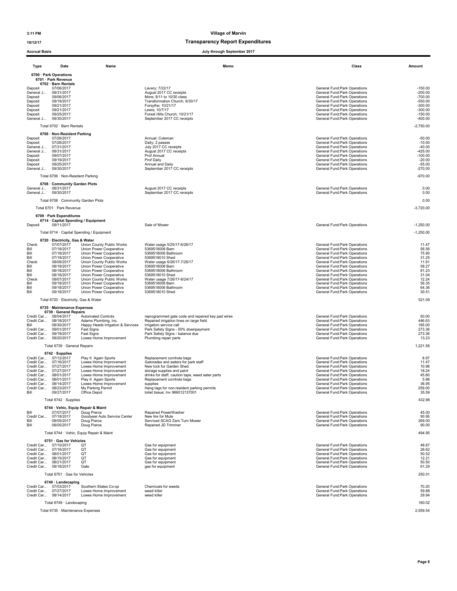### 10/12/17 Transparency Report Expenditures

| ACCIU AI DASIS                                                                                                                                                                                    |                                                                                                                                                                                                         |                                                                                                                                                                                                                                                                                                                                        | July through September 2017                                                                                                                                                                                                                                                                              |                                                                                                                                                                                                                                                                                                                                                                                                     |                                                                                                          |
|---------------------------------------------------------------------------------------------------------------------------------------------------------------------------------------------------|---------------------------------------------------------------------------------------------------------------------------------------------------------------------------------------------------------|----------------------------------------------------------------------------------------------------------------------------------------------------------------------------------------------------------------------------------------------------------------------------------------------------------------------------------------|----------------------------------------------------------------------------------------------------------------------------------------------------------------------------------------------------------------------------------------------------------------------------------------------------------|-----------------------------------------------------------------------------------------------------------------------------------------------------------------------------------------------------------------------------------------------------------------------------------------------------------------------------------------------------------------------------------------------------|----------------------------------------------------------------------------------------------------------|
| Type                                                                                                                                                                                              | Date                                                                                                                                                                                                    | Name                                                                                                                                                                                                                                                                                                                                   | Memo                                                                                                                                                                                                                                                                                                     | Class                                                                                                                                                                                                                                                                                                                                                                                               | Amount                                                                                                   |
|                                                                                                                                                                                                   | 6700 · Park Operations                                                                                                                                                                                  |                                                                                                                                                                                                                                                                                                                                        |                                                                                                                                                                                                                                                                                                          |                                                                                                                                                                                                                                                                                                                                                                                                     |                                                                                                          |
| Deposit<br>General J<br>Deposit<br>Deposit<br>Deposit<br>Deposit<br>Deposit<br>General J                                                                                                          | 6701 · Park Revenue<br>6702 · Barn Rentals<br>07/06/2017<br>08/31/2017<br>09/06/2017<br>09/19/2017<br>09/21/2017<br>09/21/2017<br>09/25/2017<br>09/30/2017                                              |                                                                                                                                                                                                                                                                                                                                        | Lavery; 7/22/17<br>August 2017 CC receipts<br>More; 9/11 to 10/30 class<br>Transformation Church; 9/30/17<br>Forsythe; 10/21/17<br>Lewis; 10/7/17<br>Forest Hills Church; 10/21/17<br>September 2017 CC receipts                                                                                         | General Fund:Park Operations<br>General Fund:Park Operations<br>General Fund: Park Operations<br>General Fund:Park Operations<br>General Fund:Park Operations<br>General Fund:Park Operations<br>General Fund: Park Operations<br>General Fund: Park Operations                                                                                                                                     | $-150.00$<br>$-200.00$<br>$-700.00$<br>$-550.00$<br>$-300.00$<br>$-300.00$<br>$-150.00$<br>$-400.00$     |
|                                                                                                                                                                                                   | Total 6702 · Barn Rentals                                                                                                                                                                               |                                                                                                                                                                                                                                                                                                                                        |                                                                                                                                                                                                                                                                                                          |                                                                                                                                                                                                                                                                                                                                                                                                     | $-2,750.00$                                                                                              |
| Deposit<br>Deposit<br>General J<br>General J<br>Deposit<br>Deposit<br>Deposit<br>General J                                                                                                        | 6706 · Non-Resident Parking<br>07/26/2017<br>07/26/2017<br>07/31/2017<br>08/31/2017<br>09/07/2017<br>09/19/2017<br>09/25/2017<br>09/30/2017                                                             |                                                                                                                                                                                                                                                                                                                                        | Annual; Coleman<br>Daily; 2 passes<br>July 2017 CC receipts<br>August 2017 CC receipts<br>Prof Annual<br>Prof Daily<br>Annual and Daily<br>September 2017 CC receipts                                                                                                                                    | General Fund:Park Operations<br>General Fund: Park Operations<br>General Fund: Park Operations<br>General Fund:Park Operations<br>General Fund: Park Operations<br>General Fund:Park Operations<br>General Fund: Park Operations<br>General Fund: Park Operations                                                                                                                                   | $-50.00$<br>$-10.00$<br>$-40.00$<br>-425.00<br>$-100.00$<br>$-20.00$<br>$-55.00$<br>$-270.00$            |
|                                                                                                                                                                                                   | Total 6706 · Non-Resident Parking                                                                                                                                                                       |                                                                                                                                                                                                                                                                                                                                        |                                                                                                                                                                                                                                                                                                          |                                                                                                                                                                                                                                                                                                                                                                                                     | $-970.00$                                                                                                |
| General J<br>General J                                                                                                                                                                            | 6708 Community Garden Plots<br>08/31/2017<br>09/30/2017                                                                                                                                                 |                                                                                                                                                                                                                                                                                                                                        | August 2017 CC receipts<br>September 2017 CC receipts                                                                                                                                                                                                                                                    | General Fund:Park Operations<br>General Fund: Park Operations                                                                                                                                                                                                                                                                                                                                       | 0.00<br>0.00                                                                                             |
|                                                                                                                                                                                                   | Total 6708 · Community Garden Plots                                                                                                                                                                     |                                                                                                                                                                                                                                                                                                                                        |                                                                                                                                                                                                                                                                                                          |                                                                                                                                                                                                                                                                                                                                                                                                     | 0.00                                                                                                     |
|                                                                                                                                                                                                   | Total 6701 · Park Revenue                                                                                                                                                                               |                                                                                                                                                                                                                                                                                                                                        |                                                                                                                                                                                                                                                                                                          |                                                                                                                                                                                                                                                                                                                                                                                                     | $-3,720.00$                                                                                              |
| Deposit                                                                                                                                                                                           | 6709 · Park Expenditures<br>6714 · Capital Spending / Equipment<br>09/11/2017                                                                                                                           |                                                                                                                                                                                                                                                                                                                                        | Sale of Mower                                                                                                                                                                                                                                                                                            | General Fund: Park Operations                                                                                                                                                                                                                                                                                                                                                                       | $-1.250.00$                                                                                              |
|                                                                                                                                                                                                   |                                                                                                                                                                                                         | Total 6714 · Capital Spending / Equipment                                                                                                                                                                                                                                                                                              |                                                                                                                                                                                                                                                                                                          |                                                                                                                                                                                                                                                                                                                                                                                                     | $-1,250.00$                                                                                              |
| Check<br>Bill<br>Bill<br>Bill<br>Check<br>Bill<br>Bill<br>Bill<br>Check<br>Bill<br>Bill<br>Bill                                                                                                   | 6720 · Electricity, Gas & Water<br>07/07/2017<br>07/18/2017<br>07/18/2017<br>07/18/2017<br>08/09/2017<br>08/18/2017<br>08/18/2017<br>08/18/2017<br>09/07/2017<br>09/18/2017<br>09/18/2017<br>09/18/2017 | Union County Public Works<br>Union Power Cooperative<br>Union Power Cooperative<br>Union Power Cooperative<br>Union County Public Works<br>Union Power Cooperative<br>Union Power Cooperative<br>Union Power Cooperative<br>Union County Public Works<br>Union Power Cooperative<br>Union Power Cooperative<br>Union Power Cooperative | Water usage 5/25/17-6/26/17<br>5369518008 Barn<br>5369518006 Bathroom<br>5369518010 Shed<br>Water usage 6/26/17-7/26/17<br>5369518008 Barn<br>5369518006 Bathroom<br>5369518010 Shed<br>Water usage 7/26/17-8/24/17<br>5369518008 Barn<br>5369518006 Bathroom<br>5369518010 Shed                         | General Fund: Park Operations<br>General Fund: Park Operations<br>General Fund:Park Operations<br>General Fund:Park Operations<br>General Fund: Park Operations<br>General Fund: Park Operations<br>General Fund: Park Operations<br>General Fund:Park Operations<br>General Fund: Park Operations<br>General Fund:Park Operations<br>General Fund:Park Operations<br>General Fund: Park Operations | 11.47<br>56.56<br>75.90<br>31.25<br>11.91<br>58.27<br>81.23<br>31.04<br>12.24<br>56.35<br>64.36<br>30.51 |
|                                                                                                                                                                                                   | Total 6720 · Electricity, Gas & Water                                                                                                                                                                   |                                                                                                                                                                                                                                                                                                                                        |                                                                                                                                                                                                                                                                                                          |                                                                                                                                                                                                                                                                                                                                                                                                     | 521.09                                                                                                   |
|                                                                                                                                                                                                   | 6735 · Maintenance Expenses                                                                                                                                                                             |                                                                                                                                                                                                                                                                                                                                        |                                                                                                                                                                                                                                                                                                          |                                                                                                                                                                                                                                                                                                                                                                                                     |                                                                                                          |
| Credit Car 08/04/2017<br>Credit Car 08/18/2017<br>Bill<br>Credit Car 09/01/2017<br>Credit Car 09/19/2017<br>Credit Car 09/20/2017                                                                 | 6739 · General Repairs<br>08/30/2017                                                                                                                                                                    | <b>Automated Controls</b><br>Adams Plumbing, Inc.<br>Happy Heads Irrigation & Services<br>Fast Signs<br>Fast Signs<br>Lowes Home Improvement                                                                                                                                                                                           | reprogrammed gate code and repaired key pad wires<br>Repaired irrigation lines on large field<br>Irrigation service call<br>Park Safety Signs - 50% downpayment<br>Park Safety Signs - balance due<br>Plumbing repair parts                                                                              | General Fund:Park Operations<br>General Fund: Park Operations<br>General Fund: Park Operations<br>General Fund:Park Operations<br>General Fund:Park Operations<br>General Fund: Park Operations                                                                                                                                                                                                     | 50.00<br>446.63<br>165.00<br>273.36<br>273.36<br>13.23                                                   |
|                                                                                                                                                                                                   | Total 6739 · General Repairs                                                                                                                                                                            |                                                                                                                                                                                                                                                                                                                                        |                                                                                                                                                                                                                                                                                                          |                                                                                                                                                                                                                                                                                                                                                                                                     | 1,221.58                                                                                                 |
| Credit Car 07/12/2017<br>Credit Car 07/16/2017<br>Credit Car 07/27/2017<br>Credit Car 07/27/2017<br>Credit Car 08/01/2017<br>Credit Car 08/01/2017<br>Credit Car 08/14/2017<br>Credit Car<br>Bill | 6742 · Supplies<br>08/23/2017<br>09/27/2017                                                                                                                                                             | Play It Again Sports<br>Lowes Home Improvement<br>Lowes Home Improvement<br>Lowes Home Improvement<br>Lowes Home Improvement<br>Play It Again Sports<br>Lowes Home Improvement<br>My Parking Permit<br>Office Depot                                                                                                                    | Replacement cornhole bags<br>Gatorades and waters for park staff<br>New lock for Garden Shed<br>storage supplies and paint<br>drinks for staff, caution tape, weed eater parts<br>Replacement cornhole bags<br>supplies<br>Hang tags for non-resident parking permits<br>toilet tissue; Inv 966012137001 | General Fund:Park Operations<br>General Fund:Park Operations<br>General Fund:Park Operations<br>General Fund: Park Operations<br>General Fund: Park Operations<br>General Fund:Park Operations<br>General Fund: Park Operations<br>General Fund:Park Operations<br>General Fund: Park Operations                                                                                                    | 8.97<br>11.47<br>10.98<br>18.24<br>45.80<br>5.98<br>36.95<br>259.00<br>35.59                             |
|                                                                                                                                                                                                   | Total 6742 · Supplies                                                                                                                                                                                   |                                                                                                                                                                                                                                                                                                                                        |                                                                                                                                                                                                                                                                                                          |                                                                                                                                                                                                                                                                                                                                                                                                     | 432.98                                                                                                   |
| Bill<br>Credit Car<br>Bill<br>Bill                                                                                                                                                                | 6744 · Vehic, Equip Repair & Maint<br>07/07/2017<br>07/18/2017<br>08/05/2017<br>08/05/2017                                                                                                              | Doug Pierce<br>Goodyear Auto Service Center<br>Doug Pierce<br>Doug Pierce                                                                                                                                                                                                                                                              | Repaired PowerWasher<br>New tire for Mule<br>Serviced SCAG Zero Turn Mower<br>Repaired JD Trimmer                                                                                                                                                                                                        | General Fund:Park Operations<br>General Fund:Park Operations<br>General Fund: Park Operations<br>General Fund: Park Operations                                                                                                                                                                                                                                                                      | 45.00<br>90.95<br>269.00<br>90.00                                                                        |
|                                                                                                                                                                                                   |                                                                                                                                                                                                         | Total 6744 · Vehic, Equip Repair & Maint                                                                                                                                                                                                                                                                                               |                                                                                                                                                                                                                                                                                                          |                                                                                                                                                                                                                                                                                                                                                                                                     | 494.95                                                                                                   |
| Credit Car 07/10/2017<br>Credit Car 07/16/2017<br>Credit Car 08/01/2017<br>Credit Car 08/15/2017<br>Credit Car 08/21/2017<br>Credit Car 09/18/2017                                                | 6751 · Gas for Vehicles                                                                                                                                                                                 | QT<br>QT<br>QT<br>QT<br>QT<br>Gate                                                                                                                                                                                                                                                                                                     | Gas for equipment<br>Gas for equipment<br>Gas for equipment<br>Gas for equipment<br>Gas for equipment<br>gas for equipment                                                                                                                                                                               | General Fund: Park Operations<br>General Fund:Park Operations<br>General Fund:Park Operations<br>General Fund: Park Operations<br>General Fund: Park Operations<br>General Fund: Park Operations                                                                                                                                                                                                    | 48.87<br>26.62<br>50.52<br>12.21<br>50.50<br>61.29                                                       |
|                                                                                                                                                                                                   | Total 6751 · Gas for Vehicles                                                                                                                                                                           |                                                                                                                                                                                                                                                                                                                                        |                                                                                                                                                                                                                                                                                                          |                                                                                                                                                                                                                                                                                                                                                                                                     | 250.01                                                                                                   |
| Credit Car 07/03/2017<br>Credit Car 07/27/2017<br>Credit Car 08/14/2017                                                                                                                           | 6749 · Landscaping                                                                                                                                                                                      | Southern States Co-op<br>Lowes Home Improvement<br>Lowes Home Improvement                                                                                                                                                                                                                                                              | Chemicals for weeds<br>weed killer<br>weed killer                                                                                                                                                                                                                                                        | General Fund: Park Operations<br>General Fund:Park Operations<br>General Fund:Park Operations                                                                                                                                                                                                                                                                                                       | 70.20<br>59.88<br>29.94                                                                                  |
|                                                                                                                                                                                                   | Total 6749 · Landscaping                                                                                                                                                                                |                                                                                                                                                                                                                                                                                                                                        |                                                                                                                                                                                                                                                                                                          |                                                                                                                                                                                                                                                                                                                                                                                                     | 160.02                                                                                                   |
|                                                                                                                                                                                                   | Total 6735 · Maintenance Expenses                                                                                                                                                                       |                                                                                                                                                                                                                                                                                                                                        |                                                                                                                                                                                                                                                                                                          |                                                                                                                                                                                                                                                                                                                                                                                                     | 2,559.54                                                                                                 |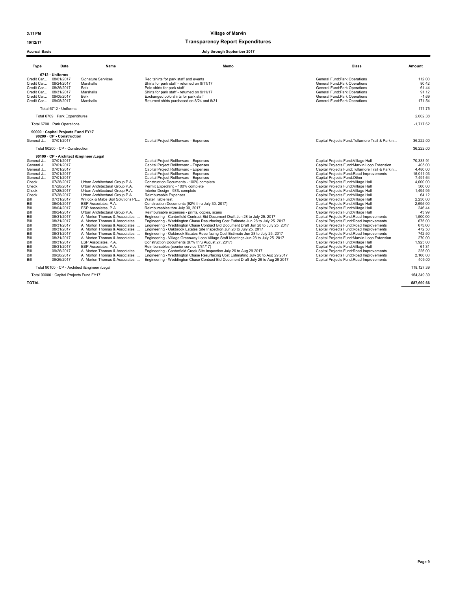### 10/12/17 Transparency Report Expenditures

#### Accrual Basis July through September 2017

| <b>Type</b>                                                                                                                                                                                                                                                             | Date                                                                                                                                                                                                                                                                                 | Name                                                                                                                                                                                                                                                                                                                                                                                                                                                                                                                                                                                                                                                                   | Memo                                                                                                                                                                                                                                                                                                                                                                                                                                                                                                                                                                                                                                                                                                                                                                                                                                                                                                                                                                                                                                                                                                                                                                                                                                                                                                                                                                                    | Class                                                                                                                                                                                                                                                                                                                                                                                                                                                                                                                                                                                                                                                                                                                                                                                                                                                                                                                                                                                                                                  | Amount                                                                                                                                                                                                                                                            |  |  |  |
|-------------------------------------------------------------------------------------------------------------------------------------------------------------------------------------------------------------------------------------------------------------------------|--------------------------------------------------------------------------------------------------------------------------------------------------------------------------------------------------------------------------------------------------------------------------------------|------------------------------------------------------------------------------------------------------------------------------------------------------------------------------------------------------------------------------------------------------------------------------------------------------------------------------------------------------------------------------------------------------------------------------------------------------------------------------------------------------------------------------------------------------------------------------------------------------------------------------------------------------------------------|-----------------------------------------------------------------------------------------------------------------------------------------------------------------------------------------------------------------------------------------------------------------------------------------------------------------------------------------------------------------------------------------------------------------------------------------------------------------------------------------------------------------------------------------------------------------------------------------------------------------------------------------------------------------------------------------------------------------------------------------------------------------------------------------------------------------------------------------------------------------------------------------------------------------------------------------------------------------------------------------------------------------------------------------------------------------------------------------------------------------------------------------------------------------------------------------------------------------------------------------------------------------------------------------------------------------------------------------------------------------------------------------|----------------------------------------------------------------------------------------------------------------------------------------------------------------------------------------------------------------------------------------------------------------------------------------------------------------------------------------------------------------------------------------------------------------------------------------------------------------------------------------------------------------------------------------------------------------------------------------------------------------------------------------------------------------------------------------------------------------------------------------------------------------------------------------------------------------------------------------------------------------------------------------------------------------------------------------------------------------------------------------------------------------------------------------|-------------------------------------------------------------------------------------------------------------------------------------------------------------------------------------------------------------------------------------------------------------------|--|--|--|
| Credit Car 08/01/2017<br>Credit Car 08/24/2017<br>Credit Car 08/26/2017<br>Credit Car 08/31/2017<br>Credit Car 09/06/2017<br>Credit Car 09/08/2017                                                                                                                      | $6712 \cdot Uniforms$                                                                                                                                                                                                                                                                | <b>Signature Services</b><br>Marshalls<br><b>Belk</b><br>Marshalls<br><b>Belk</b><br>Marshalls                                                                                                                                                                                                                                                                                                                                                                                                                                                                                                                                                                         | Red tshirts for park staff and events<br>Shirts for park staff - returned on 9/11/17<br>Polo shirts for park staff<br>Shirts for park staff - returned on 9/11/17<br>Exchanged polo shirts for park staff<br>Returned shirts purchased on 8/24 and 8/31                                                                                                                                                                                                                                                                                                                                                                                                                                                                                                                                                                                                                                                                                                                                                                                                                                                                                                                                                                                                                                                                                                                                 | General Fund:Park Operations<br><b>General Fund: Park Operations</b><br>General Fund:Park Operations<br>General Fund: Park Operations<br>General Fund:Park Operations<br>General Fund: Park Operations                                                                                                                                                                                                                                                                                                                                                                                                                                                                                                                                                                                                                                                                                                                                                                                                                                 | 112.00<br>80.42<br>61.44<br>91.12<br>$-1.69$<br>$-171.54$                                                                                                                                                                                                         |  |  |  |
|                                                                                                                                                                                                                                                                         | Total 6712 · Uniforms                                                                                                                                                                                                                                                                |                                                                                                                                                                                                                                                                                                                                                                                                                                                                                                                                                                                                                                                                        |                                                                                                                                                                                                                                                                                                                                                                                                                                                                                                                                                                                                                                                                                                                                                                                                                                                                                                                                                                                                                                                                                                                                                                                                                                                                                                                                                                                         |                                                                                                                                                                                                                                                                                                                                                                                                                                                                                                                                                                                                                                                                                                                                                                                                                                                                                                                                                                                                                                        | 171.75                                                                                                                                                                                                                                                            |  |  |  |
|                                                                                                                                                                                                                                                                         | Total 6709 · Park Expenditures                                                                                                                                                                                                                                                       |                                                                                                                                                                                                                                                                                                                                                                                                                                                                                                                                                                                                                                                                        |                                                                                                                                                                                                                                                                                                                                                                                                                                                                                                                                                                                                                                                                                                                                                                                                                                                                                                                                                                                                                                                                                                                                                                                                                                                                                                                                                                                         |                                                                                                                                                                                                                                                                                                                                                                                                                                                                                                                                                                                                                                                                                                                                                                                                                                                                                                                                                                                                                                        | 2.002.38                                                                                                                                                                                                                                                          |  |  |  |
|                                                                                                                                                                                                                                                                         | Total 6700 · Park Operations                                                                                                                                                                                                                                                         |                                                                                                                                                                                                                                                                                                                                                                                                                                                                                                                                                                                                                                                                        |                                                                                                                                                                                                                                                                                                                                                                                                                                                                                                                                                                                                                                                                                                                                                                                                                                                                                                                                                                                                                                                                                                                                                                                                                                                                                                                                                                                         |                                                                                                                                                                                                                                                                                                                                                                                                                                                                                                                                                                                                                                                                                                                                                                                                                                                                                                                                                                                                                                        | $-1.717.62$                                                                                                                                                                                                                                                       |  |  |  |
| General J 07/01/2017                                                                                                                                                                                                                                                    | 90000 · Capital Projects Fund FY17<br>90200 · CP - Construction<br>Total 90200 · CP - Construction                                                                                                                                                                                   |                                                                                                                                                                                                                                                                                                                                                                                                                                                                                                                                                                                                                                                                        | Capital Project Rollforward - Expenses                                                                                                                                                                                                                                                                                                                                                                                                                                                                                                                                                                                                                                                                                                                                                                                                                                                                                                                                                                                                                                                                                                                                                                                                                                                                                                                                                  | Capital Projects Fund: Tullamore Trail & Parkin                                                                                                                                                                                                                                                                                                                                                                                                                                                                                                                                                                                                                                                                                                                                                                                                                                                                                                                                                                                        | 36,222.00<br>36.222.00                                                                                                                                                                                                                                            |  |  |  |
| General J<br>General J 07/01/2017<br>General J., 07/01/2017<br>General J 07/01/2017<br>General J 07/01/2017<br>Check<br>Check<br>Check<br>Check<br>Bill<br>Bill<br>Bill<br>Bill<br>Bill<br>Bill<br>Bill<br>Bill<br>Bill<br>Bill<br>Bill<br>Bill<br>Bill<br>Bill<br>Bill | 07/01/2017<br>07/28/2017<br>07/28/2017<br>07/28/2017<br>07/28/2017<br>07/31/2017<br>08/04/2017<br>08/04/2017<br>08/24/2017<br>08/31/2017<br>08/31/2017<br>08/31/2017<br>08/31/2017<br>08/31/2017<br>08/31/2017<br>08/31/2017<br>08/31/2017<br>09/26/2017<br>09/26/2017<br>09/26/2017 | 90100 · CP - Architect /Engineer /Legal<br>Urban Architectural Group P.A.<br>Urban Architectural Group P.A.<br>Urban Architectural Group P.A.<br>Urban Architectural Group P.A.<br>Willcox & Mabe Soil Solutions PL<br>ESP Associates, P.A.<br>ESP Associates, P.A.<br>Urban Architectural Group P.A.<br>A. Morton Thomas & Associates.<br>A. Morton Thomas & Associates.<br>A. Morton Thomas & Associates.<br>A. Morton Thomas & Associates,<br>A. Morton Thomas & Associates<br>A. Morton Thomas & Associates.<br>ESP Associates, P.A.<br>ESP Associates, P.A.<br>A. Morton Thomas & Associates.<br>A. Morton Thomas & Associates,<br>A. Morton Thomas & Associates. | Capital Project Rollforward - Expenses<br>Capital Project Rollforward - Expenses<br>Capital Project Rollforward - Expenses<br>Capital Project Rollforward - Expenses<br>Capital Project Rollforward - Expenses<br>Construction Documents - 100% complete<br>Permit Expediting - 100% complete<br>Interior Design - 93% complete<br>Reimbursable Expenses<br>Water Table test<br>Construction Documents (92% thru July 30, 2017)<br>Reimbursables thru July 30, 2017<br>Reimbursable expenses - prints, copies, scans<br>Engineering - Canterfield Contract Bid Document Draft Jun 28 to July 25. 2017<br>Engineering - Weddington Chase Resurfacing Cost Estimate Jun 28 to July 25, 2017<br>Engineering - Weddington Chase Contract Bid Document Draft Jun 28 to July 25, 2017<br>Engineering - Oakbrook Estates Site Inspection Jun 28 to July 25. 2017<br>Engineering - Oakbrook Estates Resurfacing Cost Estimate Jun 28 to July 25. 2017<br>Engineering - Village Greenway Loop Village Staff Meetings Jun 28 to July 25. 2017<br>Construction Documents (97% thru August 27, 2017)<br>Reimbursables (courier service 7/31/17)<br>Engineering - Canterfield Creek Site Inspection July 26 to Aug 29 2017<br>Engineering - Weddington Chase Resurfacing Cost Estimating July 26 to Aug 29 2017<br>Engineering - Weddington Chase Contract Bid Document Draft July 26 to Aug 29 2017 | Capital Projects Fund: Village Hall<br>Capital Projects Fund: Marvin Loop Extension<br>Capital Projects Fund: Tullamore Trail & Parkin<br>Capital Projects Fund: Road Improvements<br>Capital Projects Fund: Other<br>Capital Projects Fund: Village Hall<br>Capital Projects Fund: Village Hall<br>Capital Projects Fund: Village Hall<br>Capital Projects Fund: Village Hall<br>Capital Projects Fund: Village Hall<br>Capital Projects Fund: Village Hall<br>Capital Projects Fund: Village Hall<br>Capital Projects Fund: Village Hall<br>Capital Projects Fund: Road Improvements<br>Capital Projects Fund: Road Improvements<br>Capital Projects Fund: Road Improvements<br>Capital Projects Fund: Road Improvements<br>Capital Projects Fund: Road Improvements<br>Capital Projects Fund: Marvin Loop Extension<br>Capital Projects Fund: Village Hall<br>Capital Projects Fund: Village Hall<br>Capital Projects Fund:Road Improvements<br>Capital Projects Fund:Road Improvements<br>Capital Projects Fund: Road Improvements | 70,333.91<br>405.00<br>4.480.00<br>15.011.03<br>7.491.64<br>4,000.00<br>500.00<br>1.494.95<br>64.12<br>2,250.00<br>2.695.00<br>246.44<br>43.99<br>1.500.00<br>675.00<br>675.00<br>472.50<br>742.50<br>270.00<br>1.925.00<br>61.31<br>225.00<br>2.160.00<br>405.00 |  |  |  |
|                                                                                                                                                                                                                                                                         |                                                                                                                                                                                                                                                                                      | Total 90100 · CP - Architect / Engineer / Legal                                                                                                                                                                                                                                                                                                                                                                                                                                                                                                                                                                                                                        |                                                                                                                                                                                                                                                                                                                                                                                                                                                                                                                                                                                                                                                                                                                                                                                                                                                                                                                                                                                                                                                                                                                                                                                                                                                                                                                                                                                         |                                                                                                                                                                                                                                                                                                                                                                                                                                                                                                                                                                                                                                                                                                                                                                                                                                                                                                                                                                                                                                        | 118.127.39                                                                                                                                                                                                                                                        |  |  |  |
|                                                                                                                                                                                                                                                                         | Total 90000 · Capital Projects Fund FY17<br>154.349.39                                                                                                                                                                                                                               |                                                                                                                                                                                                                                                                                                                                                                                                                                                                                                                                                                                                                                                                        |                                                                                                                                                                                                                                                                                                                                                                                                                                                                                                                                                                                                                                                                                                                                                                                                                                                                                                                                                                                                                                                                                                                                                                                                                                                                                                                                                                                         |                                                                                                                                                                                                                                                                                                                                                                                                                                                                                                                                                                                                                                                                                                                                                                                                                                                                                                                                                                                                                                        |                                                                                                                                                                                                                                                                   |  |  |  |

TOTAL 587,690.66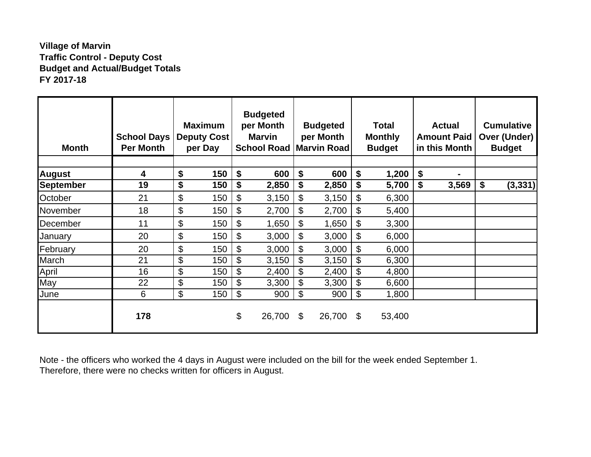# **Village of Marvin Traffic Control - Deputy Cost Budget and Actual/Budget Totals FY 2017-18**

| <b>Month</b>     | <b>School Days</b><br><b>Per Month</b> | <b>Maximum</b><br><b>Deputy Cost</b><br>per Day | <b>Budgeted</b><br>per Month<br><b>Marvin</b><br><b>School Road   Marvin Road  </b> |                           | <b>Budgeted</b><br>per Month | <b>Total</b><br><b>Monthly</b><br><b>Budget</b> | <b>Actual</b><br><b>Amount Paid</b><br>in this Month | <b>Cumulative</b><br>Over (Under)<br><b>Budget</b> |
|------------------|----------------------------------------|-------------------------------------------------|-------------------------------------------------------------------------------------|---------------------------|------------------------------|-------------------------------------------------|------------------------------------------------------|----------------------------------------------------|
| <b>August</b>    | 4                                      | \$<br>150                                       | \$<br>600                                                                           | \$                        | 600                          | \$<br>1,200                                     | \$                                                   |                                                    |
| <b>September</b> | 19                                     | \$<br>150                                       | \$<br>2,850                                                                         | \$                        | 2,850                        | \$<br>5,700                                     | \$<br>3,569                                          | \$<br>(3, 331)                                     |
| October          | 21                                     | \$<br>150                                       | \$<br>3,150                                                                         | \$                        | 3,150                        | \$<br>6,300                                     |                                                      |                                                    |
| November         | 18                                     | \$<br>150                                       | \$<br>2,700                                                                         | \$                        | 2,700                        | \$<br>5,400                                     |                                                      |                                                    |
| December         | 11                                     | \$<br>150                                       | \$<br>1,650                                                                         | $\mathcal{L}$             | 1,650                        | \$<br>3,300                                     |                                                      |                                                    |
| January          | 20                                     | \$<br>150                                       | \$<br>3,000                                                                         | $\mathfrak{S}$            | 3,000                        | \$<br>6,000                                     |                                                      |                                                    |
| February         | 20                                     | \$<br>150                                       | \$<br>3,000                                                                         | $\boldsymbol{\mathsf{S}}$ | 3,000                        | \$<br>6,000                                     |                                                      |                                                    |
| March            | 21                                     | \$<br>150                                       | \$<br>3,150                                                                         | $\mathcal{L}$             | 3,150                        | \$<br>6,300                                     |                                                      |                                                    |
| April            | 16                                     | \$<br>150                                       | \$<br>2,400                                                                         | \$                        | 2,400                        | \$<br>4,800                                     |                                                      |                                                    |
| May              | 22                                     | \$<br>150                                       | \$<br>3,300                                                                         | \$                        | 3,300                        | \$<br>6,600                                     |                                                      |                                                    |
| June             | 6                                      | \$<br>150                                       | \$<br>900                                                                           | $\boldsymbol{\theta}$     | 900                          | \$<br>1,800                                     |                                                      |                                                    |
|                  | 178                                    |                                                 | \$<br>26,700                                                                        | \$                        | 26,700                       | \$<br>53,400                                    |                                                      |                                                    |

Note - the officers who worked the 4 days in August were included on the bill for the week ended September 1. Therefore, there were no checks written for officers in August.